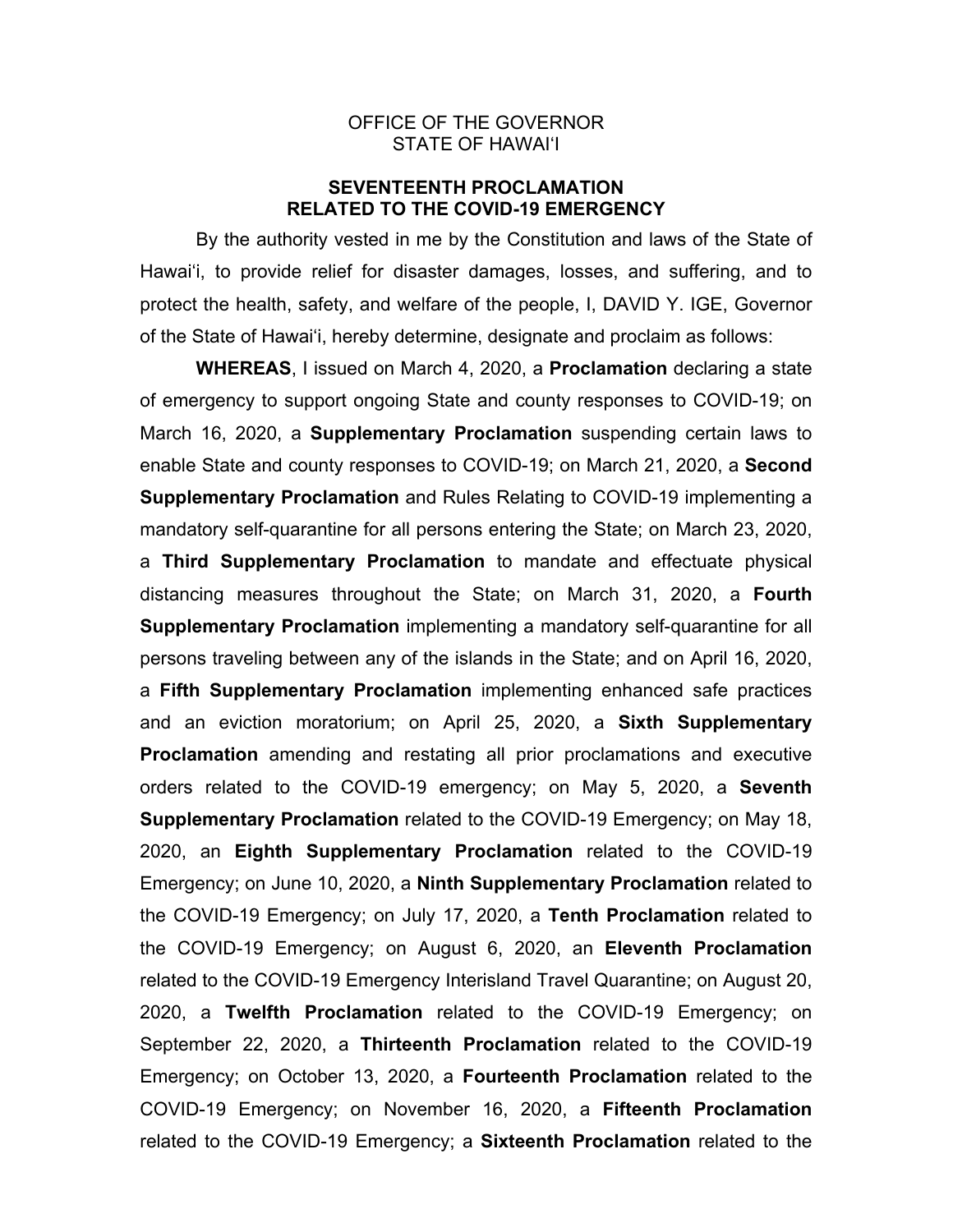## OFFICE OF THE GOVERNOR STATE OF HAWAI'I

# **SEVENTEENTH PROCLAMATION RELATED TO THE COVID-19 EMERGENCY**

 By the authority vested in me by the Constitution and laws of the State of Hawai'i, to provide relief for disaster damages, losses, and suffering, and to protect the health, safety, and welfare of the people, I, DAVID Y. IGE, Governor of the State of Hawai'i, hereby determine, designate and proclaim as follows:

 **WHEREAS**, I issued on March 4, 2020, a **Proclamation** declaring a state of emergency to support ongoing State and county responses to COVID-19; on March 16, 2020, a **Supplementary Proclamation** suspending certain laws to enable State and county responses to COVID-19; on March 21, 2020, a **Second Supplementary Proclamation** and Rules Relating to COVID-19 implementing a mandatory self-quarantine for all persons entering the State; on March 23, 2020, a **Third Supplementary Proclamation** to mandate and effectuate physical distancing measures throughout the State; on March 31, 2020, a **Fourth Supplementary Proclamation** implementing a mandatory self-quarantine for all persons traveling between any of the islands in the State; and on April 16, 2020, a **Fifth Supplementary Proclamation** implementing enhanced safe practices and an eviction moratorium; on April 25, 2020, a **Sixth Supplementary Proclamation** amending and restating all prior proclamations and executive orders related to the COVID-19 emergency; on May 5, 2020, a **Seventh Supplementary Proclamation** related to the COVID-19 Emergency; on May 18, 2020, an **Eighth Supplementary Proclamation** related to the COVID-19 Emergency; on June 10, 2020, a **Ninth Supplementary Proclamation** related to the COVID-19 Emergency; on July 17, 2020, a **Tenth Proclamation** related to the COVID-19 Emergency; on August 6, 2020, an **Eleventh Proclamation**  related to the COVID-19 Emergency Interisland Travel Quarantine; on August 20, 2020, a **Twelfth Proclamation** related to the COVID-19 Emergency; on September 22, 2020, a **Thirteenth Proclamation** related to the COVID-19 Emergency; on October 13, 2020, a **Fourteenth Proclamation** related to the COVID-19 Emergency; on November 16, 2020, a **Fifteenth Proclamation** related to the COVID-19 Emergency; a **Sixteenth Proclamation** related to the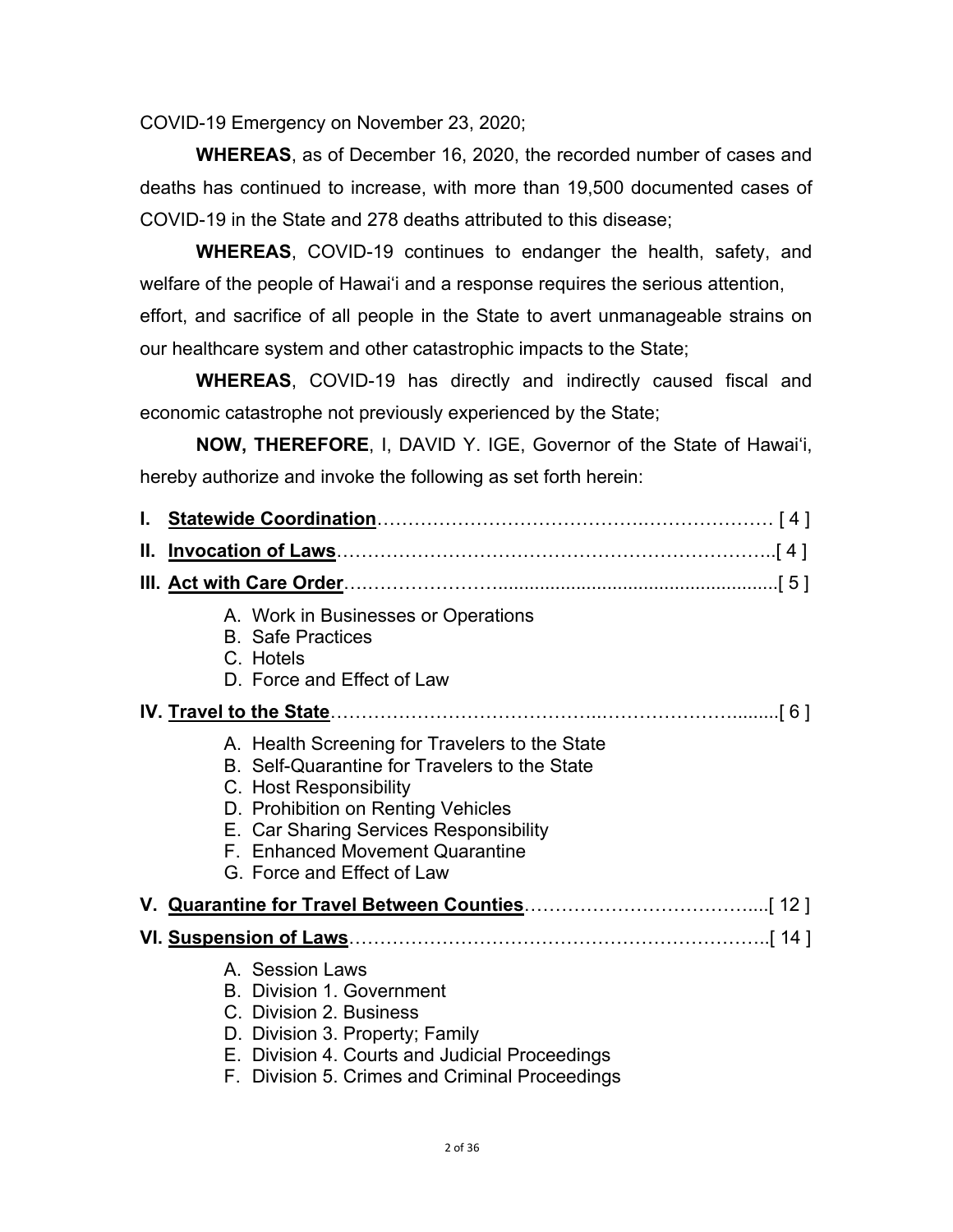COVID-19 Emergency on November 23, 2020;

**WHEREAS**, as of December 16, 2020, the recorded number of cases and deaths has continued to increase, with more than 19,500 documented cases of COVID-19 in the State and 278 deaths attributed to this disease;

**WHEREAS**, COVID-19 continues to endanger the health, safety, and welfare of the people of Hawai'i and a response requires the serious attention,

effort, and sacrifice of all people in the State to avert unmanageable strains on our healthcare system and other catastrophic impacts to the State;

**WHEREAS**, COVID-19 has directly and indirectly caused fiscal and economic catastrophe not previously experienced by the State;

**NOW, THEREFORE**, I, DAVID Y. IGE, Governor of the State of Hawai'i, hereby authorize and invoke the following as set forth herein:

| Ш. |                                                                                                                                                                                                                                                                            |  |  |
|----|----------------------------------------------------------------------------------------------------------------------------------------------------------------------------------------------------------------------------------------------------------------------------|--|--|
|    |                                                                                                                                                                                                                                                                            |  |  |
|    | A. Work in Businesses or Operations<br><b>B.</b> Safe Practices<br>C. Hotels<br>D. Force and Effect of Law                                                                                                                                                                 |  |  |
|    |                                                                                                                                                                                                                                                                            |  |  |
|    | A. Health Screening for Travelers to the State<br>B. Self-Quarantine for Travelers to the State<br>C. Host Responsibility<br>D. Prohibition on Renting Vehicles<br>E. Car Sharing Services Responsibility<br>F. Enhanced Movement Quarantine<br>G. Force and Effect of Law |  |  |
|    |                                                                                                                                                                                                                                                                            |  |  |
|    |                                                                                                                                                                                                                                                                            |  |  |
|    | A. Session Laws<br><b>B.</b> Division 1. Government<br>C. Division 2. Business<br>D. Division 3. Property; Family<br>E. Division 4. Courts and Judicial Proceedings<br>F. Division 5. Crimes and Criminal Proceedings                                                      |  |  |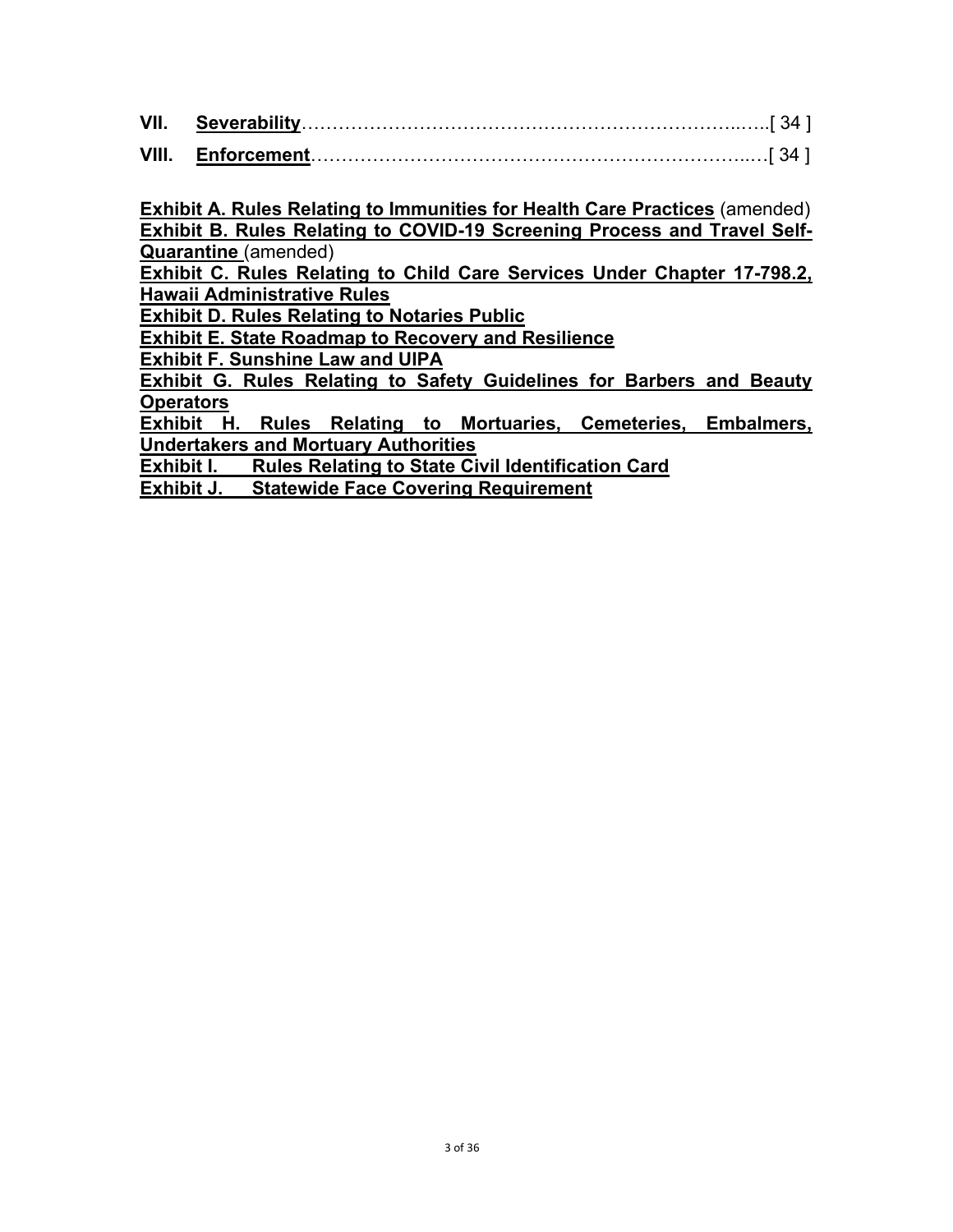**Exhibit A. Rules Relating to Immunities for Health Care Practices** (amended) **Exhibit B. Rules Relating to COVID-19 Screening Process and Travel Self-Quarantine** (amended)

**Exhibit C. Rules Relating to Child Care Services Under Chapter 17-798.2, Hawaii Administrative Rules** 

**Exhibit D. Rules Relating to Notaries Public**

**Exhibit E. State Roadmap to Recovery and Resilience** 

**Exhibit F. Sunshine Law and UIPA** 

**Exhibit G. Rules Relating to Safety Guidelines for Barbers and Beauty Operators** 

**Exhibit H. Rules Relating to Mortuaries, Cemeteries, Embalmers, Undertakers and Mortuary Authorities** 

**Exhibit I. Rules Relating to State Civil Identification Card** 

**Exhibit J. Statewide Face Covering Requirement**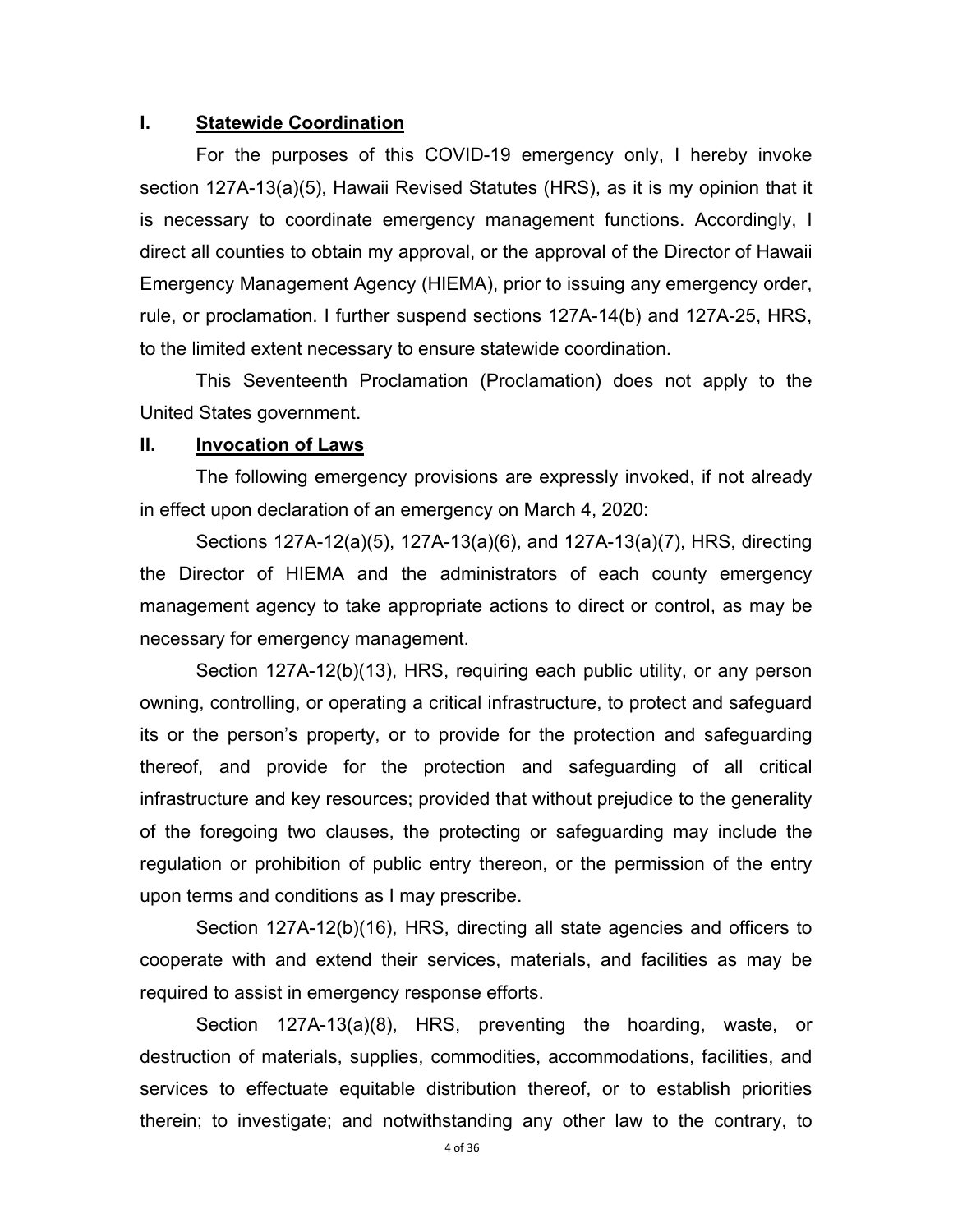## **I. Statewide Coordination**

For the purposes of this COVID-19 emergency only, I hereby invoke section 127A-13(a)(5), Hawaii Revised Statutes (HRS), as it is my opinion that it is necessary to coordinate emergency management functions. Accordingly, I direct all counties to obtain my approval, or the approval of the Director of Hawaii Emergency Management Agency (HIEMA), prior to issuing any emergency order, rule, or proclamation. I further suspend sections 127A-14(b) and 127A-25, HRS, to the limited extent necessary to ensure statewide coordination.

This Seventeenth Proclamation (Proclamation) does not apply to the United States government.

## **II. Invocation of Laws**

 The following emergency provisions are expressly invoked, if not already in effect upon declaration of an emergency on March 4, 2020:

 Sections 127A-12(a)(5), 127A-13(a)(6), and 127A-13(a)(7), HRS, directing the Director of HIEMA and the administrators of each county emergency management agency to take appropriate actions to direct or control, as may be necessary for emergency management.

 Section 127A-12(b)(13), HRS, requiring each public utility, or any person owning, controlling, or operating a critical infrastructure, to protect and safeguard its or the person's property, or to provide for the protection and safeguarding thereof, and provide for the protection and safeguarding of all critical infrastructure and key resources; provided that without prejudice to the generality of the foregoing two clauses, the protecting or safeguarding may include the regulation or prohibition of public entry thereon, or the permission of the entry upon terms and conditions as I may prescribe.

 Section 127A-12(b)(16), HRS, directing all state agencies and officers to cooperate with and extend their services, materials, and facilities as may be required to assist in emergency response efforts.

 Section 127A-13(a)(8), HRS, preventing the hoarding, waste, or destruction of materials, supplies, commodities, accommodations, facilities, and services to effectuate equitable distribution thereof, or to establish priorities therein; to investigate; and notwithstanding any other law to the contrary, to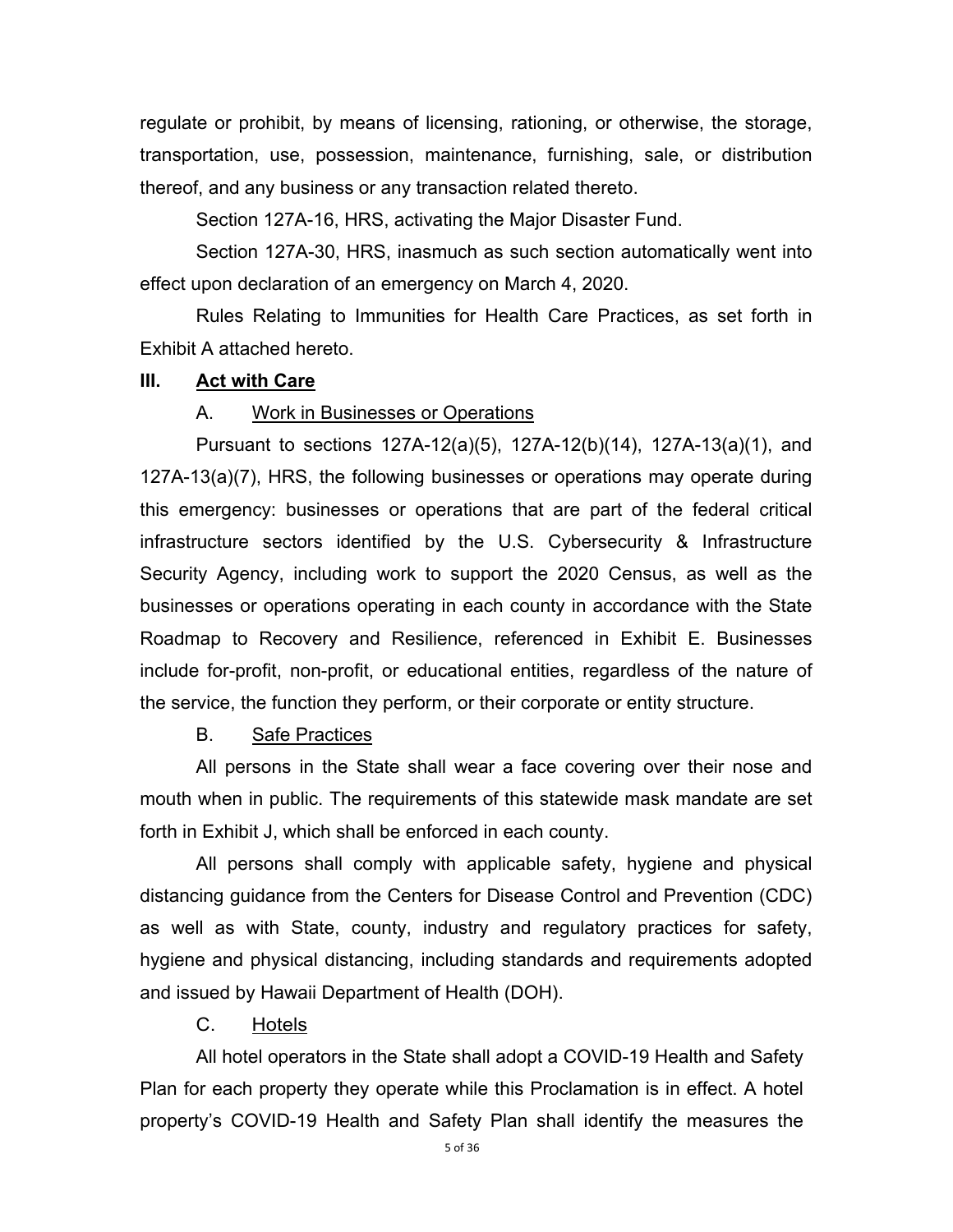regulate or prohibit, by means of licensing, rationing, or otherwise, the storage, transportation, use, possession, maintenance, furnishing, sale, or distribution thereof, and any business or any transaction related thereto.

Section 127A-16, HRS, activating the Major Disaster Fund.

 Section 127A-30, HRS, inasmuch as such section automatically went into effect upon declaration of an emergency on March 4, 2020.

 Rules Relating to Immunities for Health Care Practices, as set forth in Exhibit A attached hereto.

## **III. Act with Care**

#### A. Work in Businesses or Operations

Pursuant to sections 127A-12(a)(5), 127A-12(b)(14), 127A-13(a)(1), and 127A-13(a)(7), HRS, the following businesses or operations may operate during this emergency: businesses or operations that are part of the federal critical infrastructure sectors identified by the U.S. Cybersecurity & Infrastructure Security Agency, including work to support the 2020 Census, as well as the businesses or operations operating in each county in accordance with the State Roadmap to Recovery and Resilience, referenced in Exhibit E. Businesses include for-profit, non-profit, or educational entities, regardless of the nature of the service, the function they perform, or their corporate or entity structure.

B. Safe Practices

All persons in the State shall wear a face covering over their nose and mouth when in public. The requirements of this statewide mask mandate are set forth in Exhibit J, which shall be enforced in each county.

All persons shall comply with applicable safety, hygiene and physical distancing guidance from the Centers for Disease Control and Prevention (CDC) as well as with State, county, industry and regulatory practices for safety, hygiene and physical distancing, including standards and requirements adopted and issued by Hawaii Department of Health (DOH).

# C. Hotels

All hotel operators in the State shall adopt a COVID-19 Health and Safety Plan for each property they operate while this Proclamation is in effect. A hotel property's COVID-19 Health and Safety Plan shall identify the measures the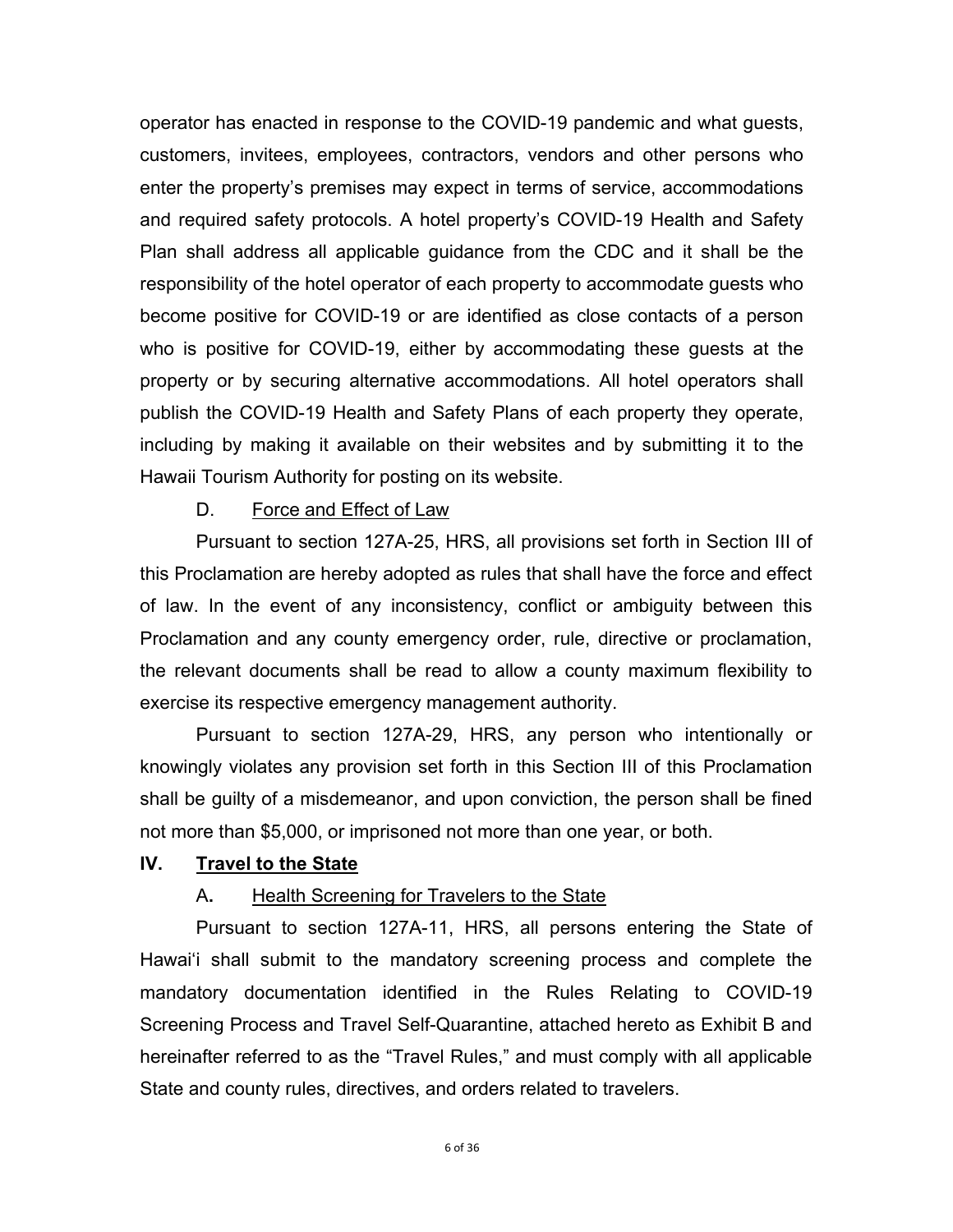operator has enacted in response to the COVID-19 pandemic and what guests, customers, invitees, employees, contractors, vendors and other persons who enter the property's premises may expect in terms of service, accommodations and required safety protocols. A hotel property's COVID-19 Health and Safety Plan shall address all applicable guidance from the CDC and it shall be the responsibility of the hotel operator of each property to accommodate guests who become positive for COVID-19 or are identified as close contacts of a person who is positive for COVID-19, either by accommodating these guests at the property or by securing alternative accommodations. All hotel operators shall publish the COVID-19 Health and Safety Plans of each property they operate, including by making it available on their websites and by submitting it to the Hawaii Tourism Authority for posting on its website.

## D. Force and Effect of Law

Pursuant to section 127A-25, HRS, all provisions set forth in Section III of this Proclamation are hereby adopted as rules that shall have the force and effect of law. In the event of any inconsistency, conflict or ambiguity between this Proclamation and any county emergency order, rule, directive or proclamation, the relevant documents shall be read to allow a county maximum flexibility to exercise its respective emergency management authority.

Pursuant to section 127A-29, HRS, any person who intentionally or knowingly violates any provision set forth in this Section III of this Proclamation shall be guilty of a misdemeanor, and upon conviction, the person shall be fined not more than \$5,000, or imprisoned not more than one year, or both.

## **IV. Travel to the State**

#### A**.** Health Screening for Travelers to the State

Pursuant to section 127A-11, HRS, all persons entering the State of Hawai'i shall submit to the mandatory screening process and complete the mandatory documentation identified in the Rules Relating to COVID-19 Screening Process and Travel Self-Quarantine, attached hereto as Exhibit B and hereinafter referred to as the "Travel Rules," and must comply with all applicable State and county rules, directives, and orders related to travelers.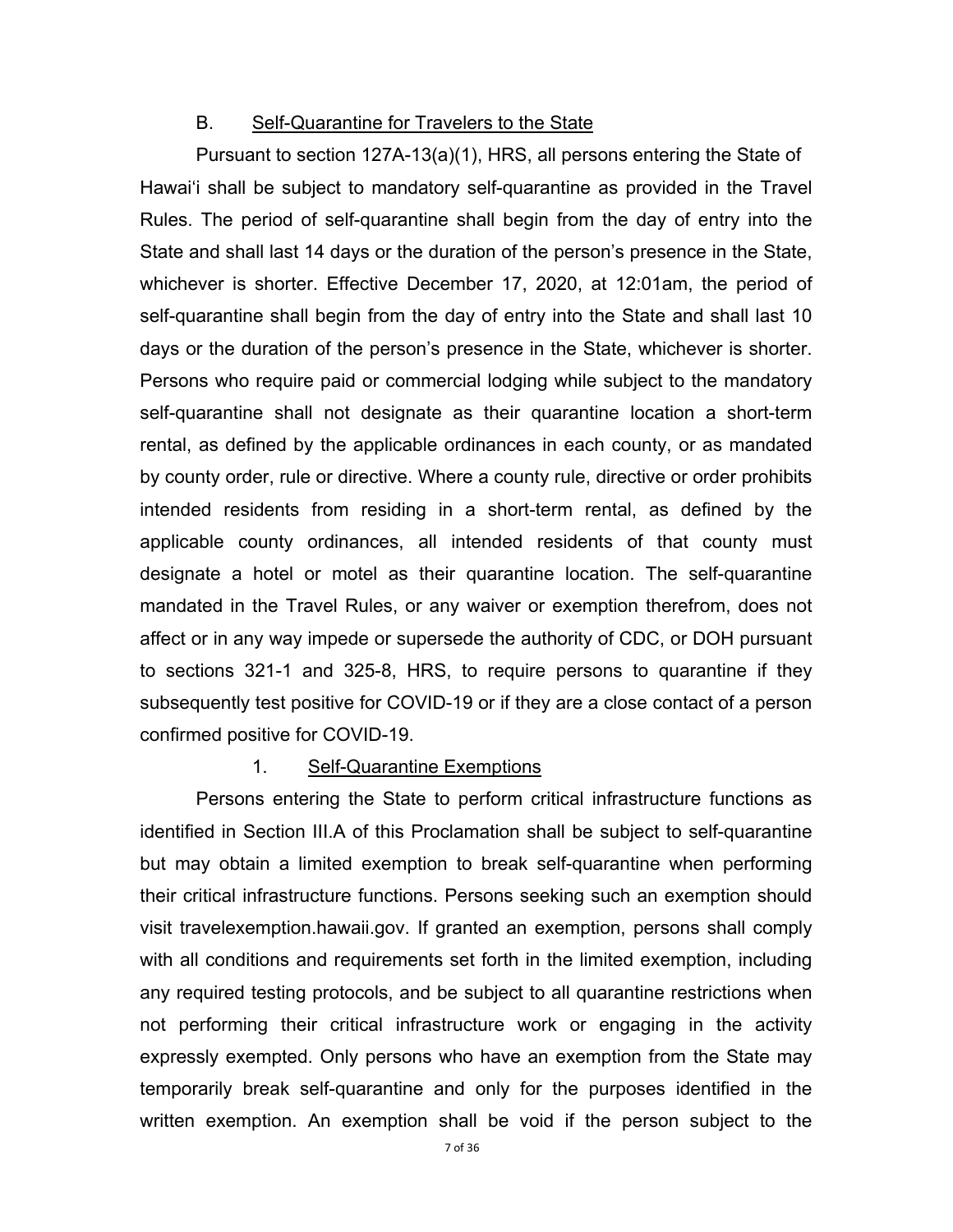## B. Self-Quarantine for Travelers to the State

Pursuant to section 127A-13(a)(1), HRS, all persons entering the State of Hawai'i shall be subject to mandatory self-quarantine as provided in the Travel Rules. The period of self-quarantine shall begin from the day of entry into the State and shall last 14 days or the duration of the person's presence in the State, whichever is shorter. Effective December 17, 2020, at 12:01am, the period of self-quarantine shall begin from the day of entry into the State and shall last 10 days or the duration of the person's presence in the State, whichever is shorter. Persons who require paid or commercial lodging while subject to the mandatory self-quarantine shall not designate as their quarantine location a short-term rental, as defined by the applicable ordinances in each county, or as mandated by county order, rule or directive. Where a county rule, directive or order prohibits intended residents from residing in a short-term rental, as defined by the applicable county ordinances, all intended residents of that county must designate a hotel or motel as their quarantine location. The self-quarantine mandated in the Travel Rules, or any waiver or exemption therefrom, does not affect or in any way impede or supersede the authority of CDC, or DOH pursuant to sections 321-1 and 325-8, HRS, to require persons to quarantine if they subsequently test positive for COVID-19 or if they are a close contact of a person confirmed positive for COVID-19.

#### 1. Self-Quarantine Exemptions

Persons entering the State to perform critical infrastructure functions as identified in Section III.A of this Proclamation shall be subject to self-quarantine but may obtain a limited exemption to break self-quarantine when performing their critical infrastructure functions. Persons seeking such an exemption should visit travelexemption.hawaii.gov. If granted an exemption, persons shall comply with all conditions and requirements set forth in the limited exemption, including any required testing protocols, and be subject to all quarantine restrictions when not performing their critical infrastructure work or engaging in the activity expressly exempted. Only persons who have an exemption from the State may temporarily break self-quarantine and only for the purposes identified in the written exemption. An exemption shall be void if the person subject to the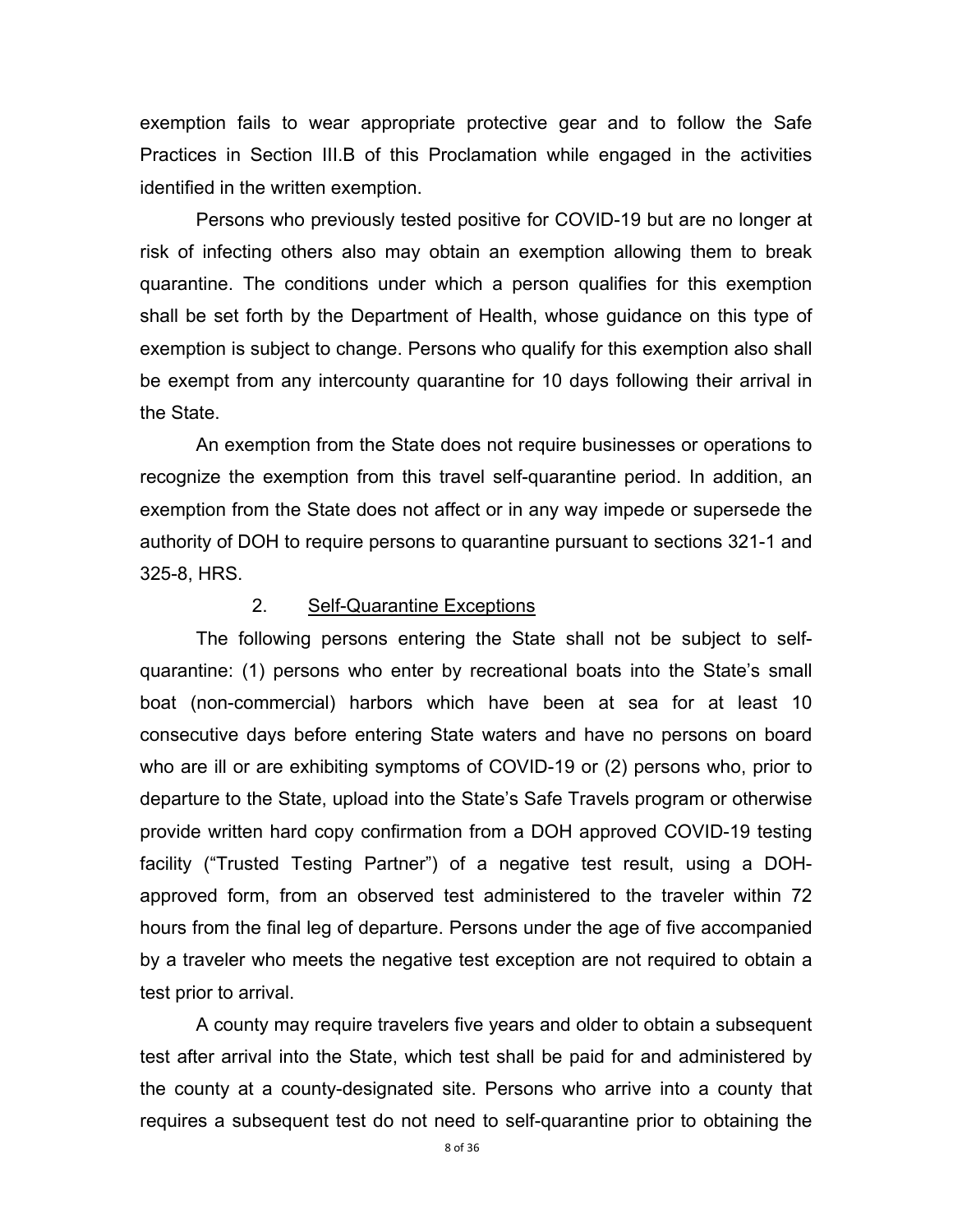exemption fails to wear appropriate protective gear and to follow the Safe Practices in Section III.B of this Proclamation while engaged in the activities identified in the written exemption.

Persons who previously tested positive for COVID-19 but are no longer at risk of infecting others also may obtain an exemption allowing them to break quarantine. The conditions under which a person qualifies for this exemption shall be set forth by the Department of Health, whose guidance on this type of exemption is subject to change. Persons who qualify for this exemption also shall be exempt from any intercounty quarantine for 10 days following their arrival in the State.

An exemption from the State does not require businesses or operations to recognize the exemption from this travel self-quarantine period. In addition, an exemption from the State does not affect or in any way impede or supersede the authority of DOH to require persons to quarantine pursuant to sections 321-1 and 325-8, HRS.

#### 2. Self-Quarantine Exceptions

The following persons entering the State shall not be subject to selfquarantine: (1) persons who enter by recreational boats into the State's small boat (non-commercial) harbors which have been at sea for at least 10 consecutive days before entering State waters and have no persons on board who are ill or are exhibiting symptoms of COVID-19 or (2) persons who, prior to departure to the State, upload into the State's Safe Travels program or otherwise provide written hard copy confirmation from a DOH approved COVID-19 testing facility ("Trusted Testing Partner") of a negative test result, using a DOHapproved form, from an observed test administered to the traveler within 72 hours from the final leg of departure. Persons under the age of five accompanied by a traveler who meets the negative test exception are not required to obtain a test prior to arrival.

A county may require travelers five years and older to obtain a subsequent test after arrival into the State, which test shall be paid for and administered by the county at a county-designated site. Persons who arrive into a county that requires a subsequent test do not need to self-quarantine prior to obtaining the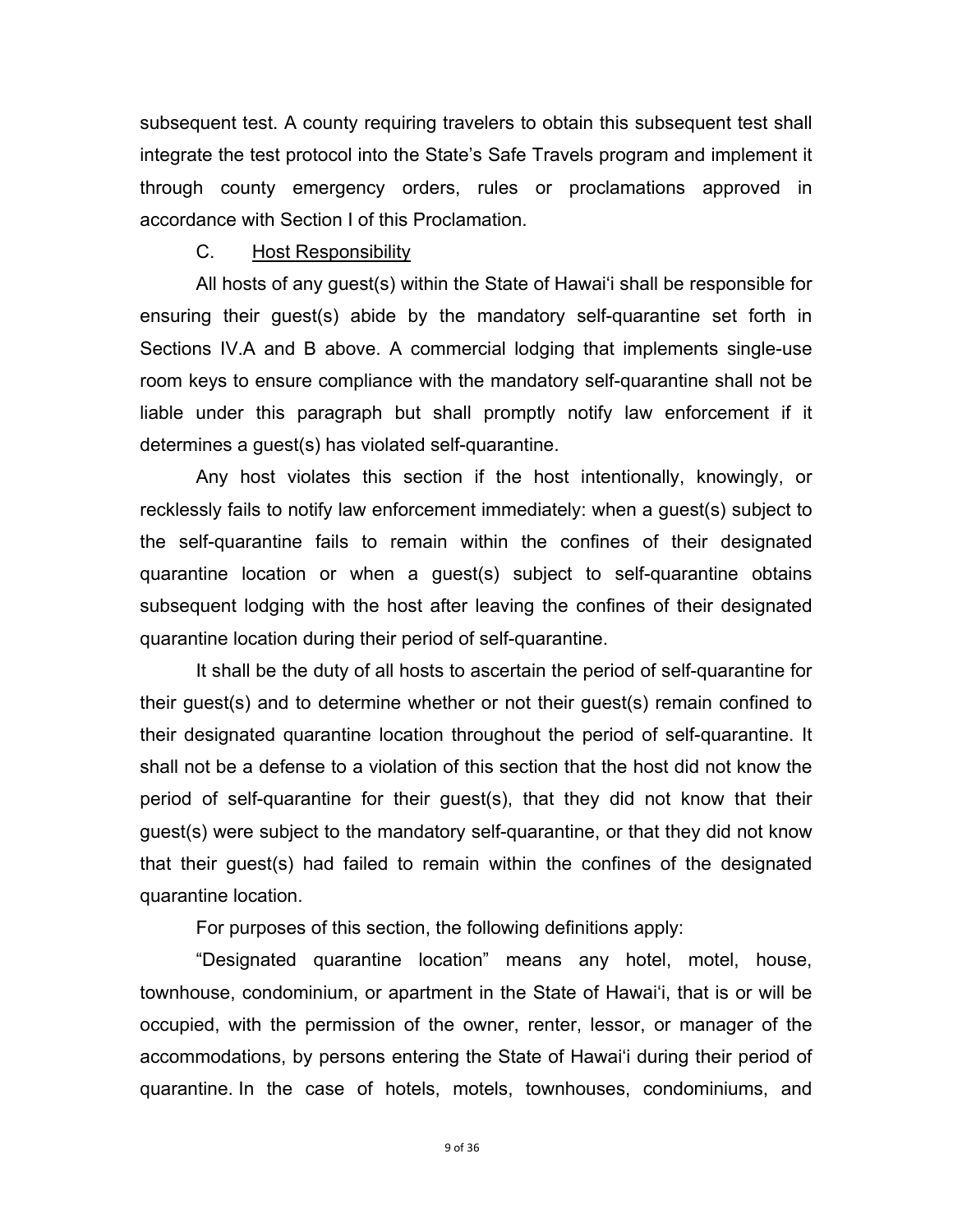subsequent test. A county requiring travelers to obtain this subsequent test shall integrate the test protocol into the State's Safe Travels program and implement it through county emergency orders, rules or proclamations approved in accordance with Section I of this Proclamation.

# C. Host Responsibility

 All hosts of any guest(s) within the State of Hawai'i shall be responsible for ensuring their guest(s) abide by the mandatory self-quarantine set forth in Sections IV.A and B above. A commercial lodging that implements single-use room keys to ensure compliance with the mandatory self-quarantine shall not be liable under this paragraph but shall promptly notify law enforcement if it determines a guest(s) has violated self-quarantine.

Any host violates this section if the host intentionally, knowingly, or recklessly fails to notify law enforcement immediately: when a guest(s) subject to the self-quarantine fails to remain within the confines of their designated quarantine location or when a guest(s) subject to self-quarantine obtains subsequent lodging with the host after leaving the confines of their designated quarantine location during their period of self-quarantine.

It shall be the duty of all hosts to ascertain the period of self-quarantine for their guest(s) and to determine whether or not their guest(s) remain confined to their designated quarantine location throughout the period of self-quarantine. It shall not be a defense to a violation of this section that the host did not know the period of self-quarantine for their guest(s), that they did not know that their guest(s) were subject to the mandatory self-quarantine, or that they did not know that their guest(s) had failed to remain within the confines of the designated quarantine location.

For purposes of this section, the following definitions apply:

"Designated quarantine location" means any hotel, motel, house, townhouse, condominium, or apartment in the State of Hawai'i, that is or will be occupied, with the permission of the owner, renter, lessor, or manager of the accommodations, by persons entering the State of Hawai'i during their period of quarantine. In the case of hotels, motels, townhouses, condominiums, and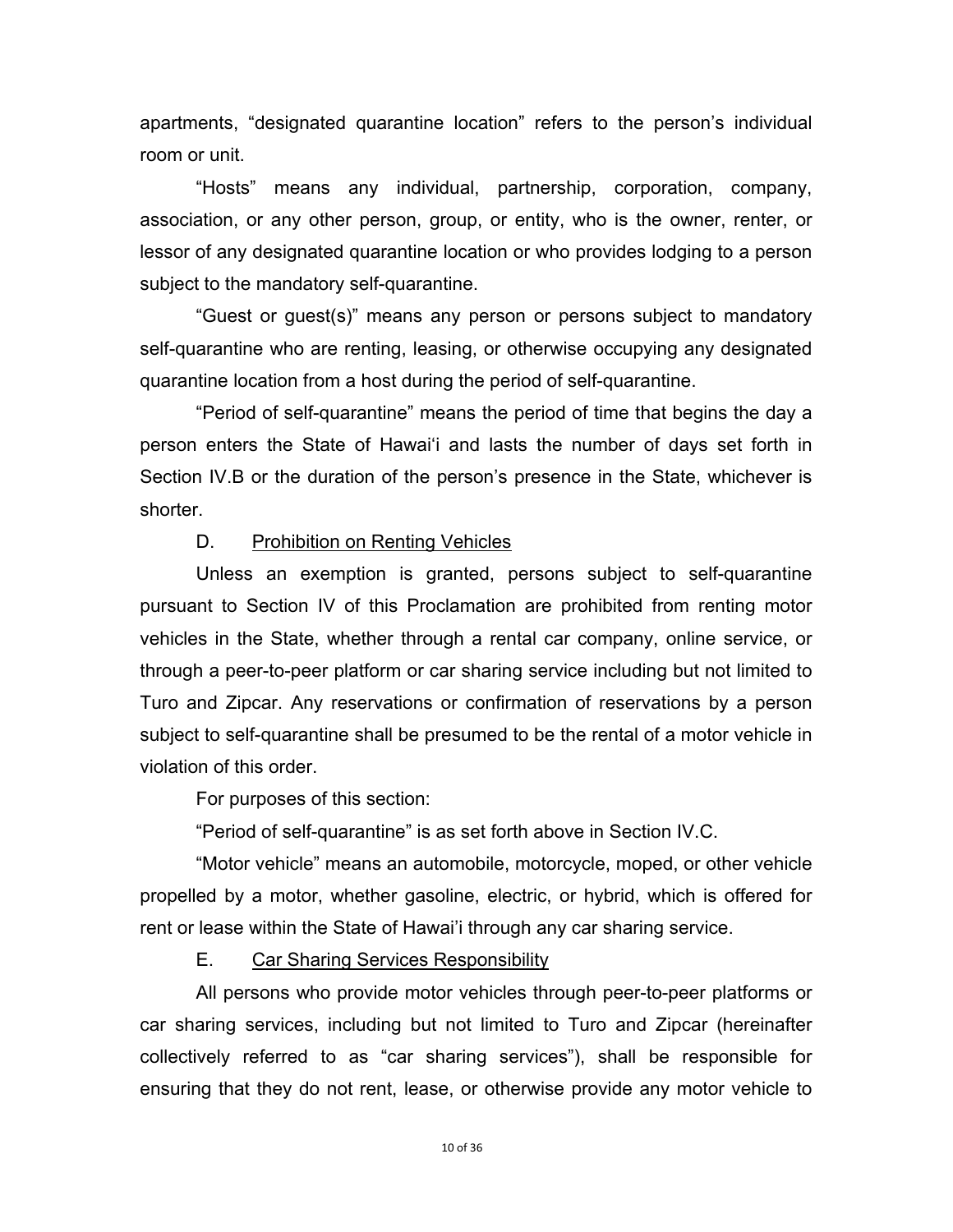apartments, "designated quarantine location" refers to the person's individual room or unit.

"Hosts" means any individual, partnership, corporation, company, association, or any other person, group, or entity, who is the owner, renter, or lessor of any designated quarantine location or who provides lodging to a person subject to the mandatory self-quarantine.

"Guest or guest(s)" means any person or persons subject to mandatory self-quarantine who are renting, leasing, or otherwise occupying any designated quarantine location from a host during the period of self-quarantine.

 "Period of self-quarantine" means the period of time that begins the day a person enters the State of Hawai'i and lasts the number of days set forth in Section IV.B or the duration of the person's presence in the State, whichever is shorter.

# D. Prohibition on Renting Vehicles

 Unless an exemption is granted, persons subject to self-quarantine pursuant to Section IV of this Proclamation are prohibited from renting motor vehicles in the State, whether through a rental car company, online service, or through a peer-to-peer platform or car sharing service including but not limited to Turo and Zipcar. Any reservations or confirmation of reservations by a person subject to self-quarantine shall be presumed to be the rental of a motor vehicle in violation of this order.

For purposes of this section:

"Period of self-quarantine" is as set forth above in Section IV.C.

"Motor vehicle" means an automobile, motorcycle, moped, or other vehicle propelled by a motor, whether gasoline, electric, or hybrid, which is offered for rent or lease within the State of Hawai'i through any car sharing service.

# E. Car Sharing Services Responsibility

All persons who provide motor vehicles through peer-to-peer platforms or car sharing services, including but not limited to Turo and Zipcar (hereinafter collectively referred to as "car sharing services"), shall be responsible for ensuring that they do not rent, lease, or otherwise provide any motor vehicle to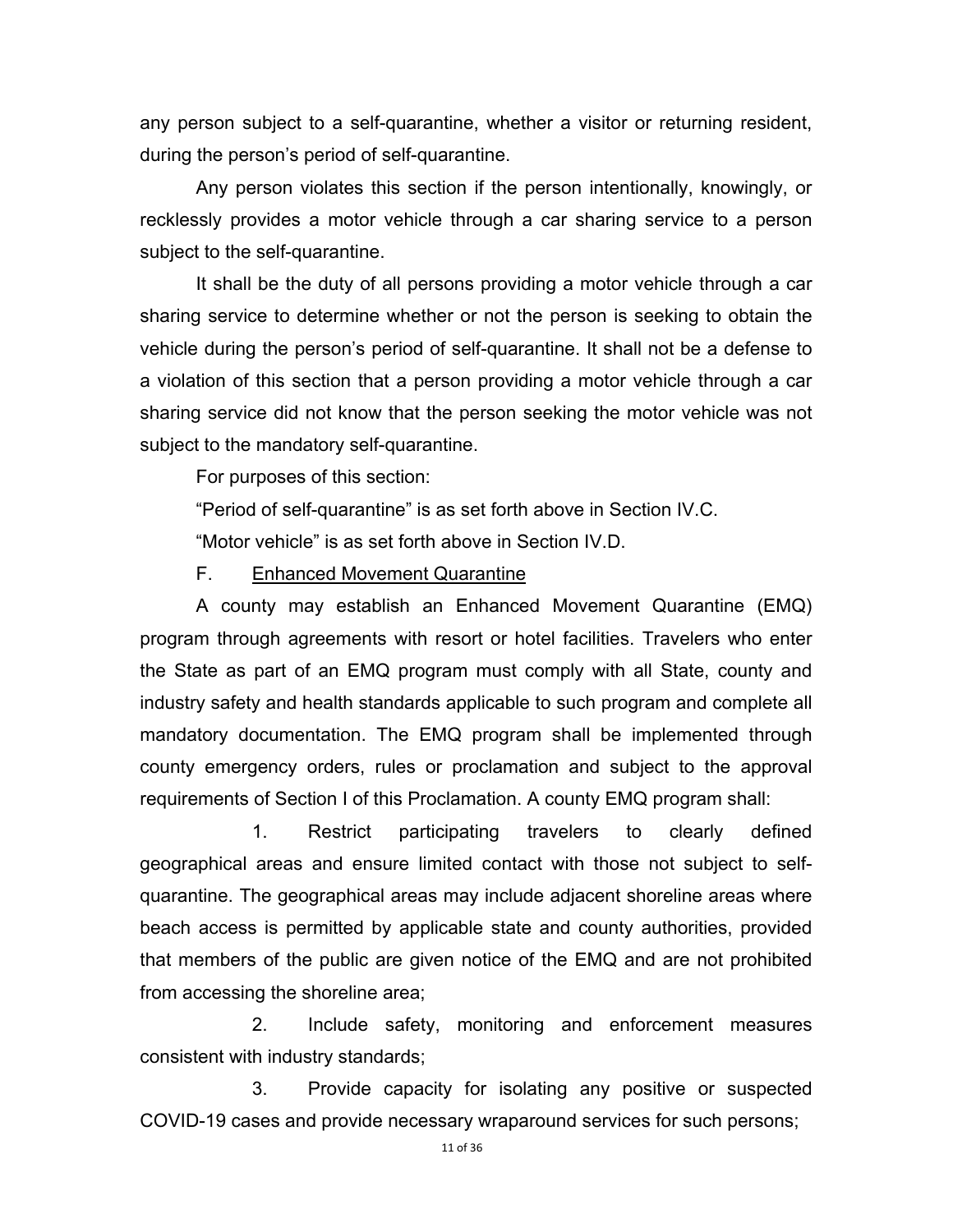any person subject to a self-quarantine, whether a visitor or returning resident, during the person's period of self-quarantine.

Any person violates this section if the person intentionally, knowingly, or recklessly provides a motor vehicle through a car sharing service to a person subject to the self-quarantine.

It shall be the duty of all persons providing a motor vehicle through a car sharing service to determine whether or not the person is seeking to obtain the vehicle during the person's period of self-quarantine. It shall not be a defense to a violation of this section that a person providing a motor vehicle through a car sharing service did not know that the person seeking the motor vehicle was not subject to the mandatory self-quarantine.

For purposes of this section:

"Period of self-quarantine" is as set forth above in Section IV.C.

"Motor vehicle" is as set forth above in Section IV.D.

F. Enhanced Movement Quarantine

 A county may establish an Enhanced Movement Quarantine (EMQ) program through agreements with resort or hotel facilities. Travelers who enter the State as part of an EMQ program must comply with all State, county and industry safety and health standards applicable to such program and complete all mandatory documentation. The EMQ program shall be implemented through county emergency orders, rules or proclamation and subject to the approval requirements of Section I of this Proclamation. A county EMQ program shall:

 1. Restrict participating travelers to clearly defined geographical areas and ensure limited contact with those not subject to selfquarantine. The geographical areas may include adjacent shoreline areas where beach access is permitted by applicable state and county authorities, provided that members of the public are given notice of the EMQ and are not prohibited from accessing the shoreline area;

 2. Include safety, monitoring and enforcement measures consistent with industry standards;

 3. Provide capacity for isolating any positive or suspected COVID-19 cases and provide necessary wraparound services for such persons;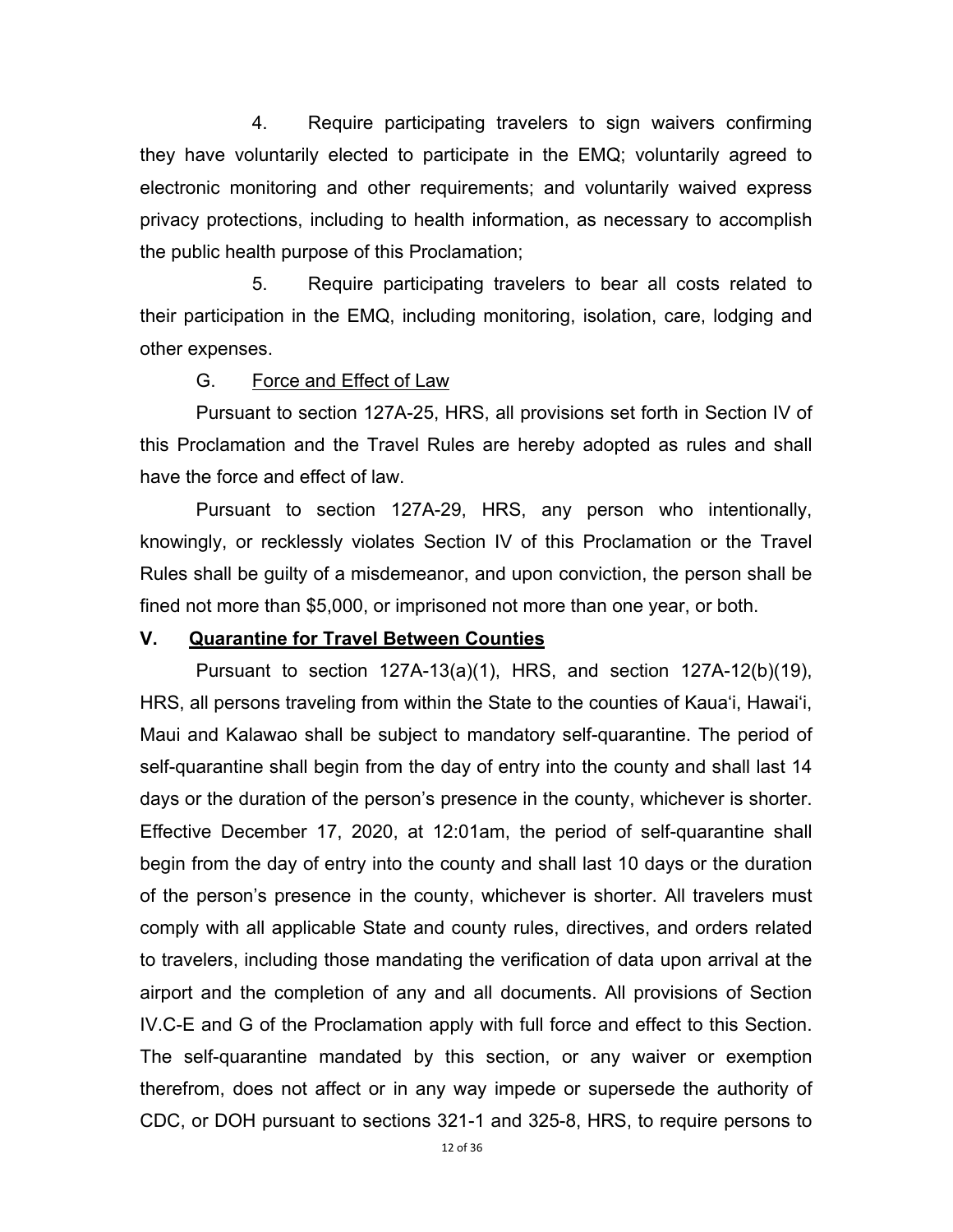4. Require participating travelers to sign waivers confirming they have voluntarily elected to participate in the EMQ; voluntarily agreed to electronic monitoring and other requirements; and voluntarily waived express privacy protections, including to health information, as necessary to accomplish the public health purpose of this Proclamation;

 5. Require participating travelers to bear all costs related to their participation in the EMQ, including monitoring, isolation, care, lodging and other expenses.

#### G. Force and Effect of Law

Pursuant to section 127A-25, HRS, all provisions set forth in Section IV of this Proclamation and the Travel Rules are hereby adopted as rules and shall have the force and effect of law.

Pursuant to section 127A-29, HRS, any person who intentionally, knowingly, or recklessly violates Section IV of this Proclamation or the Travel Rules shall be guilty of a misdemeanor, and upon conviction, the person shall be fined not more than \$5,000, or imprisoned not more than one year, or both.

### **V. Quarantine for Travel Between Counties**

Pursuant to section 127A-13(a)(1), HRS, and section 127A-12(b)(19), HRS, all persons traveling from within the State to the counties of Kaua'i, Hawai'i, Maui and Kalawao shall be subject to mandatory self-quarantine. The period of self-quarantine shall begin from the day of entry into the county and shall last 14 days or the duration of the person's presence in the county, whichever is shorter. Effective December 17, 2020, at 12:01am, the period of self-quarantine shall begin from the day of entry into the county and shall last 10 days or the duration of the person's presence in the county, whichever is shorter. All travelers must comply with all applicable State and county rules, directives, and orders related to travelers, including those mandating the verification of data upon arrival at the airport and the completion of any and all documents. All provisions of Section IV.C-E and G of the Proclamation apply with full force and effect to this Section. The self-quarantine mandated by this section, or any waiver or exemption therefrom, does not affect or in any way impede or supersede the authority of CDC, or DOH pursuant to sections 321-1 and 325-8, HRS, to require persons to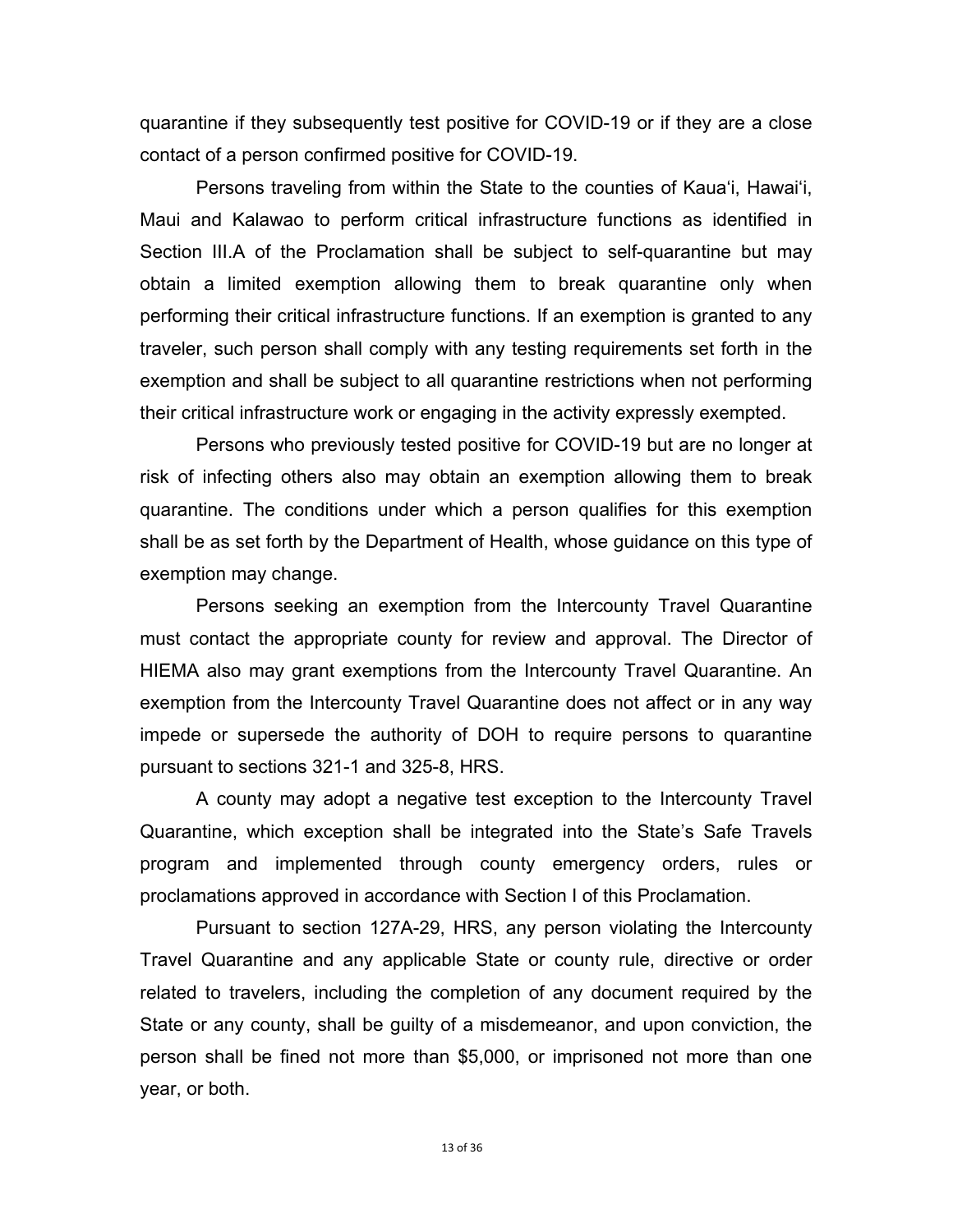quarantine if they subsequently test positive for COVID-19 or if they are a close contact of a person confirmed positive for COVID-19.

Persons traveling from within the State to the counties of Kaua'i, Hawai'i, Maui and Kalawao to perform critical infrastructure functions as identified in Section III.A of the Proclamation shall be subject to self-quarantine but may obtain a limited exemption allowing them to break quarantine only when performing their critical infrastructure functions. If an exemption is granted to any traveler, such person shall comply with any testing requirements set forth in the exemption and shall be subject to all quarantine restrictions when not performing their critical infrastructure work or engaging in the activity expressly exempted.

Persons who previously tested positive for COVID-19 but are no longer at risk of infecting others also may obtain an exemption allowing them to break quarantine. The conditions under which a person qualifies for this exemption shall be as set forth by the Department of Health, whose guidance on this type of exemption may change.

 Persons seeking an exemption from the Intercounty Travel Quarantine must contact the appropriate county for review and approval. The Director of HIEMA also may grant exemptions from the Intercounty Travel Quarantine. An exemption from the Intercounty Travel Quarantine does not affect or in any way impede or supersede the authority of DOH to require persons to quarantine pursuant to sections 321-1 and 325-8, HRS.

A county may adopt a negative test exception to the Intercounty Travel Quarantine, which exception shall be integrated into the State's Safe Travels program and implemented through county emergency orders, rules or proclamations approved in accordance with Section I of this Proclamation.

Pursuant to section 127A-29, HRS, any person violating the Intercounty Travel Quarantine and any applicable State or county rule, directive or order related to travelers, including the completion of any document required by the State or any county, shall be guilty of a misdemeanor, and upon conviction, the person shall be fined not more than \$5,000, or imprisoned not more than one year, or both.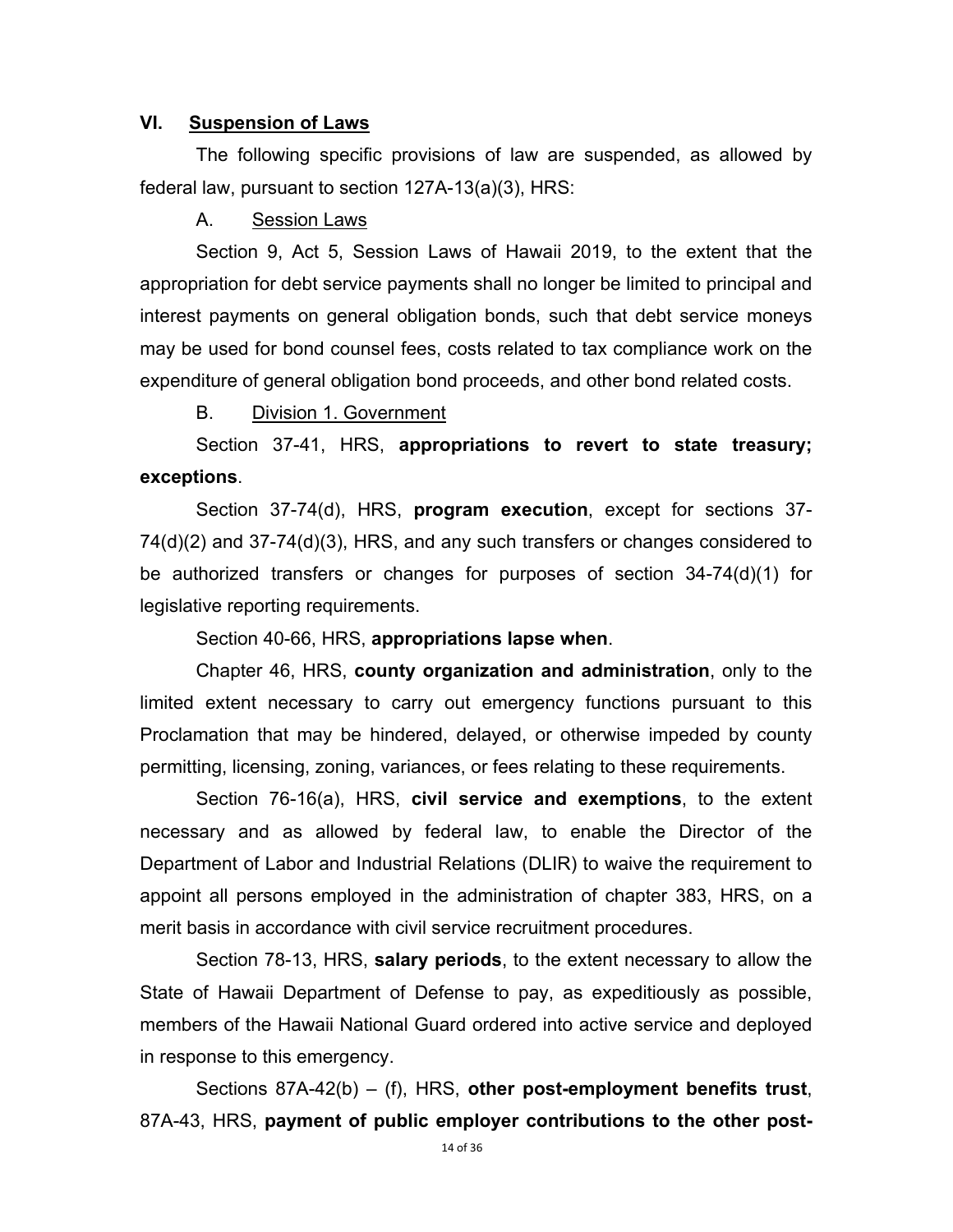## **VI. Suspension of Laws**

 The following specific provisions of law are suspended, as allowed by federal law, pursuant to section 127A-13(a)(3), HRS:

A. Session Laws

 Section 9, Act 5, Session Laws of Hawaii 2019, to the extent that the appropriation for debt service payments shall no longer be limited to principal and interest payments on general obligation bonds, such that debt service moneys may be used for bond counsel fees, costs related to tax compliance work on the expenditure of general obligation bond proceeds, and other bond related costs.

B. Division 1. Government

 Section 37-41, HRS, **appropriations to revert to state treasury; exceptions**.

 Section 37-74(d), HRS, **program execution**, except for sections 37- 74(d)(2) and 37-74(d)(3), HRS, and any such transfers or changes considered to be authorized transfers or changes for purposes of section 34-74(d)(1) for legislative reporting requirements.

Section 40-66, HRS, **appropriations lapse when**.

 Chapter 46, HRS, **county organization and administration**, only to the limited extent necessary to carry out emergency functions pursuant to this Proclamation that may be hindered, delayed, or otherwise impeded by county permitting, licensing, zoning, variances, or fees relating to these requirements.

Section 76-16(a), HRS, **civil service and exemptions**, to the extent necessary and as allowed by federal law, to enable the Director of the Department of Labor and Industrial Relations (DLIR) to waive the requirement to appoint all persons employed in the administration of chapter 383, HRS, on a merit basis in accordance with civil service recruitment procedures.

 Section 78-13, HRS, **salary periods**, to the extent necessary to allow the State of Hawaii Department of Defense to pay, as expeditiously as possible, members of the Hawaii National Guard ordered into active service and deployed in response to this emergency.

 Sections 87A-42(b) – (f), HRS, **other post-employment benefits trust**, 87A-43, HRS, **payment of public employer contributions to the other post-**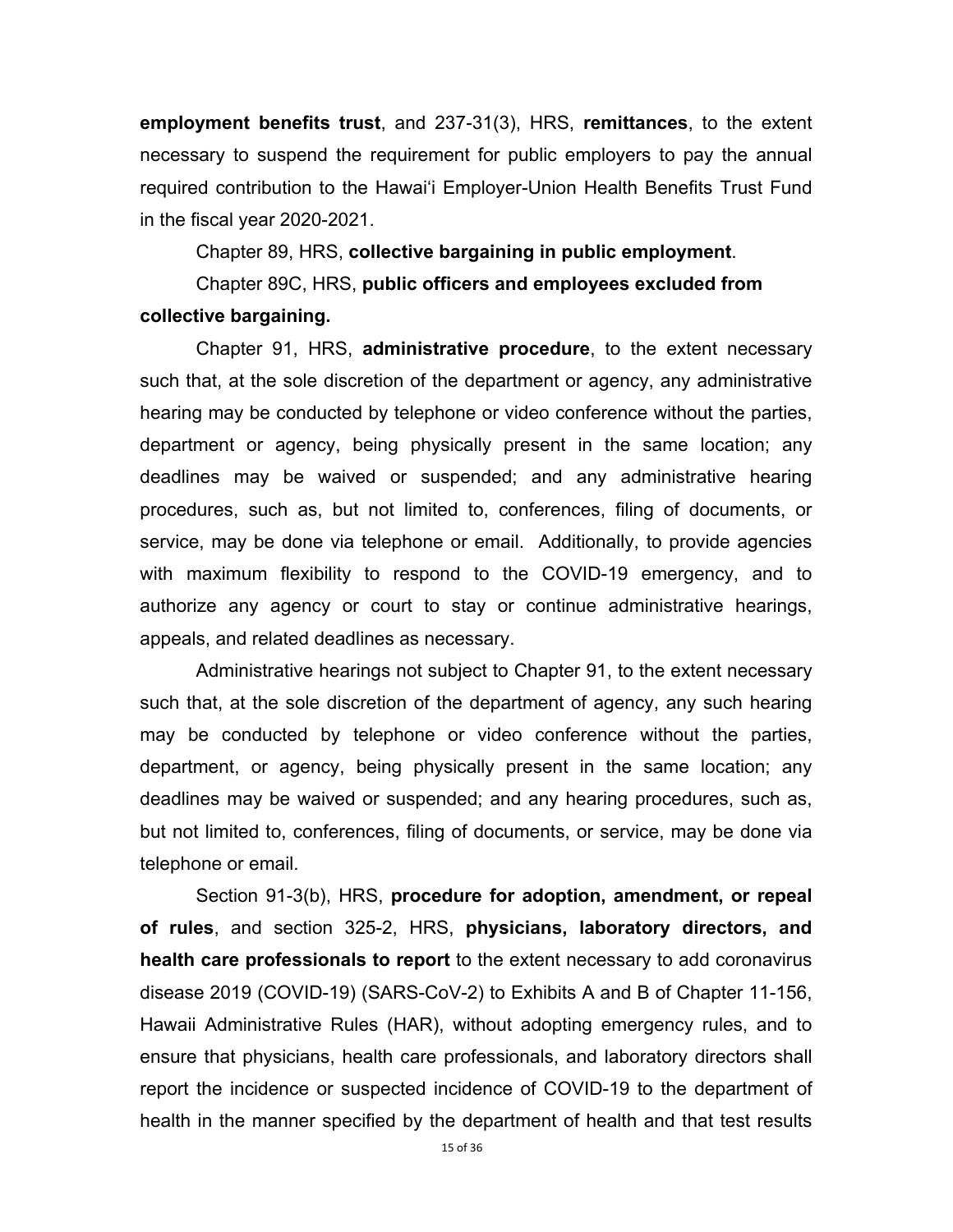**employment benefits trust**, and 237-31(3), HRS, **remittances**, to the extent necessary to suspend the requirement for public employers to pay the annual required contribution to the Hawai'i Employer-Union Health Benefits Trust Fund in the fiscal year 2020-2021.

Chapter 89, HRS, **collective bargaining in public employment**.

 Chapter 89C, HRS, **public officers and employees excluded from collective bargaining.**

 Chapter 91, HRS, **administrative procedure**, to the extent necessary such that, at the sole discretion of the department or agency, any administrative hearing may be conducted by telephone or video conference without the parties, department or agency, being physically present in the same location; any deadlines may be waived or suspended; and any administrative hearing procedures, such as, but not limited to, conferences, filing of documents, or service, may be done via telephone or email. Additionally, to provide agencies with maximum flexibility to respond to the COVID-19 emergency, and to authorize any agency or court to stay or continue administrative hearings, appeals, and related deadlines as necessary.

 Administrative hearings not subject to Chapter 91, to the extent necessary such that, at the sole discretion of the department of agency, any such hearing may be conducted by telephone or video conference without the parties, department, or agency, being physically present in the same location; any deadlines may be waived or suspended; and any hearing procedures, such as, but not limited to, conferences, filing of documents, or service, may be done via telephone or email.

 Section 91-3(b), HRS, **procedure for adoption, amendment, or repeal of rules**, and section 325-2, HRS, **physicians, laboratory directors, and health care professionals to report** to the extent necessary to add coronavirus disease 2019 (COVID-19) (SARS-CoV-2) to Exhibits A and B of Chapter 11-156, Hawaii Administrative Rules (HAR), without adopting emergency rules, and to ensure that physicians, health care professionals, and laboratory directors shall report the incidence or suspected incidence of COVID-19 to the department of health in the manner specified by the department of health and that test results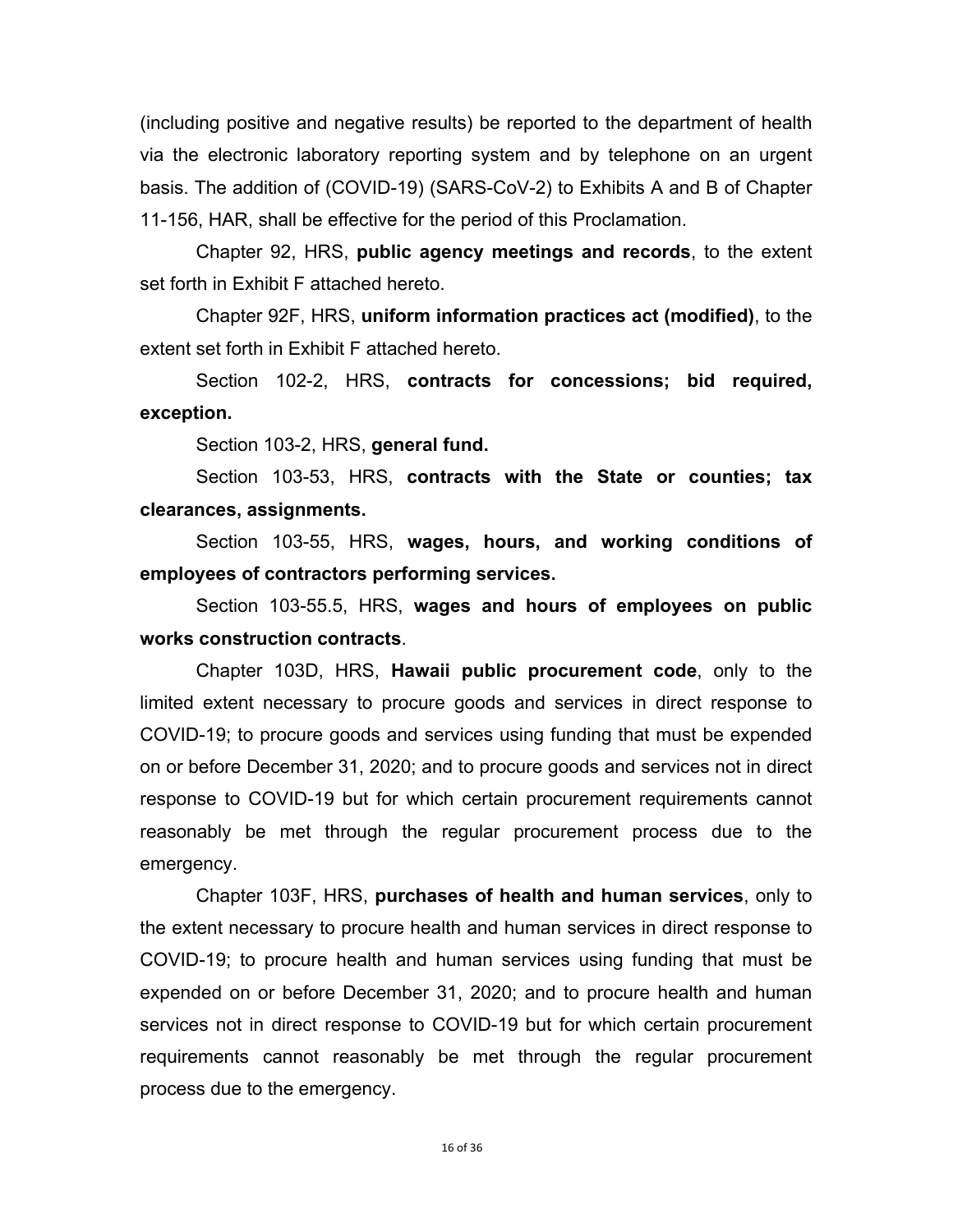(including positive and negative results) be reported to the department of health via the electronic laboratory reporting system and by telephone on an urgent basis. The addition of (COVID-19) (SARS-CoV-2) to Exhibits A and B of Chapter 11-156, HAR, shall be effective for the period of this Proclamation.

 Chapter 92, HRS, **public agency meetings and records**, to the extent set forth in Exhibit F attached hereto.

Chapter 92F, HRS, **uniform information practices act (modified)**, to the extent set forth in Exhibit F attached hereto.

 Section 102-2, HRS, **contracts for concessions; bid required, exception.**

Section 103-2, HRS, **general fund.** 

Section 103-53, HRS, **contracts with the State or counties; tax clearances, assignments.** 

Section 103-55, HRS, **wages, hours, and working conditions of employees of contractors performing services.** 

Section 103-55.5, HRS, **wages and hours of employees on public works construction contracts**.

Chapter 103D, HRS, **Hawaii public procurement code**, only to the limited extent necessary to procure goods and services in direct response to COVID-19; to procure goods and services using funding that must be expended on or before December 31, 2020; and to procure goods and services not in direct response to COVID-19 but for which certain procurement requirements cannot reasonably be met through the regular procurement process due to the emergency.

Chapter 103F, HRS, **purchases of health and human services**, only to the extent necessary to procure health and human services in direct response to COVID-19; to procure health and human services using funding that must be expended on or before December 31, 2020; and to procure health and human services not in direct response to COVID-19 but for which certain procurement requirements cannot reasonably be met through the regular procurement process due to the emergency.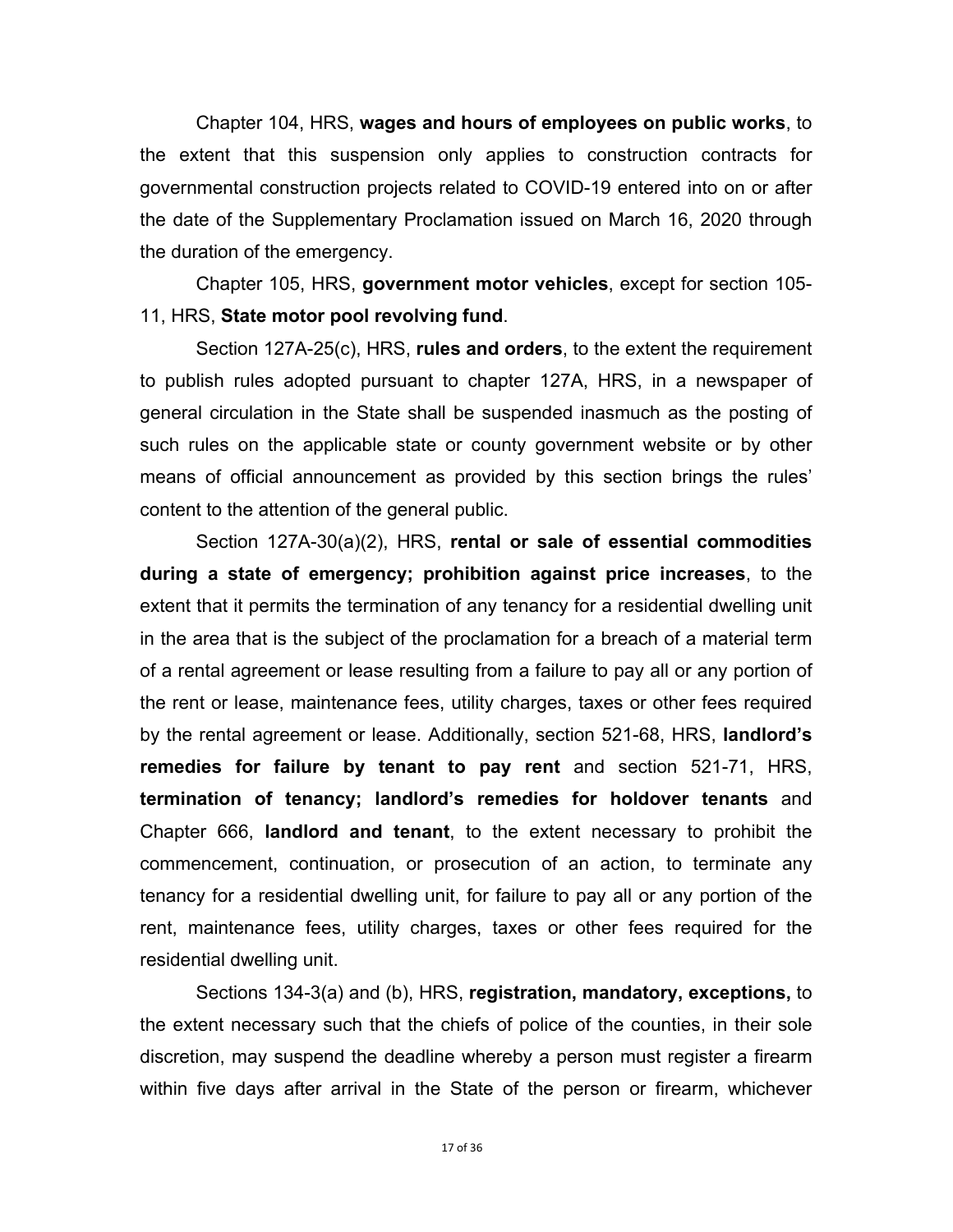Chapter 104, HRS, **wages and hours of employees on public works**, to the extent that this suspension only applies to construction contracts for governmental construction projects related to COVID-19 entered into on or after the date of the Supplementary Proclamation issued on March 16, 2020 through the duration of the emergency.

 Chapter 105, HRS, **government motor vehicles**, except for section 105- 11, HRS, **State motor pool revolving fund**.

Section 127A-25(c), HRS, **rules and orders**, to the extent the requirement to publish rules adopted pursuant to chapter 127A, HRS, in a newspaper of general circulation in the State shall be suspended inasmuch as the posting of such rules on the applicable state or county government website or by other means of official announcement as provided by this section brings the rules' content to the attention of the general public.

Section 127A-30(a)(2), HRS, **rental or sale of essential commodities during a state of emergency; prohibition against price increases**, to the extent that it permits the termination of any tenancy for a residential dwelling unit in the area that is the subject of the proclamation for a breach of a material term of a rental agreement or lease resulting from a failure to pay all or any portion of the rent or lease, maintenance fees, utility charges, taxes or other fees required by the rental agreement or lease. Additionally, section 521-68, HRS, **landlord's remedies for failure by tenant to pay rent** and section 521-71, HRS, **termination of tenancy; landlord's remedies for holdover tenants** and Chapter 666, **landlord and tenant**, to the extent necessary to prohibit the commencement, continuation, or prosecution of an action, to terminate any tenancy for a residential dwelling unit, for failure to pay all or any portion of the rent, maintenance fees, utility charges, taxes or other fees required for the residential dwelling unit.

Sections 134-3(a) and (b), HRS, **registration, mandatory, exceptions,** to the extent necessary such that the chiefs of police of the counties, in their sole discretion, may suspend the deadline whereby a person must register a firearm within five days after arrival in the State of the person or firearm, whichever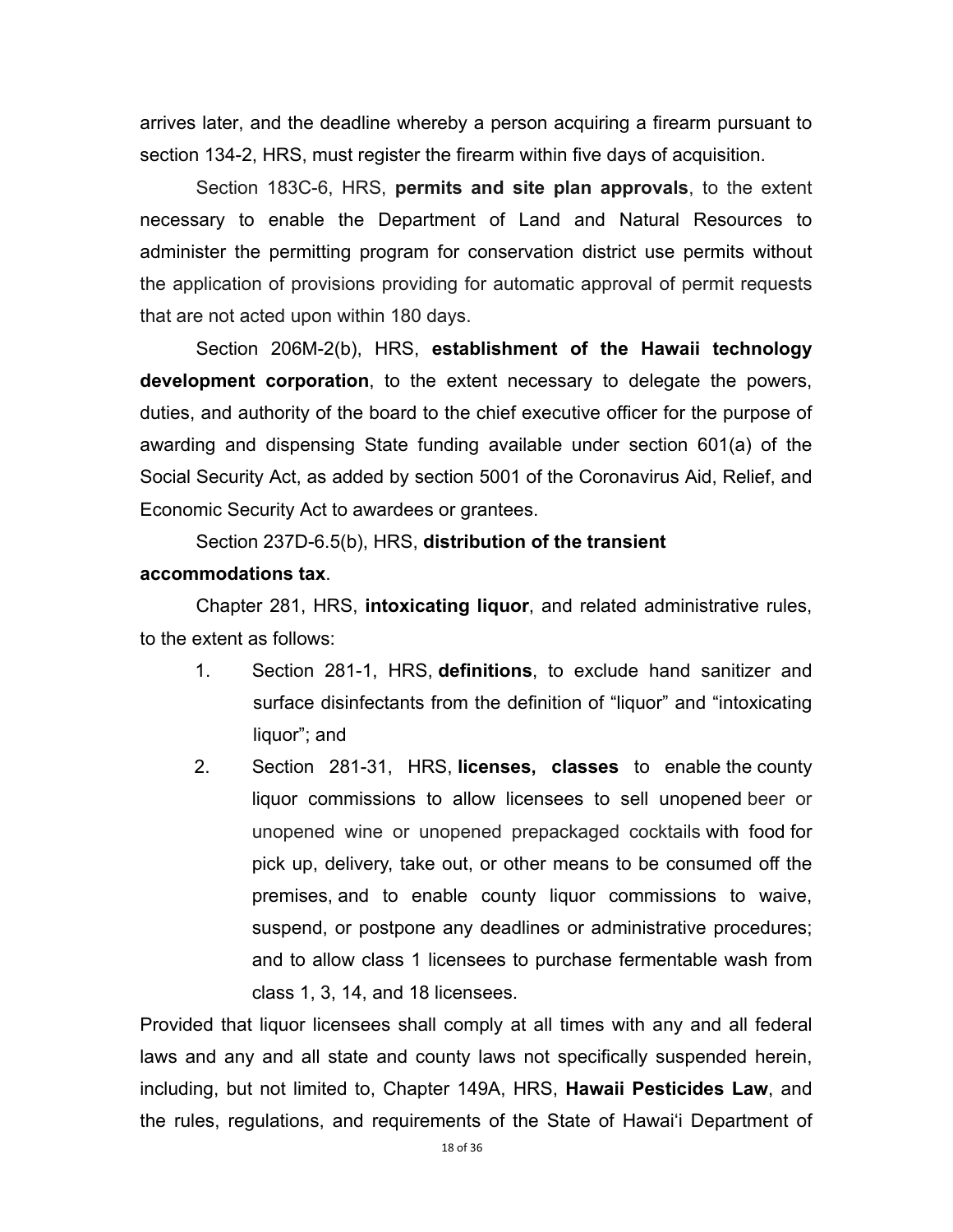arrives later, and the deadline whereby a person acquiring a firearm pursuant to section 134-2, HRS, must register the firearm within five days of acquisition.

Section 183C-6, HRS, **permits and site plan approvals**, to the extent necessary to enable the Department of Land and Natural Resources to administer the permitting program for conservation district use permits without the application of provisions providing for automatic approval of permit requests that are not acted upon within 180 days.

 Section 206M-2(b), HRS, **establishment of the Hawaii technology development corporation**, to the extent necessary to delegate the powers, duties, and authority of the board to the chief executive officer for the purpose of awarding and dispensing State funding available under section 601(a) of the Social Security Act, as added by section 5001 of the Coronavirus Aid, Relief, and Economic Security Act to awardees or grantees.

Section 237D-6.5(b), HRS, **distribution of the transient** 

### **accommodations tax**.

Chapter 281, HRS, **intoxicating liquor**, and related administrative rules, to the extent as follows:

- 1. Section 281-1, HRS, **definitions**, to exclude hand sanitizer and surface disinfectants from the definition of "liquor" and "intoxicating liquor"; and
- 2. Section 281-31, HRS, **licenses, classes** to enable the county liquor commissions to allow licensees to sell unopened beer or unopened wine or unopened prepackaged cocktails with food for pick up, delivery, take out, or other means to be consumed off the premises, and to enable county liquor commissions to waive, suspend, or postpone any deadlines or administrative procedures; and to allow class 1 licensees to purchase fermentable wash from class 1, 3, 14, and 18 licensees.

Provided that liquor licensees shall comply at all times with any and all federal laws and any and all state and county laws not specifically suspended herein, including, but not limited to, Chapter 149A, HRS, **Hawaii Pesticides Law**, and the rules, regulations, and requirements of the State of Hawai'i Department of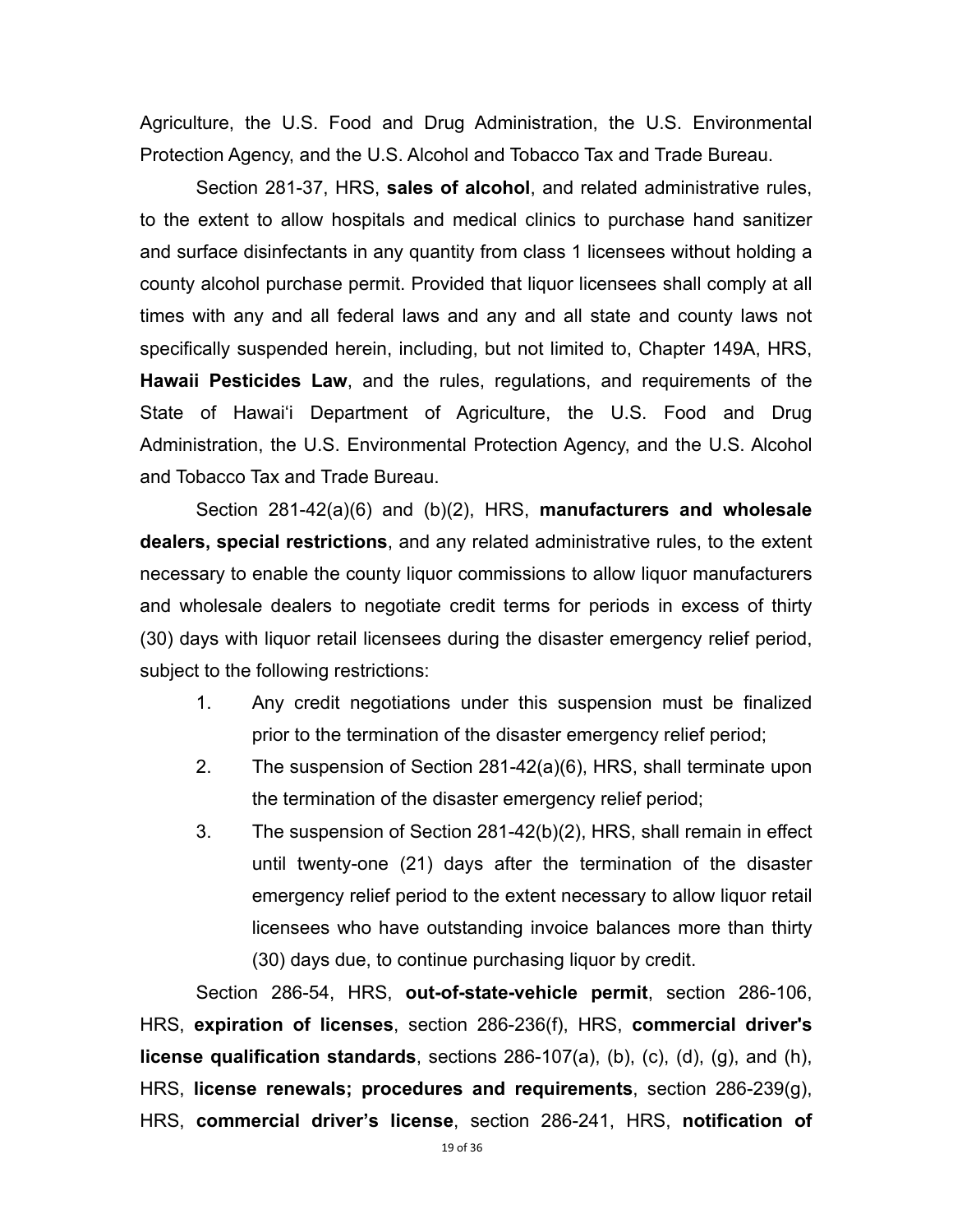Agriculture, the U.S. Food and Drug Administration, the U.S. Environmental Protection Agency, and the U.S. Alcohol and Tobacco Tax and Trade Bureau.

 Section 281-37, HRS, **sales of alcohol**, and related administrative rules, to the extent to allow hospitals and medical clinics to purchase hand sanitizer and surface disinfectants in any quantity from class 1 licensees without holding a county alcohol purchase permit. Provided that liquor licensees shall comply at all times with any and all federal laws and any and all state and county laws not specifically suspended herein, including, but not limited to, Chapter 149A, HRS, **Hawaii Pesticides Law**, and the rules, regulations, and requirements of the State of Hawai'i Department of Agriculture, the U.S. Food and Drug Administration, the U.S. Environmental Protection Agency, and the U.S. Alcohol and Tobacco Tax and Trade Bureau.

 Section 281-42(a)(6) and (b)(2), HRS, **manufacturers and wholesale dealers, special restrictions**, and any related administrative rules, to the extent necessary to enable the county liquor commissions to allow liquor manufacturers and wholesale dealers to negotiate credit terms for periods in excess of thirty (30) days with liquor retail licensees during the disaster emergency relief period, subject to the following restrictions:

- 1. Any credit negotiations under this suspension must be finalized prior to the termination of the disaster emergency relief period;
- 2. The suspension of Section 281-42(a)(6), HRS, shall terminate upon the termination of the disaster emergency relief period;
- 3. The suspension of Section 281-42(b)(2), HRS, shall remain in effect until twenty-one (21) days after the termination of the disaster emergency relief period to the extent necessary to allow liquor retail licensees who have outstanding invoice balances more than thirty (30) days due, to continue purchasing liquor by credit.

 Section 286-54, HRS, **out-of-state-vehicle permit**, section 286-106, HRS, **expiration of licenses**, section 286-236(f), HRS, **commercial driver's license qualification standards**, sections 286-107(a), (b), (c), (d), (g), and (h), HRS, **license renewals; procedures and requirements**, section 286-239(g), HRS, **commercial driver's license**, section 286-241, HRS, **notification of**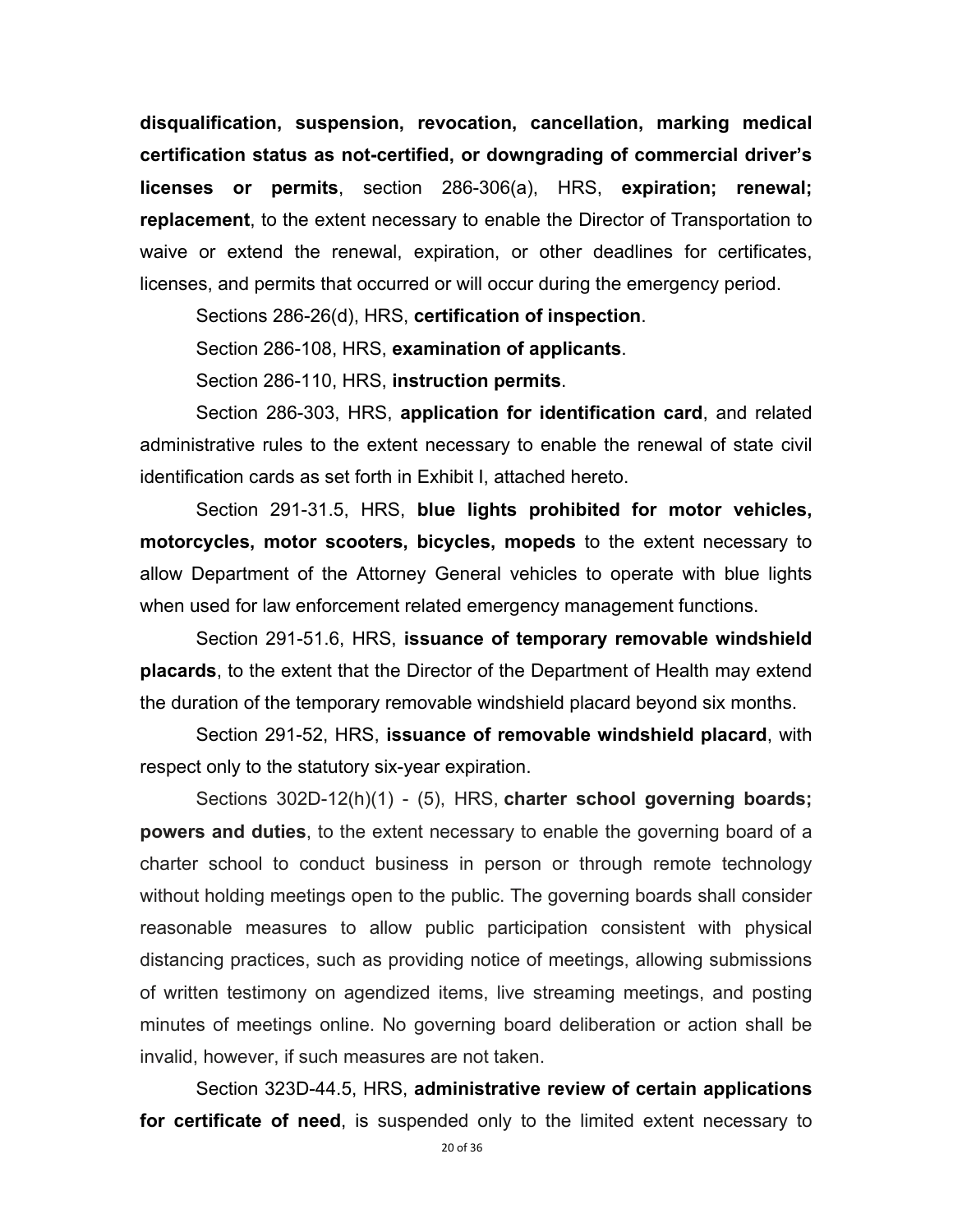**disqualification, suspension, revocation, cancellation, marking medical certification status as not-certified, or downgrading of commercial driver's licenses or permits**, section 286-306(a), HRS, **expiration; renewal; replacement**, to the extent necessary to enable the Director of Transportation to waive or extend the renewal, expiration, or other deadlines for certificates, licenses, and permits that occurred or will occur during the emergency period.

Sections 286-26(d), HRS, **certification of inspection**.

Section 286-108, HRS, **examination of applicants**.

Section 286-110, HRS, **instruction permits**.

 Section 286-303, HRS, **application for identification card**, and related administrative rules to the extent necessary to enable the renewal of state civil identification cards as set forth in Exhibit I, attached hereto.

 Section 291-31.5, HRS, **blue lights prohibited for motor vehicles, motorcycles, motor scooters, bicycles, mopeds** to the extent necessary to allow Department of the Attorney General vehicles to operate with blue lights when used for law enforcement related emergency management functions.

 Section 291-51.6, HRS, **issuance of temporary removable windshield placards**, to the extent that the Director of the Department of Health may extend the duration of the temporary removable windshield placard beyond six months.

 Section 291-52, HRS, **issuance of removable windshield placard**, with respect only to the statutory six-year expiration.

Sections 302D-12(h)(1) - (5), HRS, **charter school governing boards; powers and duties**, to the extent necessary to enable the governing board of a charter school to conduct business in person or through remote technology without holding meetings open to the public. The governing boards shall consider reasonable measures to allow public participation consistent with physical distancing practices, such as providing notice of meetings, allowing submissions of written testimony on agendized items, live streaming meetings, and posting minutes of meetings online. No governing board deliberation or action shall be invalid, however, if such measures are not taken.

Section 323D-44.5, HRS, **administrative review of certain applications for certificate of need**, is suspended only to the limited extent necessary to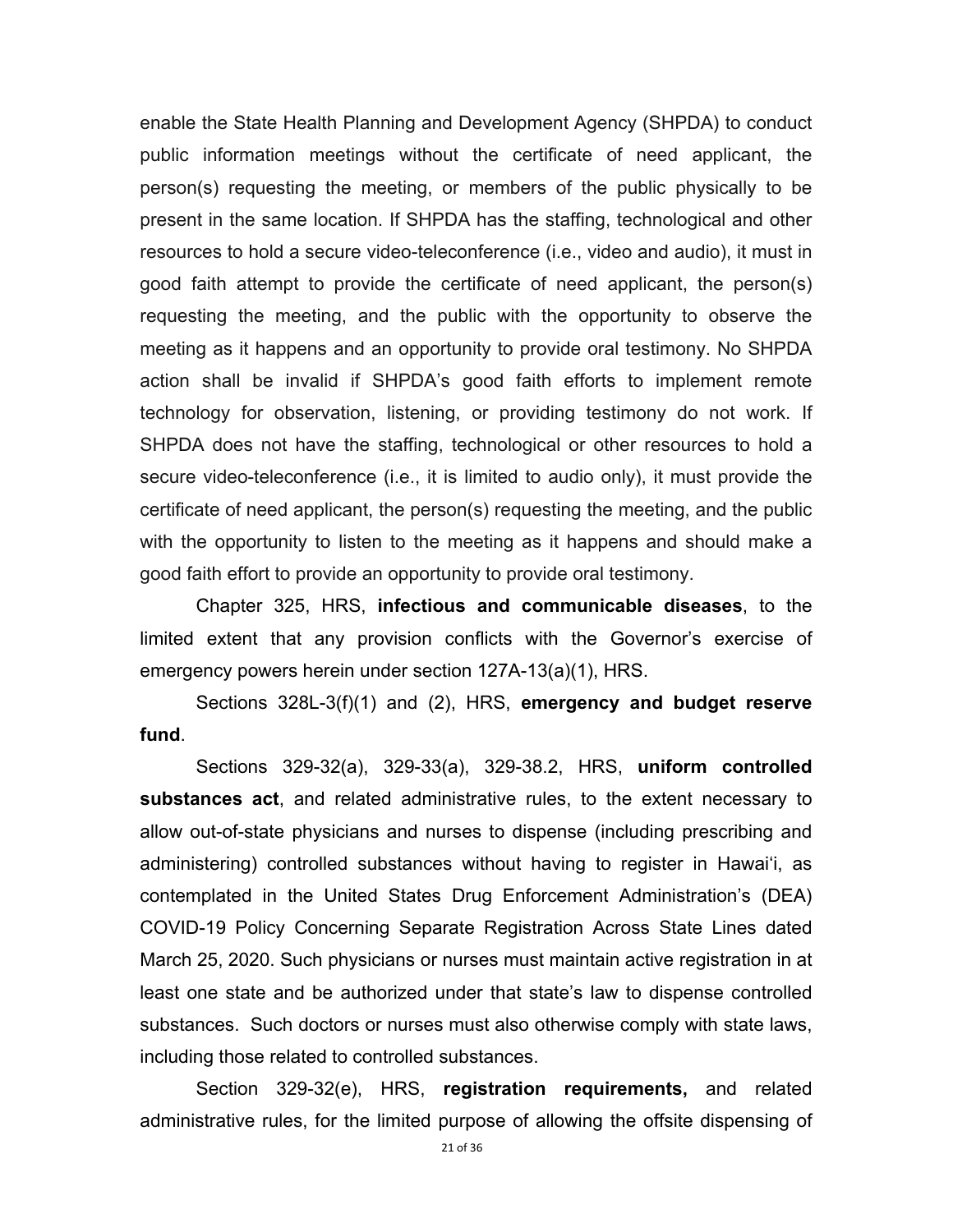enable the State Health Planning and Development Agency (SHPDA) to conduct public information meetings without the certificate of need applicant, the person(s) requesting the meeting, or members of the public physically to be present in the same location. If SHPDA has the staffing, technological and other resources to hold a secure video-teleconference (i.e., video and audio), it must in good faith attempt to provide the certificate of need applicant, the person(s) requesting the meeting, and the public with the opportunity to observe the meeting as it happens and an opportunity to provide oral testimony. No SHPDA action shall be invalid if SHPDA's good faith efforts to implement remote technology for observation, listening, or providing testimony do not work. If SHPDA does not have the staffing, technological or other resources to hold a secure video-teleconference (i.e., it is limited to audio only), it must provide the certificate of need applicant, the person(s) requesting the meeting, and the public with the opportunity to listen to the meeting as it happens and should make a good faith effort to provide an opportunity to provide oral testimony.

 Chapter 325, HRS, **infectious and communicable diseases**, to the limited extent that any provision conflicts with the Governor's exercise of emergency powers herein under section 127A-13(a)(1), HRS.

 Sections 328L-3(f)(1) and (2), HRS, **emergency and budget reserve fund**.

 Sections 329-32(a), 329-33(a), 329-38.2, HRS, **uniform controlled substances act**, and related administrative rules, to the extent necessary to allow out-of-state physicians and nurses to dispense (including prescribing and administering) controlled substances without having to register in Hawai'i, as contemplated in the United States Drug Enforcement Administration's (DEA) COVID-19 Policy Concerning Separate Registration Across State Lines dated March 25, 2020. Such physicians or nurses must maintain active registration in at least one state and be authorized under that state's law to dispense controlled substances. Such doctors or nurses must also otherwise comply with state laws, including those related to controlled substances.

 Section 329-32(e), HRS, **registration requirements,** and related administrative rules, for the limited purpose of allowing the offsite dispensing of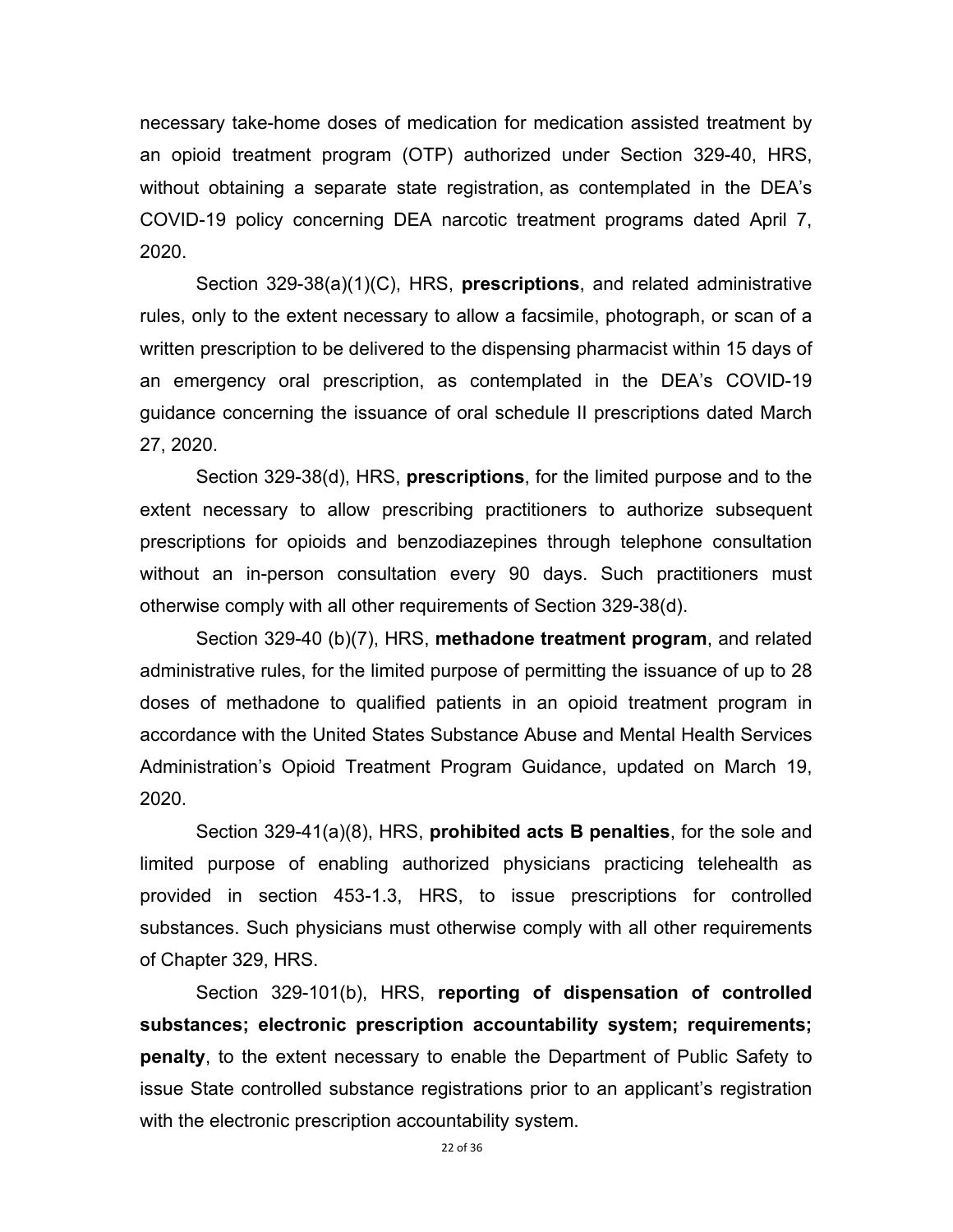necessary take-home doses of medication for medication assisted treatment by an opioid treatment program (OTP) authorized under Section 329-40, HRS, without obtaining a separate state registration, as contemplated in the DEA's COVID-19 policy concerning DEA narcotic treatment programs dated April 7, 2020.

 Section 329-38(a)(1)(C), HRS, **prescriptions**, and related administrative rules, only to the extent necessary to allow a facsimile, photograph, or scan of a written prescription to be delivered to the dispensing pharmacist within 15 days of an emergency oral prescription, as contemplated in the DEA's COVID-19 guidance concerning the issuance of oral schedule II prescriptions dated March 27, 2020.

 Section 329-38(d), HRS, **prescriptions**, for the limited purpose and to the extent necessary to allow prescribing practitioners to authorize subsequent prescriptions for opioids and benzodiazepines through telephone consultation without an in-person consultation every 90 days. Such practitioners must otherwise comply with all other requirements of Section 329-38(d).

 Section 329-40 (b)(7), HRS, **methadone treatment program**, and related administrative rules, for the limited purpose of permitting the issuance of up to 28 doses of methadone to qualified patients in an opioid treatment program in accordance with the United States Substance Abuse and Mental Health Services Administration's Opioid Treatment Program Guidance, updated on March 19, 2020.

 Section 329-41(a)(8), HRS, **prohibited acts B penalties**, for the sole and limited purpose of enabling authorized physicians practicing telehealth as provided in section 453-1.3, HRS, to issue prescriptions for controlled substances. Such physicians must otherwise comply with all other requirements of Chapter 329, HRS.

 Section 329-101(b), HRS, **reporting of dispensation of controlled substances; electronic prescription accountability system; requirements; penalty**, to the extent necessary to enable the Department of Public Safety to issue State controlled substance registrations prior to an applicant's registration with the electronic prescription accountability system.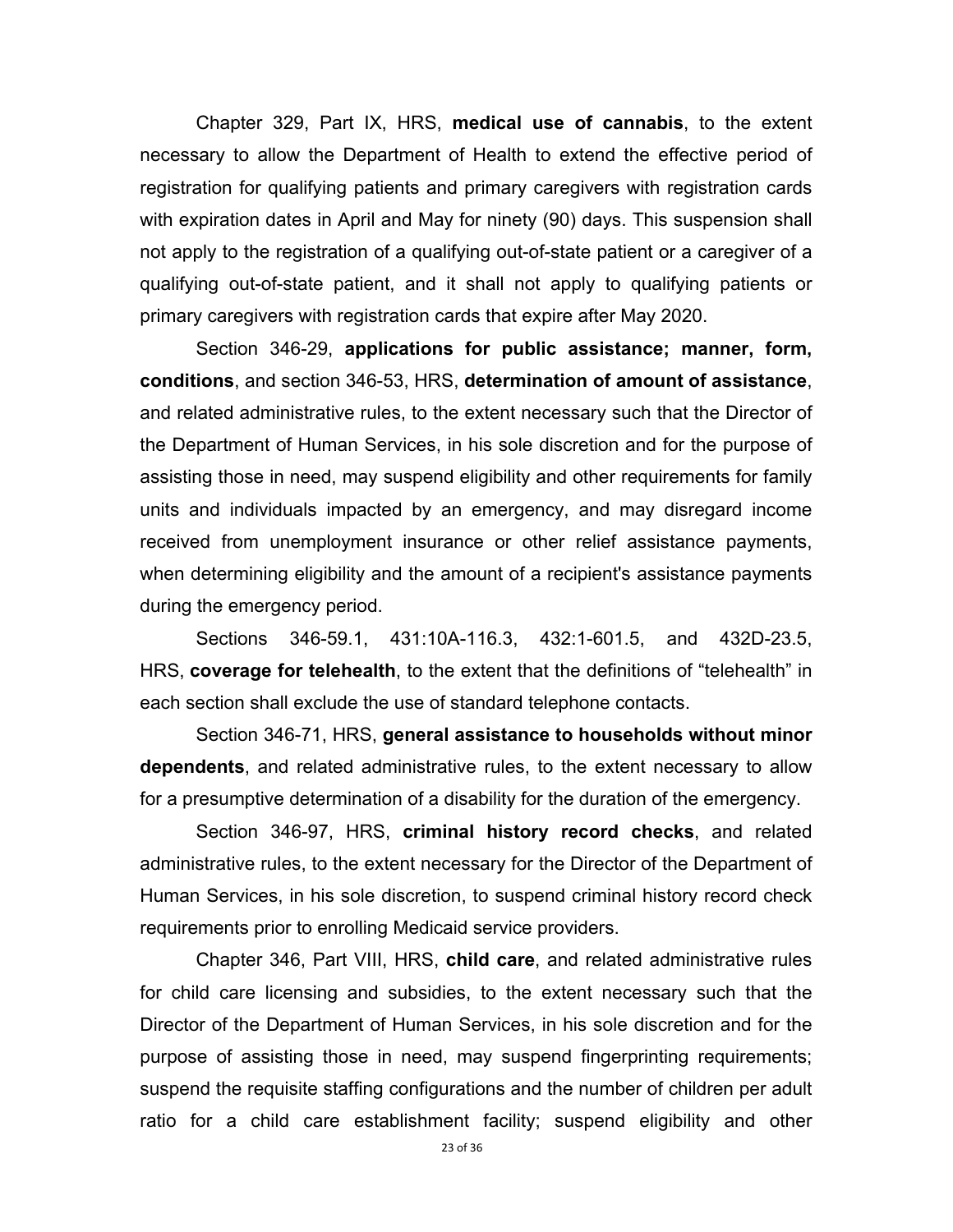Chapter 329, Part IX, HRS, **medical use of cannabis**, to the extent necessary to allow the Department of Health to extend the effective period of registration for qualifying patients and primary caregivers with registration cards with expiration dates in April and May for ninety (90) days. This suspension shall not apply to the registration of a qualifying out-of-state patient or a caregiver of a qualifying out-of-state patient, and it shall not apply to qualifying patients or primary caregivers with registration cards that expire after May 2020.

 Section 346-29, **applications for public assistance; manner, form, conditions**, and section 346-53, HRS, **determination of amount of assistance**, and related administrative rules, to the extent necessary such that the Director of the Department of Human Services, in his sole discretion and for the purpose of assisting those in need, may suspend eligibility and other requirements for family units and individuals impacted by an emergency, and may disregard income received from unemployment insurance or other relief assistance payments, when determining eligibility and the amount of a recipient's assistance payments during the emergency period.

 Sections 346-59.1, 431:10A-116.3, 432:1-601.5, and 432D-23.5, HRS, **coverage for telehealth**, to the extent that the definitions of "telehealth" in each section shall exclude the use of standard telephone contacts.

 Section 346-71, HRS, **general assistance to households without minor dependents**, and related administrative rules, to the extent necessary to allow for a presumptive determination of a disability for the duration of the emergency.

 Section 346-97, HRS, **criminal history record checks**, and related administrative rules, to the extent necessary for the Director of the Department of Human Services, in his sole discretion, to suspend criminal history record check requirements prior to enrolling Medicaid service providers.

 Chapter 346, Part VIII, HRS, **child care**, and related administrative rules for child care licensing and subsidies, to the extent necessary such that the Director of the Department of Human Services, in his sole discretion and for the purpose of assisting those in need, may suspend fingerprinting requirements; suspend the requisite staffing configurations and the number of children per adult ratio for a child care establishment facility; suspend eligibility and other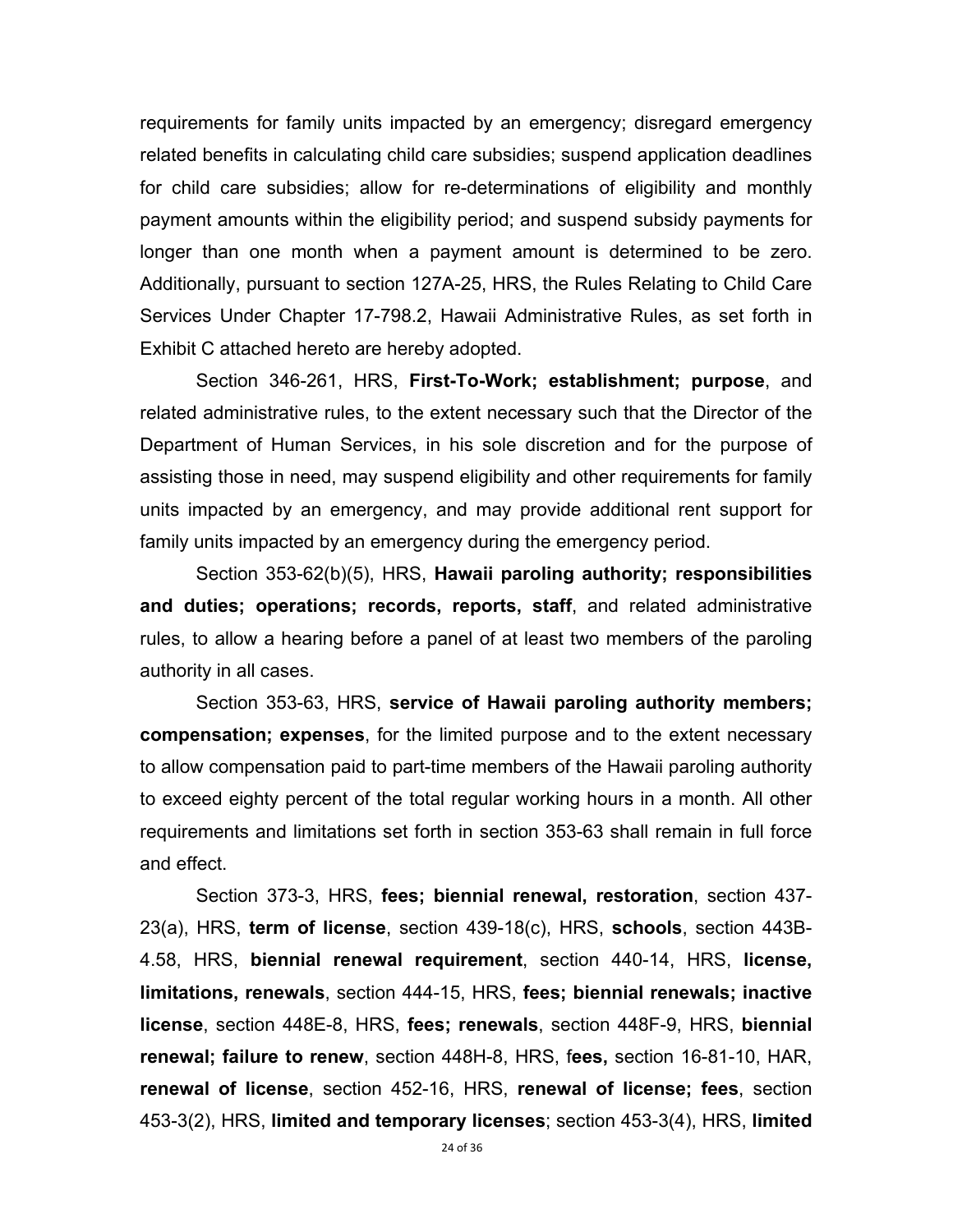requirements for family units impacted by an emergency; disregard emergency related benefits in calculating child care subsidies; suspend application deadlines for child care subsidies; allow for re-determinations of eligibility and monthly payment amounts within the eligibility period; and suspend subsidy payments for longer than one month when a payment amount is determined to be zero. Additionally, pursuant to section 127A-25, HRS, the Rules Relating to Child Care Services Under Chapter 17-798.2, Hawaii Administrative Rules, as set forth in Exhibit C attached hereto are hereby adopted.

 Section 346-261, HRS, **First-To-Work; establishment; purpose**, and related administrative rules, to the extent necessary such that the Director of the Department of Human Services, in his sole discretion and for the purpose of assisting those in need, may suspend eligibility and other requirements for family units impacted by an emergency, and may provide additional rent support for family units impacted by an emergency during the emergency period.

 Section 353-62(b)(5), HRS, **Hawaii paroling authority; responsibilities and duties; operations; records, reports, staff**, and related administrative rules, to allow a hearing before a panel of at least two members of the paroling authority in all cases.

 Section 353-63, HRS, **service of Hawaii paroling authority members; compensation; expenses**, for the limited purpose and to the extent necessary to allow compensation paid to part-time members of the Hawaii paroling authority to exceed eighty percent of the total regular working hours in a month. All other requirements and limitations set forth in section 353-63 shall remain in full force and effect.

 Section 373-3, HRS, **fees; biennial renewal, restoration**, section 437- 23(a), HRS, **term of license**, section 439-18(c), HRS, **schools**, section 443B-4.58, HRS, **biennial renewal requirement**, section 440-14, HRS, **license, limitations, renewals**, section 444-15, HRS, **fees; biennial renewals; inactive license**, section 448E-8, HRS, **fees; renewals**, section 448F-9, HRS, **biennial renewal; failure to renew**, section 448H-8, HRS, f**ees,** section 16-81-10, HAR, **renewal of license**, section 452-16, HRS, **renewal of license; fees**, section 453-3(2), HRS, **limited and temporary licenses**; section 453-3(4), HRS, **limited**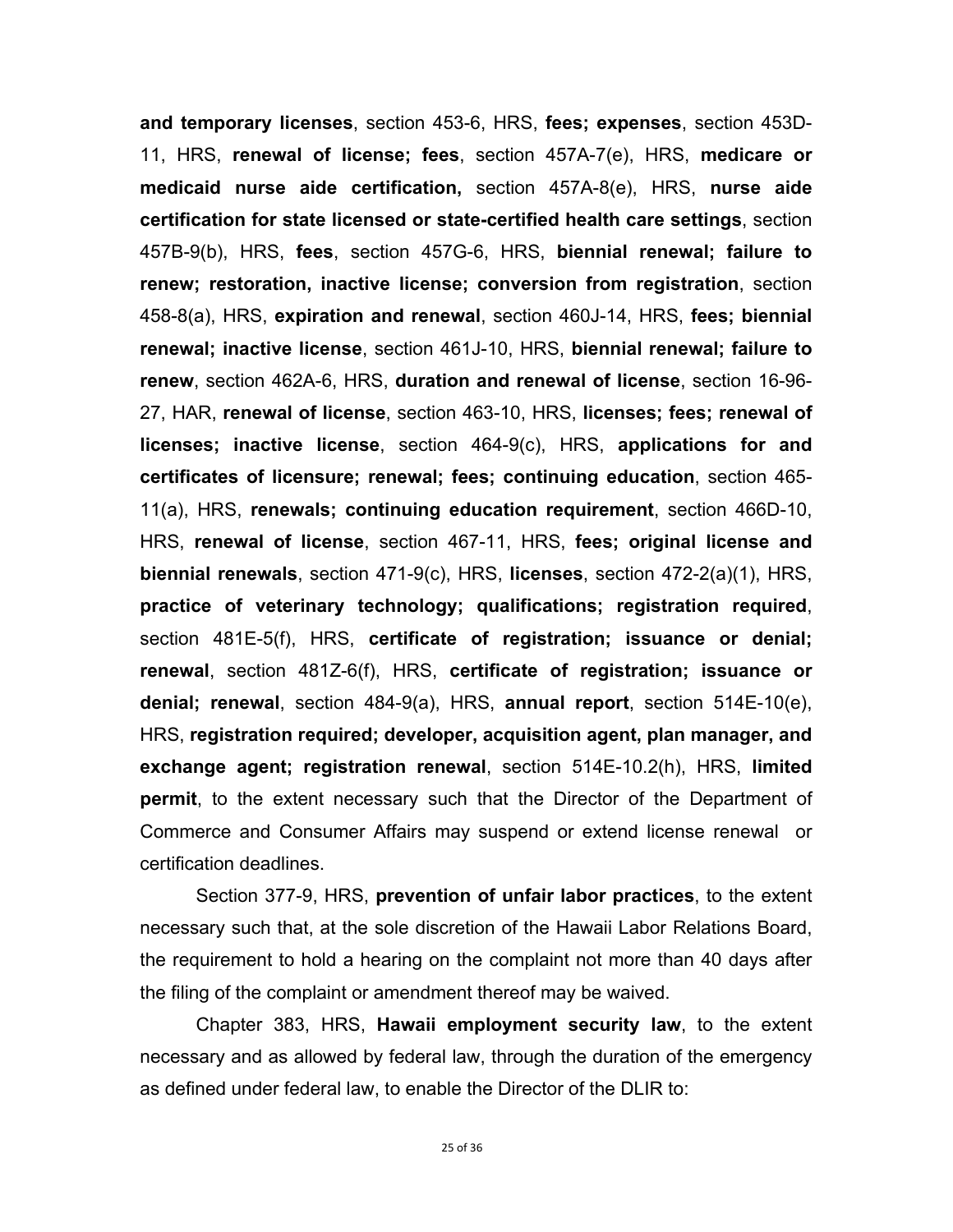**and temporary licenses**, section 453-6, HRS, **fees; expenses**, section 453D-11, HRS, **renewal of license; fees**, section 457A-7(e), HRS, **medicare or medicaid nurse aide certification,** section 457A-8(e), HRS, **nurse aide certification for state licensed or state-certified health care settings**, section 457B-9(b), HRS, **fees**, section 457G-6, HRS, **biennial renewal; failure to renew; restoration, inactive license; conversion from registration**, section 458-8(a), HRS, **expiration and renewal**, section 460J-14, HRS, **fees; biennial renewal; inactive license**, section 461J-10, HRS, **biennial renewal; failure to renew**, section 462A-6, HRS, **duration and renewal of license**, section 16-96- 27, HAR, **renewal of license**, section 463-10, HRS, **licenses; fees; renewal of licenses; inactive license**, section 464-9(c), HRS, **applications for and certificates of licensure; renewal; fees; continuing education**, section 465- 11(a), HRS, **renewals; continuing education requirement**, section 466D-10, HRS, **renewal of license**, section 467-11, HRS, **fees; original license and biennial renewals**, section 471-9(c), HRS, **licenses**, section 472-2(a)(1), HRS, **practice of veterinary technology; qualifications; registration required**, section 481E-5(f), HRS, **certificate of registration; issuance or denial; renewal**, section 481Z-6(f), HRS, **certificate of registration; issuance or denial; renewal**, section 484-9(a), HRS, **annual report**, section 514E-10(e), HRS, **registration required; developer, acquisition agent, plan manager, and exchange agent; registration renewal**, section 514E-10.2(h), HRS, **limited permit**, to the extent necessary such that the Director of the Department of Commerce and Consumer Affairs may suspend or extend license renewal or certification deadlines.

 Section 377-9, HRS, **prevention of unfair labor practices**, to the extent necessary such that, at the sole discretion of the Hawaii Labor Relations Board, the requirement to hold a hearing on the complaint not more than 40 days after the filing of the complaint or amendment thereof may be waived.

Chapter 383, HRS, **Hawaii employment security law**, to the extent necessary and as allowed by federal law, through the duration of the emergency as defined under federal law, to enable the Director of the DLIR to: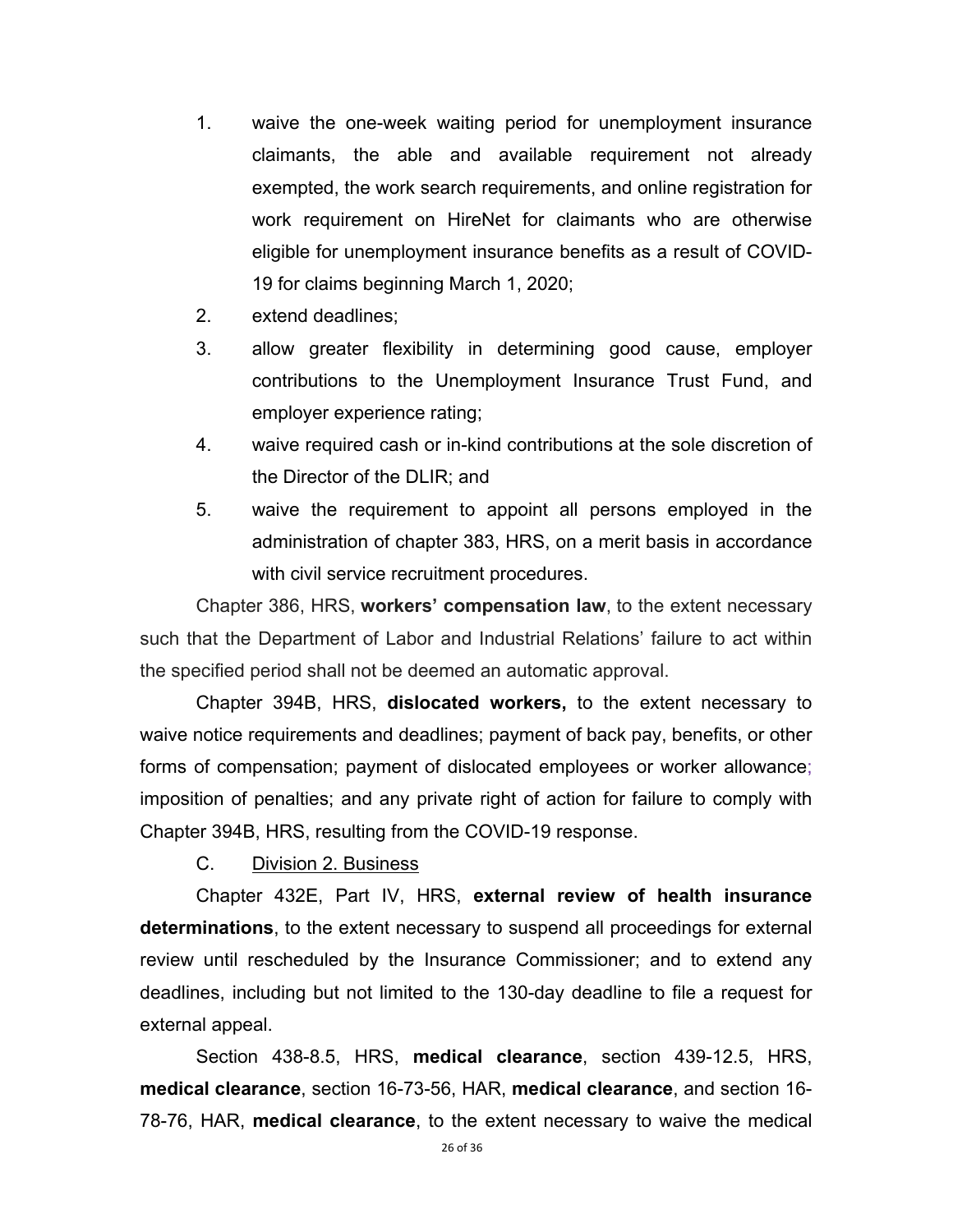- 1. waive the one-week waiting period for unemployment insurance claimants, the able and available requirement not already exempted, the work search requirements, and online registration for work requirement on HireNet for claimants who are otherwise eligible for unemployment insurance benefits as a result of COVID-19 for claims beginning March 1, 2020;
- 2. extend deadlines;
- 3. allow greater flexibility in determining good cause, employer contributions to the Unemployment Insurance Trust Fund, and employer experience rating;
- 4. waive required cash or in-kind contributions at the sole discretion of the Director of the DLIR; and
- 5. waive the requirement to appoint all persons employed in the administration of chapter 383, HRS, on a merit basis in accordance with civil service recruitment procedures.

Chapter 386, HRS, **workers' compensation law**, to the extent necessary such that the Department of Labor and Industrial Relations' failure to act within the specified period shall not be deemed an automatic approval.

Chapter 394B, HRS, **dislocated workers,** to the extent necessary to waive notice requirements and deadlines; payment of back pay, benefits, or other forms of compensation; payment of dislocated employees or worker allowance; imposition of penalties; and any private right of action for failure to comply with Chapter 394B, HRS, resulting from the COVID-19 response.

C. Division 2. Business

Chapter 432E, Part IV, HRS, **external review of health insurance determinations**, to the extent necessary to suspend all proceedings for external review until rescheduled by the Insurance Commissioner; and to extend any deadlines, including but not limited to the 130-day deadline to file a request for external appeal.

 Section 438-8.5, HRS, **medical clearance**, section 439-12.5, HRS, **medical clearance**, section 16-73-56, HAR, **medical clearance**, and section 16- 78-76, HAR, **medical clearance**, to the extent necessary to waive the medical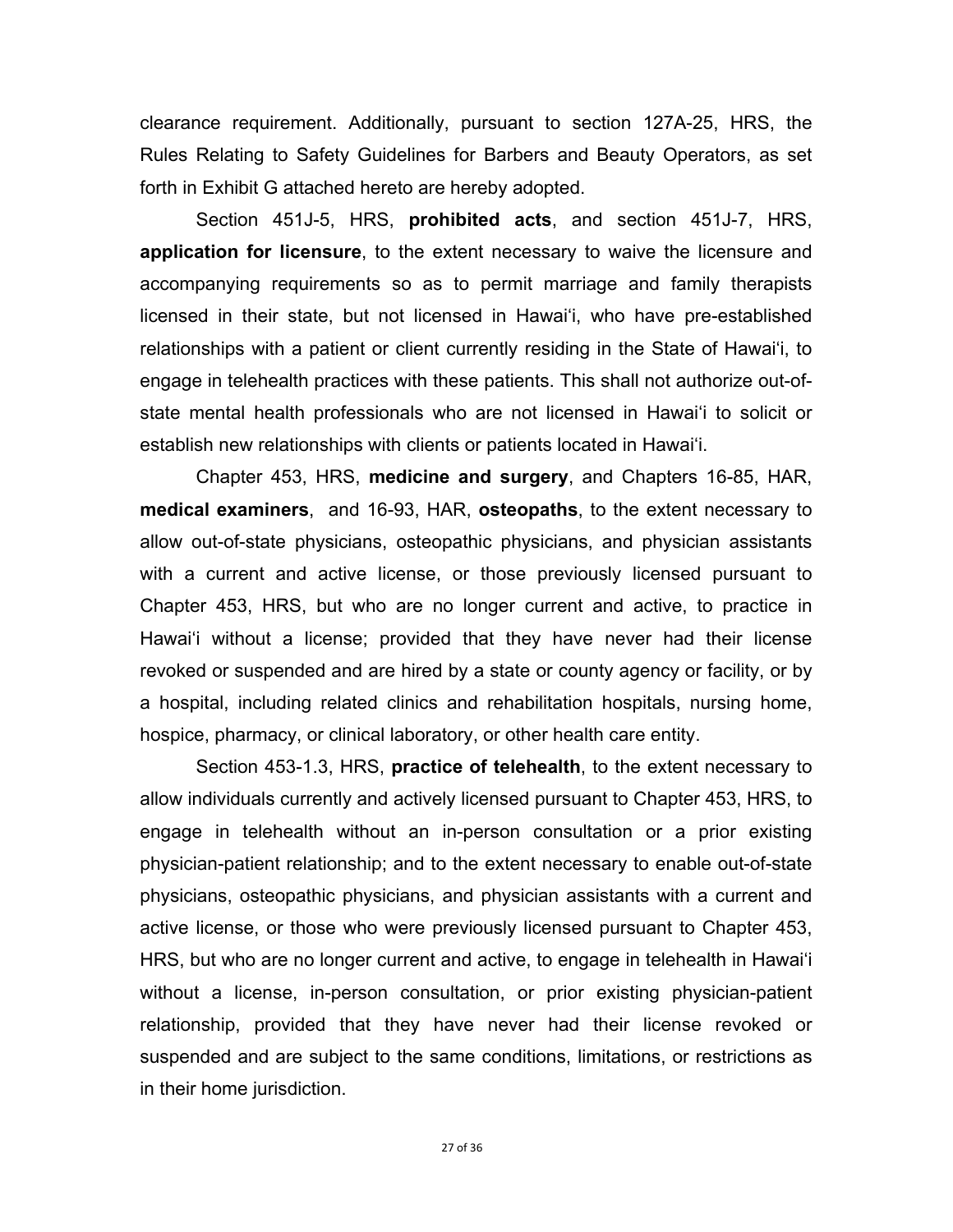clearance requirement. Additionally, pursuant to section 127A-25, HRS, the Rules Relating to Safety Guidelines for Barbers and Beauty Operators, as set forth in Exhibit G attached hereto are hereby adopted.

 Section 451J-5, HRS, **prohibited acts**, and section 451J-7, HRS, **application for licensure**, to the extent necessary to waive the licensure and accompanying requirements so as to permit marriage and family therapists licensed in their state, but not licensed in Hawai'i, who have pre-established relationships with a patient or client currently residing in the State of Hawai'i, to engage in telehealth practices with these patients. This shall not authorize out-ofstate mental health professionals who are not licensed in Hawai'i to solicit or establish new relationships with clients or patients located in Hawai'i.

 Chapter 453, HRS, **medicine and surgery**, and Chapters 16-85, HAR, **medical examiners**, and 16-93, HAR, **osteopaths**, to the extent necessary to allow out-of-state physicians, osteopathic physicians, and physician assistants with a current and active license, or those previously licensed pursuant to Chapter 453, HRS, but who are no longer current and active, to practice in Hawaiʻi without a license; provided that they have never had their license revoked or suspended and are hired by a state or county agency or facility, or by a hospital, including related clinics and rehabilitation hospitals, nursing home, hospice, pharmacy, or clinical laboratory, or other health care entity.

 Section 453-1.3, HRS, **practice of telehealth**, to the extent necessary to allow individuals currently and actively licensed pursuant to Chapter 453, HRS, to engage in telehealth without an in-person consultation or a prior existing physician-patient relationship; and to the extent necessary to enable out-of-state physicians, osteopathic physicians, and physician assistants with a current and active license, or those who were previously licensed pursuant to Chapter 453, HRS, but who are no longer current and active, to engage in telehealth in Hawai'i without a license, in-person consultation, or prior existing physician-patient relationship, provided that they have never had their license revoked or suspended and are subject to the same conditions, limitations, or restrictions as in their home jurisdiction.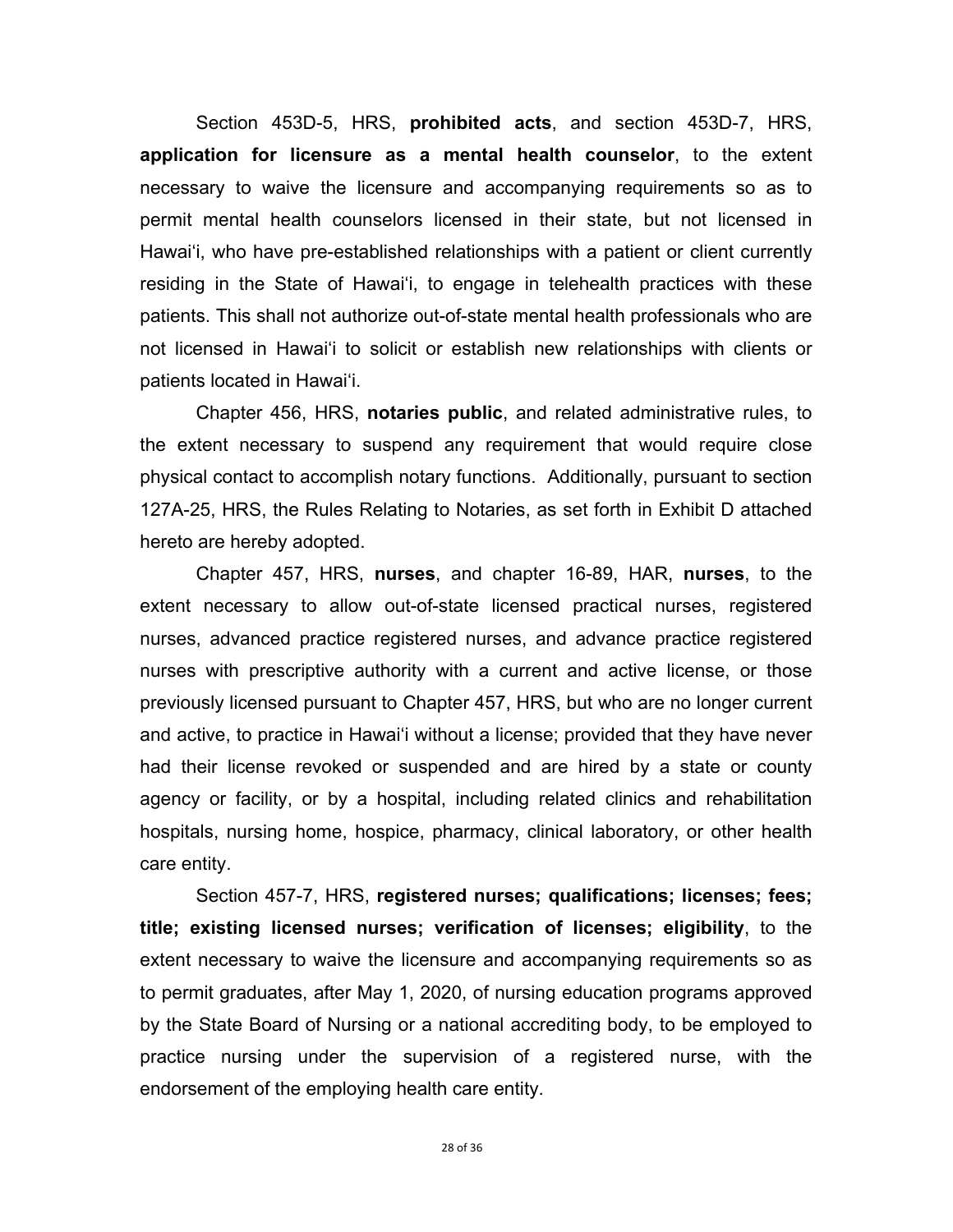Section 453D-5, HRS, **prohibited acts**, and section 453D-7, HRS, **application for licensure as a mental health counselor**, to the extent necessary to waive the licensure and accompanying requirements so as to permit mental health counselors licensed in their state, but not licensed in Hawai'i, who have pre-established relationships with a patient or client currently residing in the State of Hawai'i, to engage in telehealth practices with these patients. This shall not authorize out-of-state mental health professionals who are not licensed in Hawai'i to solicit or establish new relationships with clients or patients located in Hawai'i.

 Chapter 456, HRS, **notaries public**, and related administrative rules, to the extent necessary to suspend any requirement that would require close physical contact to accomplish notary functions. Additionally, pursuant to section 127A-25, HRS, the Rules Relating to Notaries, as set forth in Exhibit D attached hereto are hereby adopted.

 Chapter 457, HRS, **nurses**, and chapter 16-89, HAR, **nurses**, to the extent necessary to allow out-of-state licensed practical nurses, registered nurses, advanced practice registered nurses, and advance practice registered nurses with prescriptive authority with a current and active license, or those previously licensed pursuant to Chapter 457, HRS, but who are no longer current and active, to practice in Hawai'i without a license; provided that they have never had their license revoked or suspended and are hired by a state or county agency or facility, or by a hospital, including related clinics and rehabilitation hospitals, nursing home, hospice, pharmacy, clinical laboratory, or other health care entity.

Section 457-7, HRS, **registered nurses; qualifications; licenses; fees; title; existing licensed nurses; verification of licenses; eligibility**, to the extent necessary to waive the licensure and accompanying requirements so as to permit graduates, after May 1, 2020, of nursing education programs approved by the State Board of Nursing or a national accrediting body, to be employed to practice nursing under the supervision of a registered nurse, with the endorsement of the employing health care entity.

28 of 36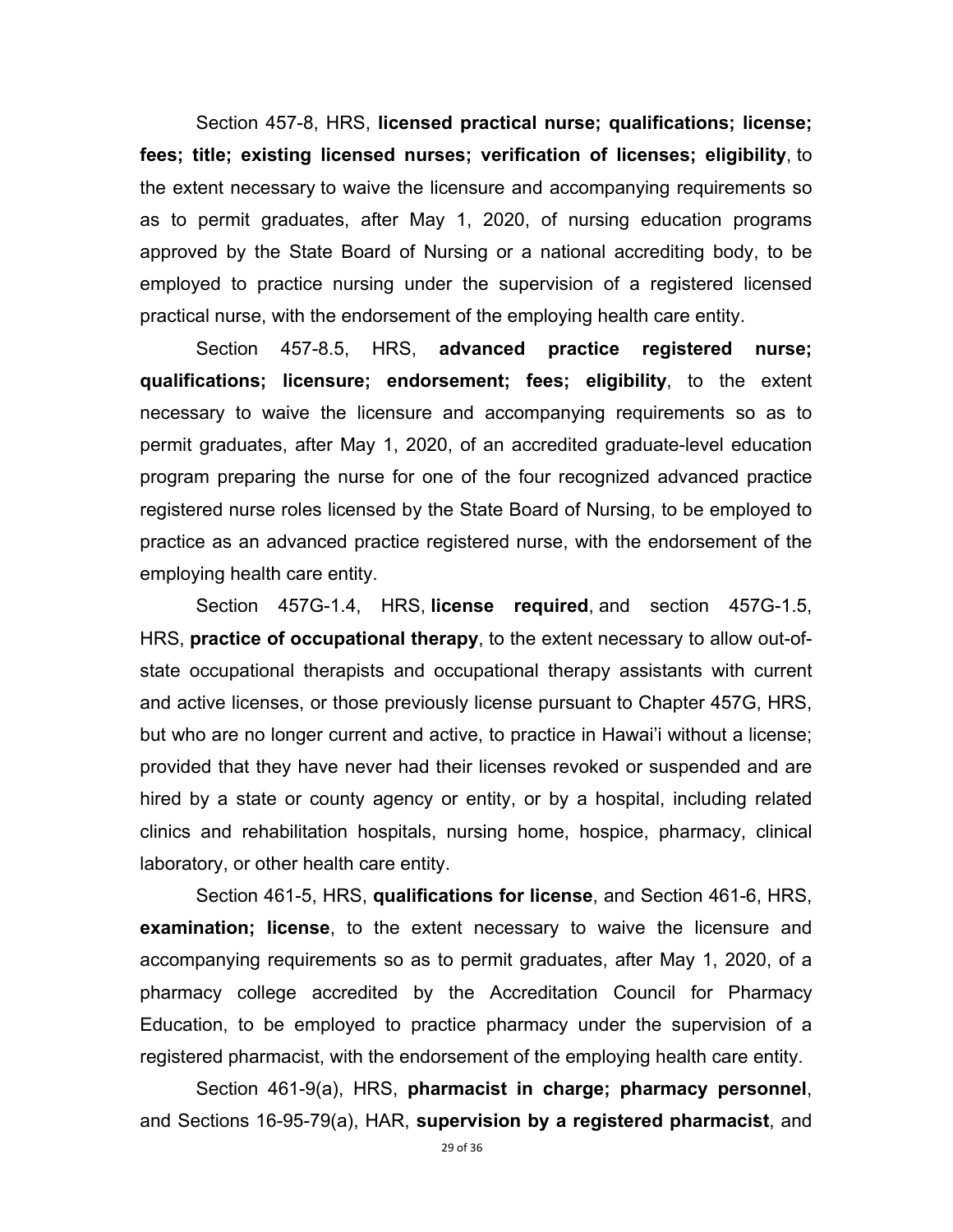Section 457-8, HRS, **licensed practical nurse; qualifications; license; fees; title; existing licensed nurses; verification of licenses; eligibility**, to the extent necessary to waive the licensure and accompanying requirements so as to permit graduates, after May 1, 2020, of nursing education programs approved by the State Board of Nursing or a national accrediting body, to be employed to practice nursing under the supervision of a registered licensed practical nurse, with the endorsement of the employing health care entity.

 Section 457-8.5, HRS, **advanced practice registered nurse; qualifications; licensure; endorsement; fees; eligibility**, to the extent necessary to waive the licensure and accompanying requirements so as to permit graduates, after May 1, 2020, of an accredited graduate-level education program preparing the nurse for one of the four recognized advanced practice registered nurse roles licensed by the State Board of Nursing, to be employed to practice as an advanced practice registered nurse, with the endorsement of the employing health care entity.

Section 457G-1.4, HRS, **license required**, and section 457G-1.5, HRS, **practice of occupational therapy**, to the extent necessary to allow out-ofstate occupational therapists and occupational therapy assistants with current and active licenses, or those previously license pursuant to Chapter 457G, HRS, but who are no longer current and active, to practice in Hawai'i without a license; provided that they have never had their licenses revoked or suspended and are hired by a state or county agency or entity, or by a hospital, including related clinics and rehabilitation hospitals, nursing home, hospice, pharmacy, clinical laboratory, or other health care entity.

 Section 461-5, HRS, **qualifications for license**, and Section 461-6, HRS, **examination; license**, to the extent necessary to waive the licensure and accompanying requirements so as to permit graduates, after May 1, 2020, of a pharmacy college accredited by the Accreditation Council for Pharmacy Education, to be employed to practice pharmacy under the supervision of a registered pharmacist, with the endorsement of the employing health care entity.

 Section 461-9(a), HRS, **pharmacist in charge; pharmacy personnel**, and Sections 16-95-79(a), HAR, **supervision by a registered pharmacist**, and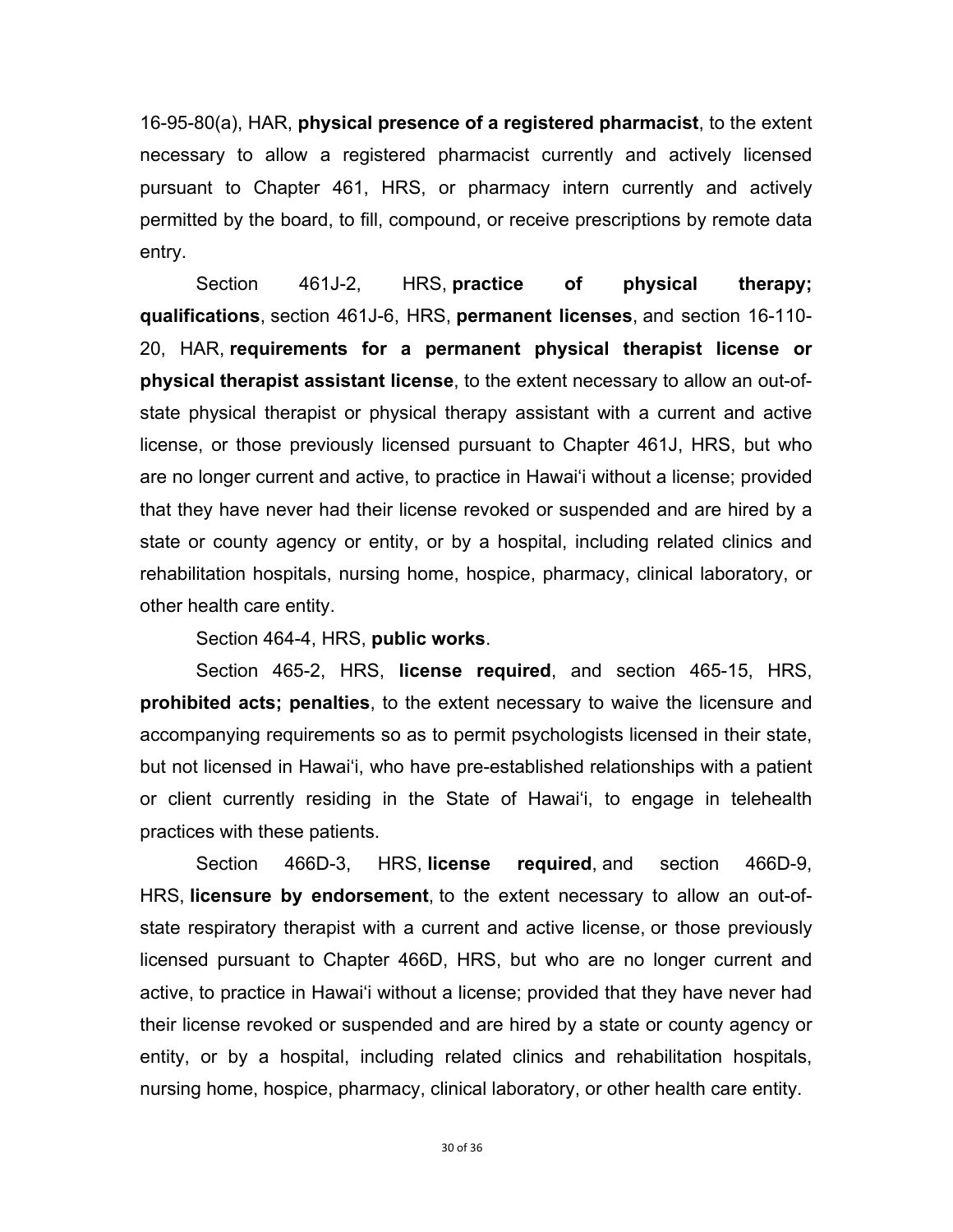16-95-80(a), HAR, **physical presence of a registered pharmacist**, to the extent necessary to allow a registered pharmacist currently and actively licensed pursuant to Chapter 461, HRS, or pharmacy intern currently and actively permitted by the board, to fill, compound, or receive prescriptions by remote data entry.

Section 461J-2, HRS, **practice of physical therapy; qualifications**, section 461J-6, HRS, **permanent licenses**, and section 16-110- 20, HAR, **requirements for a permanent physical therapist license or physical therapist assistant license**, to the extent necessary to allow an out-ofstate physical therapist or physical therapy assistant with a current and active license, or those previously licensed pursuant to Chapter 461J, HRS, but who are no longer current and active, to practice in Hawai'i without a license; provided that they have never had their license revoked or suspended and are hired by a state or county agency or entity, or by a hospital, including related clinics and rehabilitation hospitals, nursing home, hospice, pharmacy, clinical laboratory, or other health care entity.

Section 464-4, HRS, **public works**.

Section 465-2, HRS, **license required**, and section 465-15, HRS, **prohibited acts; penalties**, to the extent necessary to waive the licensure and accompanying requirements so as to permit psychologists licensed in their state, but not licensed in Hawai'i, who have pre-established relationships with a patient or client currently residing in the State of Hawai'i, to engage in telehealth practices with these patients.

 Section 466D-3, HRS, **license required**, and section 466D-9, HRS, **licensure by endorsement**, to the extent necessary to allow an out-ofstate respiratory therapist with a current and active license, or those previously licensed pursuant to Chapter 466D, HRS, but who are no longer current and active, to practice in Hawai'i without a license; provided that they have never had their license revoked or suspended and are hired by a state or county agency or entity, or by a hospital, including related clinics and rehabilitation hospitals, nursing home, hospice, pharmacy, clinical laboratory, or other health care entity.

30 of 36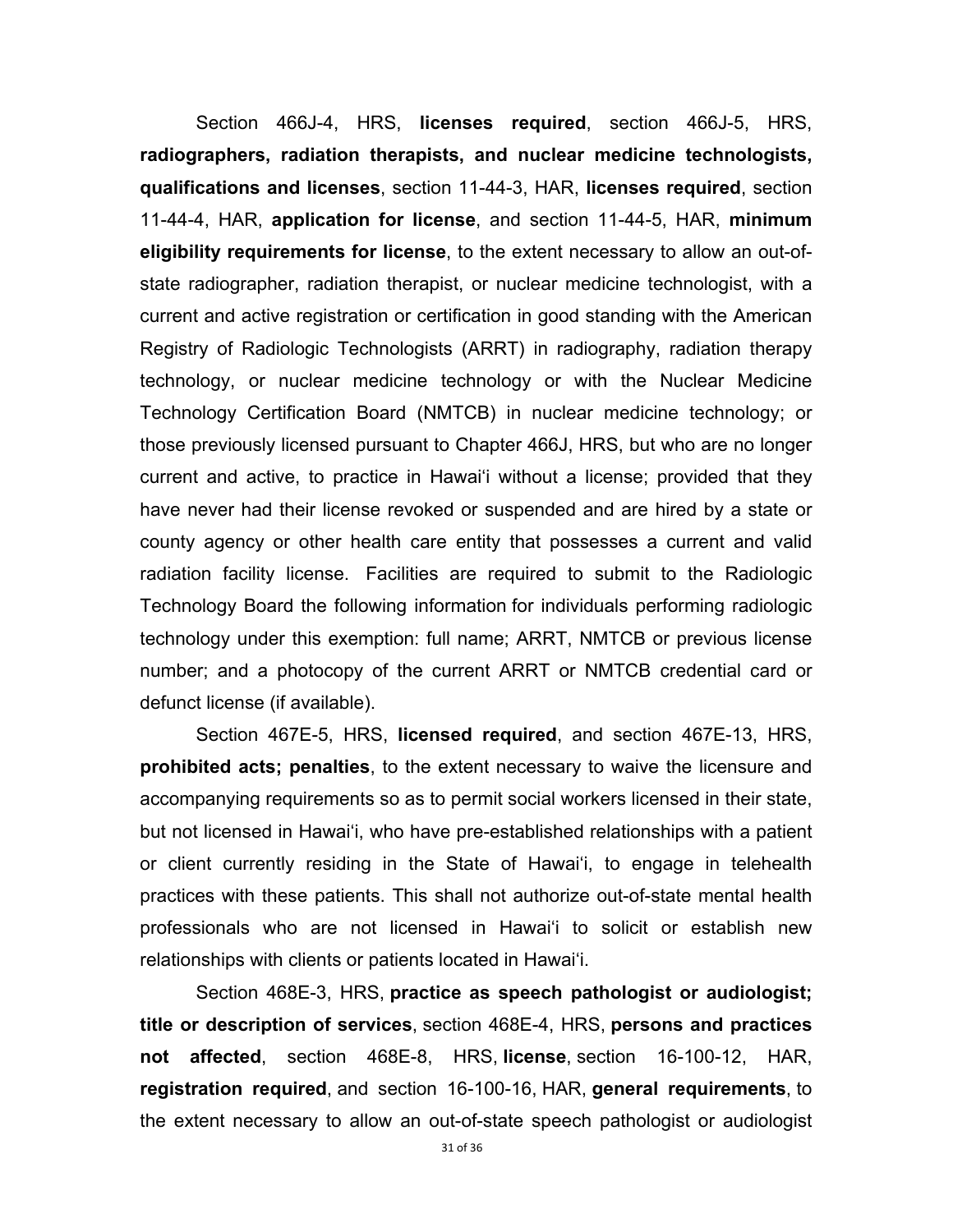Section 466J-4, HRS, **licenses required**, section 466J-5, HRS, **radiographers, radiation therapists, and nuclear medicine technologists, qualifications and licenses**, section 11-44-3, HAR, **licenses required**, section 11-44-4, HAR, **application for license**, and section 11-44-5, HAR, **minimum eligibility requirements for license**, to the extent necessary to allow an out-ofstate radiographer, radiation therapist, or nuclear medicine technologist, with a current and active registration or certification in good standing with the American Registry of Radiologic Technologists (ARRT) in radiography, radiation therapy technology, or nuclear medicine technology or with the Nuclear Medicine Technology Certification Board (NMTCB) in nuclear medicine technology; or those previously licensed pursuant to Chapter 466J, HRS, but who are no longer current and active, to practice in Hawai'i without a license; provided that they have never had their license revoked or suspended and are hired by a state or county agency or other health care entity that possesses a current and valid radiation facility license. Facilities are required to submit to the Radiologic Technology Board the following information for individuals performing radiologic technology under this exemption: full name; ARRT, NMTCB or previous license number; and a photocopy of the current ARRT or NMTCB credential card or defunct license (if available).

Section 467E-5, HRS, **licensed required**, and section 467E-13, HRS, **prohibited acts; penalties**, to the extent necessary to waive the licensure and accompanying requirements so as to permit social workers licensed in their state, but not licensed in Hawai'i, who have pre-established relationships with a patient or client currently residing in the State of Hawai'i, to engage in telehealth practices with these patients. This shall not authorize out-of-state mental health professionals who are not licensed in Hawai'i to solicit or establish new relationships with clients or patients located in Hawai'i.

 Section 468E-3, HRS, **practice as speech pathologist or audiologist; title or description of services**, section 468E-4, HRS, **persons and practices not affected**, section 468E-8, HRS, **license**, section 16-100-12, HAR, **registration required**, and section 16-100-16, HAR, **general requirements**, to the extent necessary to allow an out-of-state speech pathologist or audiologist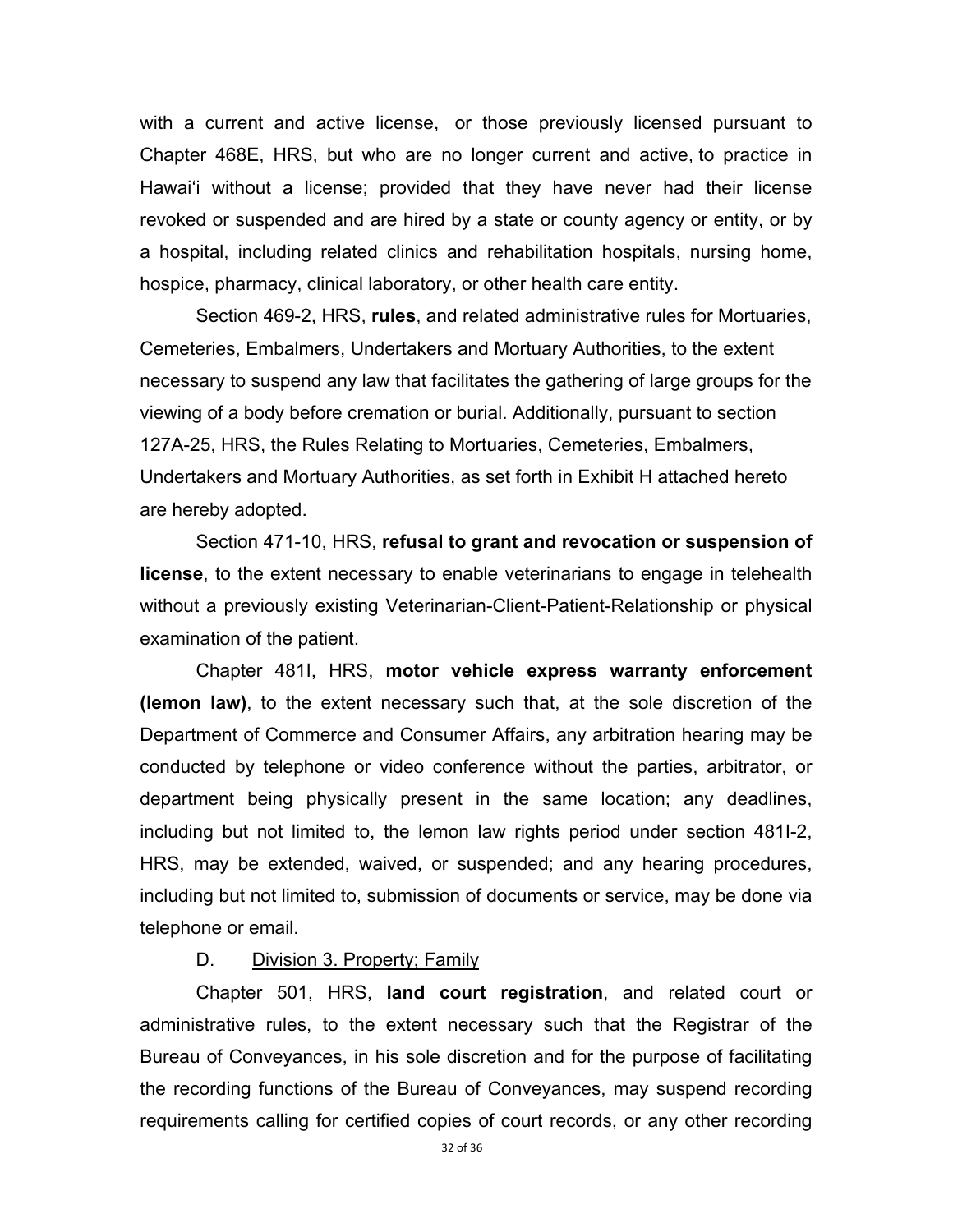with a current and active license, or those previously licensed pursuant to Chapter 468E, HRS, but who are no longer current and active, to practice in Hawai'i without a license; provided that they have never had their license revoked or suspended and are hired by a state or county agency or entity, or by a hospital, including related clinics and rehabilitation hospitals, nursing home, hospice, pharmacy, clinical laboratory, or other health care entity.

Section 469-2, HRS, **rules**, and related administrative rules for Mortuaries, Cemeteries, Embalmers, Undertakers and Mortuary Authorities, to the extent necessary to suspend any law that facilitates the gathering of large groups for the viewing of a body before cremation or burial. Additionally, pursuant to section 127A-25, HRS, the Rules Relating to Mortuaries, Cemeteries, Embalmers, Undertakers and Mortuary Authorities, as set forth in Exhibit H attached hereto are hereby adopted.

 Section 471-10, HRS, **refusal to grant and revocation or suspension of license**, to the extent necessary to enable veterinarians to engage in telehealth without a previously existing Veterinarian-Client-Patient-Relationship or physical examination of the patient.

 Chapter 481I, HRS, **motor vehicle express warranty enforcement (lemon law)**, to the extent necessary such that, at the sole discretion of the Department of Commerce and Consumer Affairs, any arbitration hearing may be conducted by telephone or video conference without the parties, arbitrator, or department being physically present in the same location; any deadlines, including but not limited to, the lemon law rights period under section 481I-2, HRS, may be extended, waived, or suspended; and any hearing procedures, including but not limited to, submission of documents or service, may be done via telephone or email.

#### D. Division 3. Property; Family

 Chapter 501, HRS, **land court registration**, and related court or administrative rules, to the extent necessary such that the Registrar of the Bureau of Conveyances, in his sole discretion and for the purpose of facilitating the recording functions of the Bureau of Conveyances, may suspend recording requirements calling for certified copies of court records, or any other recording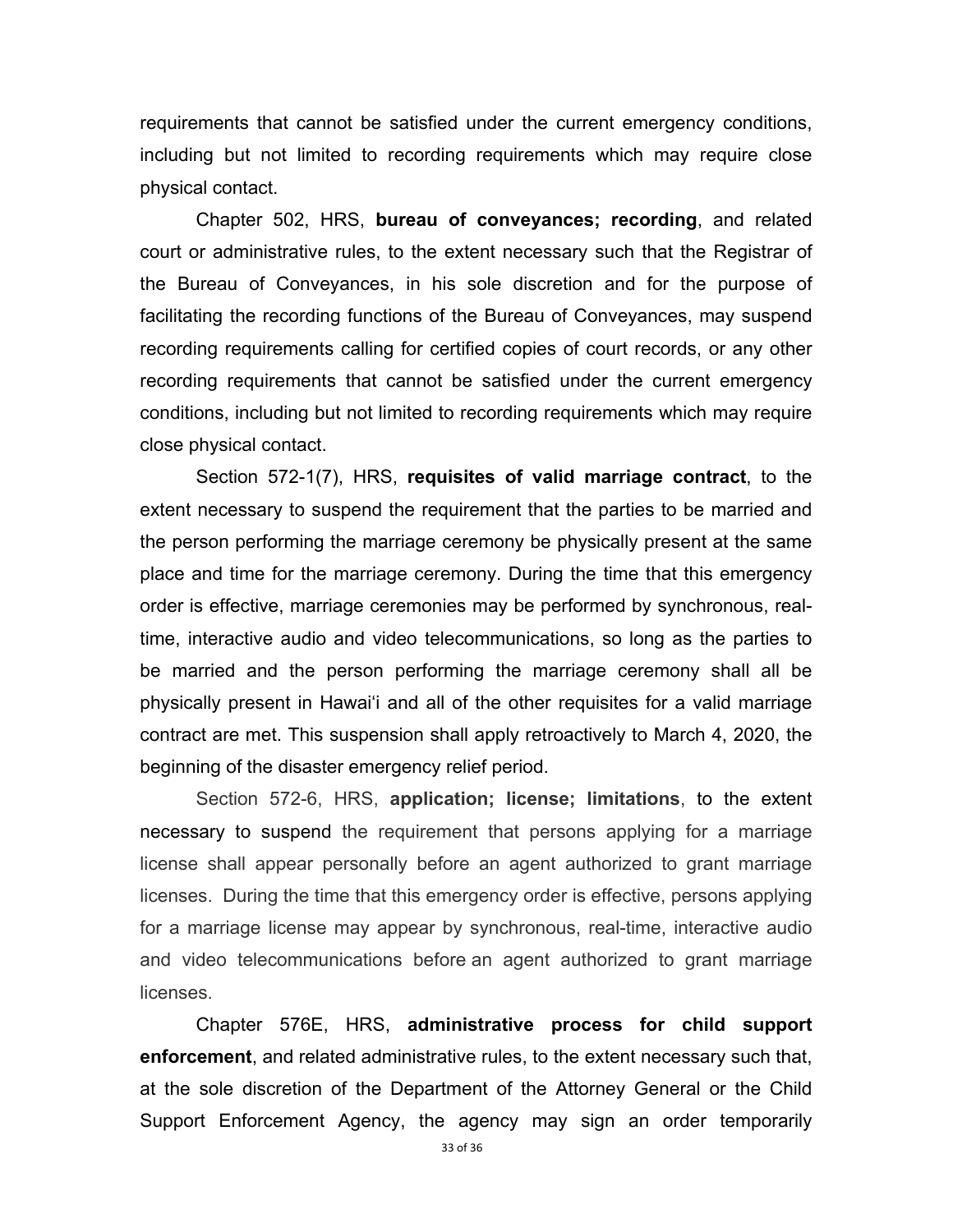requirements that cannot be satisfied under the current emergency conditions, including but not limited to recording requirements which may require close physical contact.

 Chapter 502, HRS, **bureau of conveyances; recording**, and related court or administrative rules, to the extent necessary such that the Registrar of the Bureau of Conveyances, in his sole discretion and for the purpose of facilitating the recording functions of the Bureau of Conveyances, may suspend recording requirements calling for certified copies of court records, or any other recording requirements that cannot be satisfied under the current emergency conditions, including but not limited to recording requirements which may require close physical contact.

Section 572-1(7), HRS, **requisites of valid marriage contract**, to the extent necessary to suspend the requirement that the parties to be married and the person performing the marriage ceremony be physically present at the same place and time for the marriage ceremony. During the time that this emergency order is effective, marriage ceremonies may be performed by synchronous, realtime, interactive audio and video telecommunications, so long as the parties to be married and the person performing the marriage ceremony shall all be physically present in Hawai'i and all of the other requisites for a valid marriage contract are met. This suspension shall apply retroactively to March 4, 2020, the beginning of the disaster emergency relief period.

 Section 572-6, HRS, **application; license; limitations**, to the extent necessary to suspend the requirement that persons applying for a marriage license shall appear personally before an agent authorized to grant marriage licenses. During the time that this emergency order is effective, persons applying for a marriage license may appear by synchronous, real-time, interactive audio and video telecommunications before an agent authorized to grant marriage licenses.

 Chapter 576E, HRS, **administrative process for child support enforcement**, and related administrative rules, to the extent necessary such that, at the sole discretion of the Department of the Attorney General or the Child Support Enforcement Agency, the agency may sign an order temporarily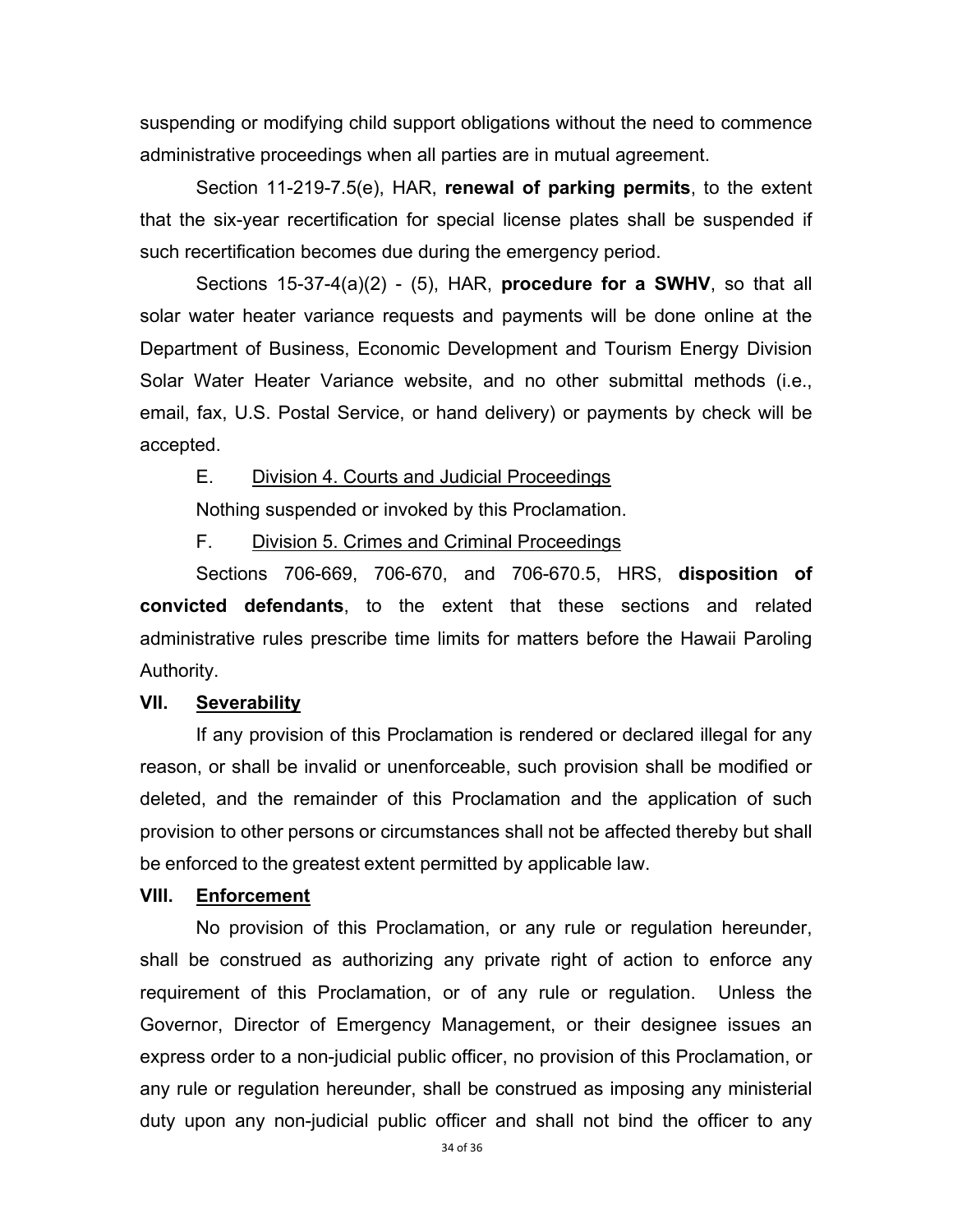suspending or modifying child support obligations without the need to commence administrative proceedings when all parties are in mutual agreement.

 Section 11-219-7.5(e), HAR, **renewal of parking permits**, to the extent that the six-year recertification for special license plates shall be suspended if such recertification becomes due during the emergency period.

 Sections 15-37-4(a)(2) - (5), HAR, **procedure for a SWHV**, so that all solar water heater variance requests and payments will be done online at the Department of Business, Economic Development and Tourism Energy Division Solar Water Heater Variance website, and no other submittal methods (i.e., email, fax, U.S. Postal Service, or hand delivery) or payments by check will be accepted.

E. Division 4. Courts and Judicial Proceedings

Nothing suspended or invoked by this Proclamation.

F. Division 5. Crimes and Criminal Proceedings

 Sections 706-669, 706-670, and 706-670.5, HRS, **disposition of convicted defendants**, to the extent that these sections and related administrative rules prescribe time limits for matters before the Hawaii Paroling Authority.

### **VII. Severability**

If any provision of this Proclamation is rendered or declared illegal for any reason, or shall be invalid or unenforceable, such provision shall be modified or deleted, and the remainder of this Proclamation and the application of such provision to other persons or circumstances shall not be affected thereby but shall be enforced to the greatest extent permitted by applicable law.

## **VIII. Enforcement**

 No provision of this Proclamation, or any rule or regulation hereunder, shall be construed as authorizing any private right of action to enforce any requirement of this Proclamation, or of any rule or regulation. Unless the Governor, Director of Emergency Management, or their designee issues an express order to a non-judicial public officer, no provision of this Proclamation, or any rule or regulation hereunder, shall be construed as imposing any ministerial duty upon any non-judicial public officer and shall not bind the officer to any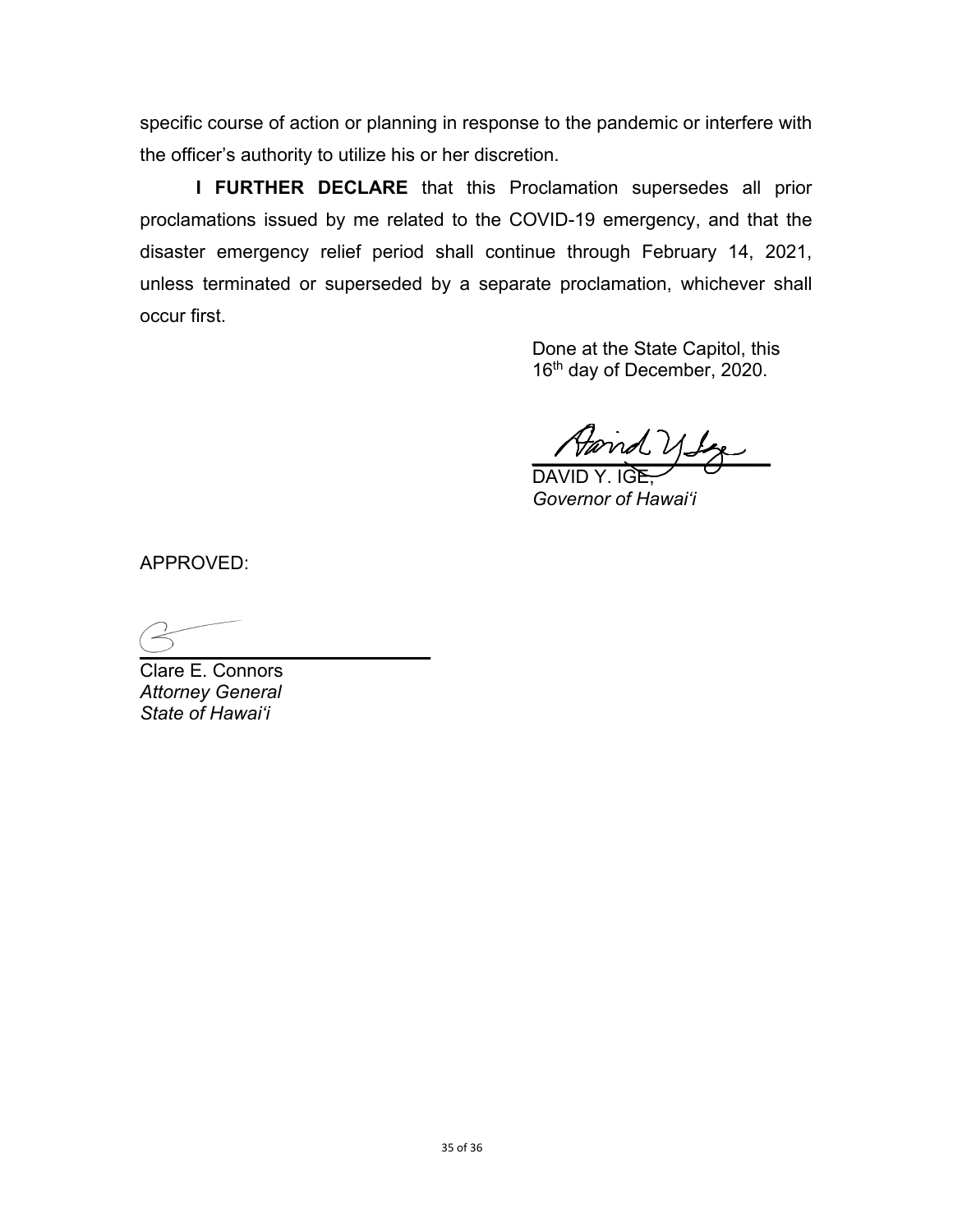specific course of action or planning in response to the pandemic or interfere with the officer's authority to utilize his or her discretion.

**I FURTHER DECLARE** that this Proclamation supersedes all prior proclamations issued by me related to the COVID-19 emergency, and that the disaster emergency relief period shall continue through February 14, 2021, unless terminated or superseded by a separate proclamation, whichever shall occur first.

> Done at the State Capitol, this 16<sup>th</sup> day of December, 2020.

 $\frac{1 \text{Var} \cdot \frac{1}{2}}{1}$ 

 DAVID Y. IGE,  *Governor of Hawai'i*

APPROVED:

**\_\_\_\_\_\_\_\_\_\_\_\_\_\_\_\_\_\_\_\_\_\_\_\_\_\_\_\_** 

Clare E. Connors *Attorney General State of Hawai'i*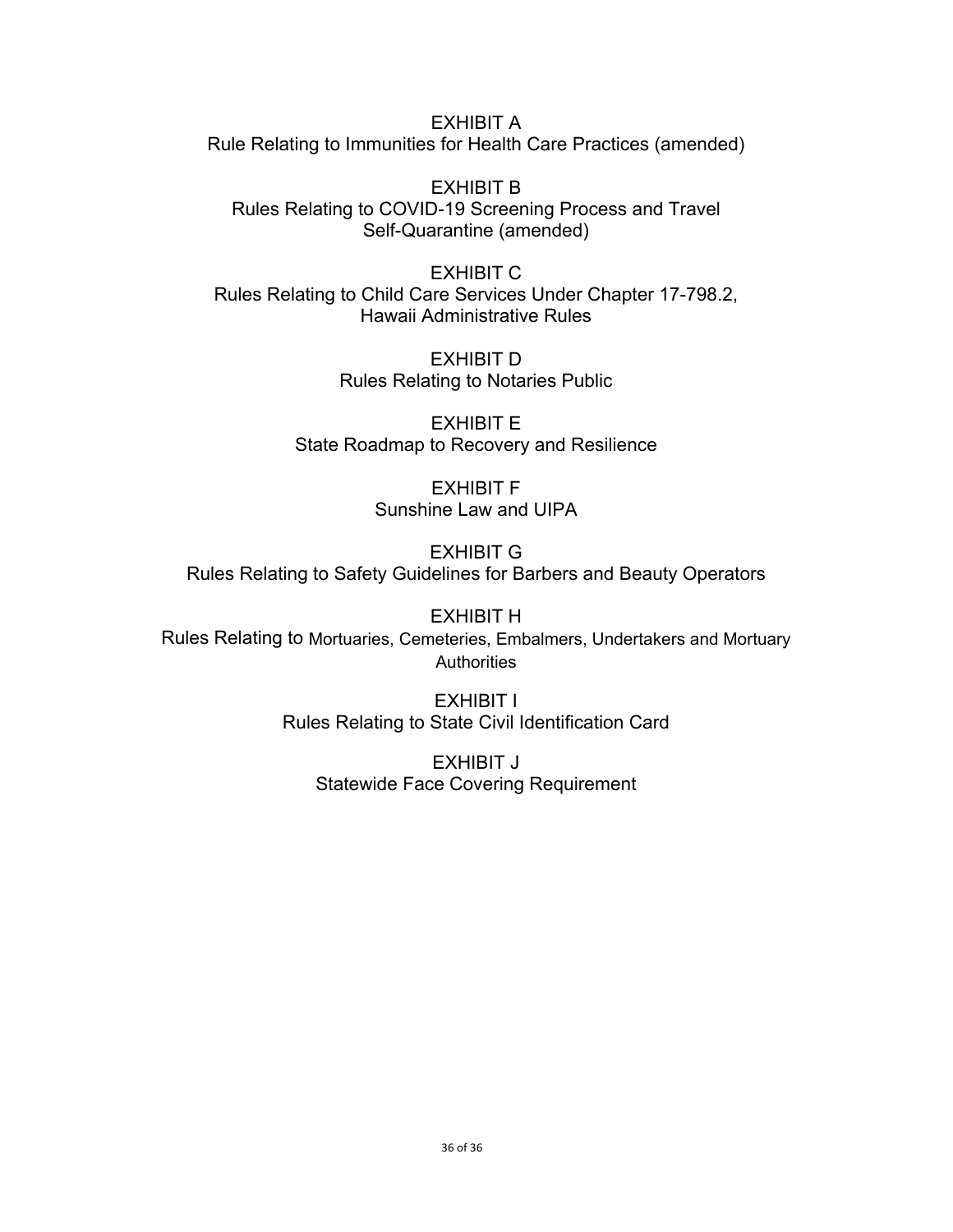EXHIBIT A Rule Relating to Immunities for Health Care Practices (amended)

EXHIBIT B Rules Relating to COVID-19 Screening Process and Travel Self-Quarantine (amended)

EXHIBIT C Rules Relating to Child Care Services Under Chapter 17-798.2, Hawaii Administrative Rules

> EXHIBIT D Rules Relating to Notaries Public

EXHIBIT E State Roadmap to Recovery and Resilience

> EXHIBIT F Sunshine Law and UIPA

EXHIBIT G Rules Relating to Safety Guidelines for Barbers and Beauty Operators

EXHIBIT H Rules Relating to Mortuaries, Cemeteries, Embalmers, Undertakers and Mortuary **Authorities** 

> EXHIBIT I Rules Relating to State Civil Identification Card

EXHIBIT J Statewide Face Covering Requirement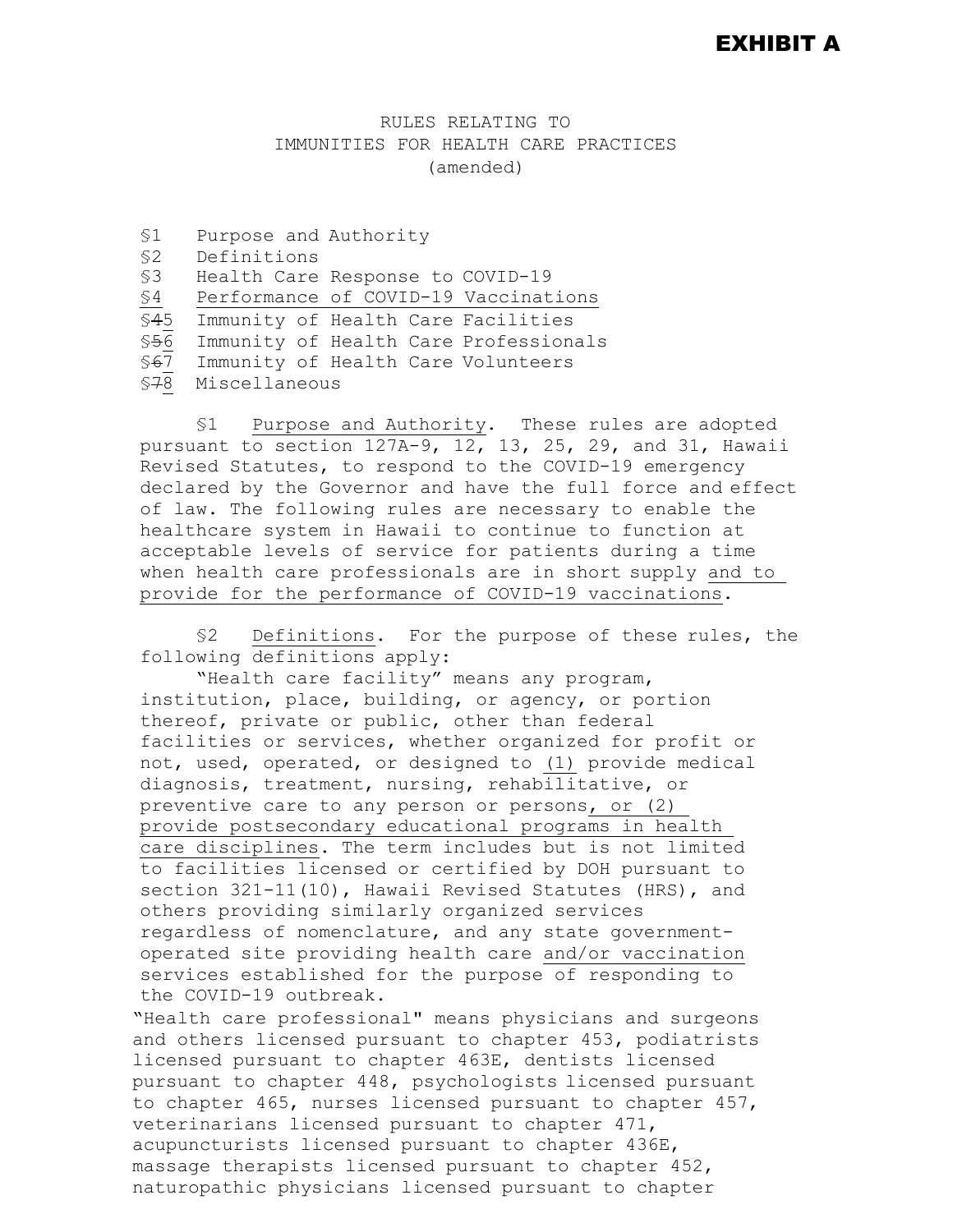### EXHIBIT A

#### RULES RELATING TO IMMUNITIES FOR HEALTH CARE PRACTICES (amended)

§1 Purpose and Authority §2 Definitions Health Care Response to COVID-19 §4 Performance of COVID-19 Vaccinations \$45 Immunity of Health Care Facilities<br>\$56 Immunity of Health Care Profession \$56 Immunity of Health Care Professionals<br>\$<del>6</del>7 Immunity of Health Care Volunteers §67 Immunity of Health Care Volunteers<br>\$78 Miscellaneous §78 Miscellaneous

§1 Purpose and Authority. These rules are adopted pursuant to section 127A-9, 12, 13, 25, 29, and 31, Hawaii Revised Statutes, to respond to the COVID-19 emergency declared by the Governor and have the full force and effect of law. The following rules are necessary to enable the healthcare system in Hawaii to continue to function at acceptable levels of service for patients during a time when health care professionals are in short supply and to provide for the performance of COVID-19 vaccinations.

§2 Definitions. For the purpose of these rules, the following definitions apply:

"Health care facility" means any program, institution, place, building, or agency, or portion thereof, private or public, other than federal facilities or services, whether organized for profit or not, used, operated, or designed to (1) provide medical diagnosis, treatment, nursing, rehabilitative, or preventive care to any person or persons, or (2) provide postsecondary educational programs in health care disciplines. The term includes but is not limited to facilities licensed or certified by DOH pursuant to section 321-11(10), Hawaii Revised Statutes (HRS), and others providing similarly organized services regardless of nomenclature, and any state governmentoperated site providing health care and/or vaccination services established for the purpose of responding to the COVID-19 outbreak.

"Health care professional" means physicians and surgeons and others licensed pursuant to chapter 453, podiatrists licensed pursuant to chapter 463E, dentists licensed pursuant to chapter 448, psychologists licensed pursuant to chapter 465, nurses licensed pursuant to chapter 457, veterinarians licensed pursuant to chapter 471, acupuncturists licensed pursuant to chapter 436E, massage therapists licensed pursuant to chapter 452, naturopathic physicians licensed pursuant to chapter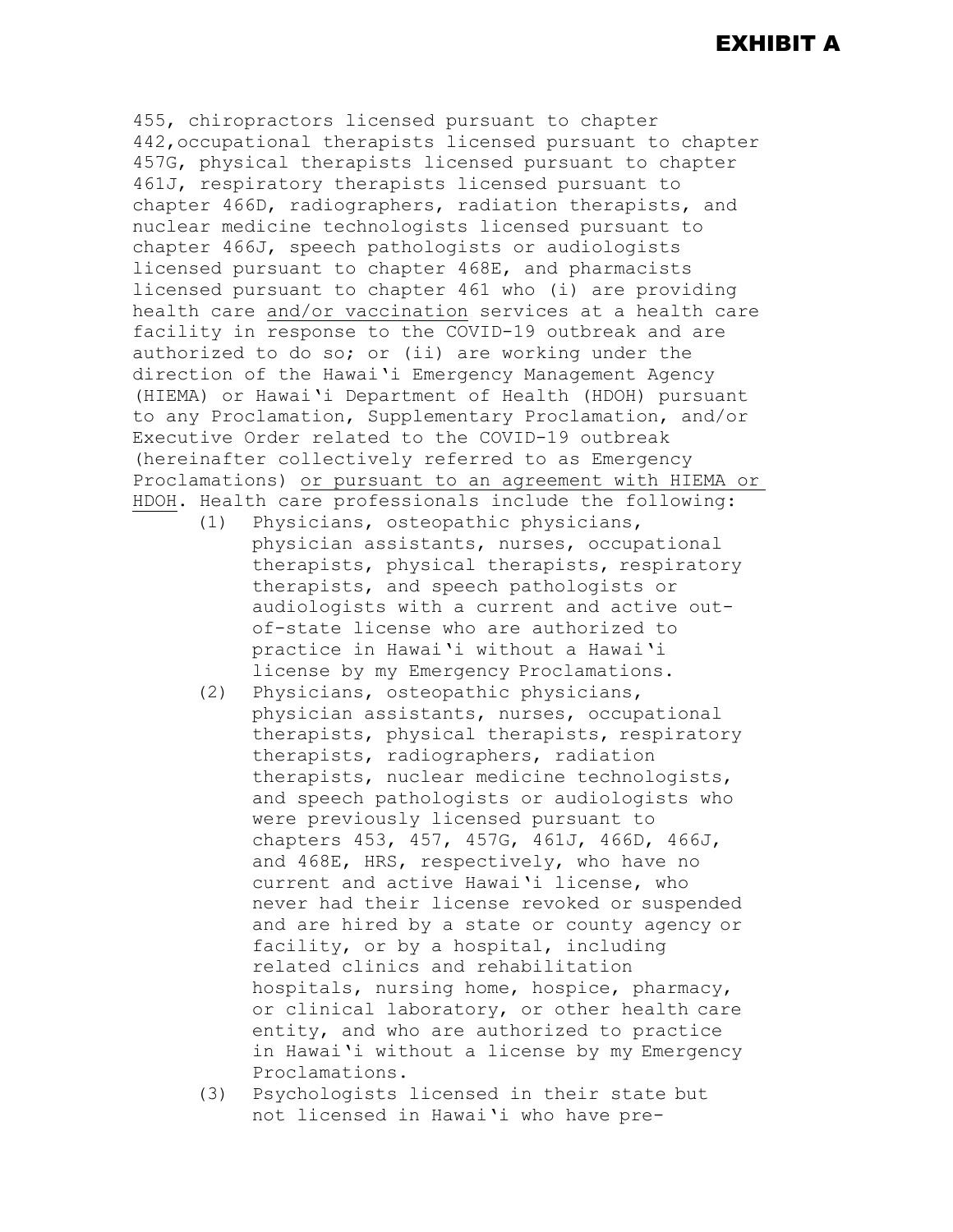# EXHIBIT A

455, chiropractors licensed pursuant to chapter 442,occupational therapists licensed pursuant to chapter 457G, physical therapists licensed pursuant to chapter 461J, respiratory therapists licensed pursuant to chapter 466D, radiographers, radiation therapists, and nuclear medicine technologists licensed pursuant to chapter 466J, speech pathologists or audiologists licensed pursuant to chapter 468E, and pharmacists licensed pursuant to chapter 461 who (i) are providing health care and/or vaccination services at a health care facility in response to the COVID-19 outbreak and are authorized to do so; or (ii) are working under the direction of the Hawai'i Emergency Management Agency (HIEMA) or Hawai'i Department of Health (HDOH) pursuant to any Proclamation, Supplementary Proclamation, and/or Executive Order related to the COVID-19 outbreak (hereinafter collectively referred to as Emergency Proclamations) or pursuant to an agreement with HIEMA or HDOH. Health care professionals include the following:

- (1) Physicians, osteopathic physicians, physician assistants, nurses, occupational therapists, physical therapists, respiratory therapists, and speech pathologists or audiologists with a current and active outof-state license who are authorized to practice in Hawai'i without a Hawai'i license by my Emergency Proclamations.
- (2) Physicians, osteopathic physicians, physician assistants, nurses, occupational therapists, physical therapists, respiratory therapists, radiographers, radiation therapists, nuclear medicine technologists, and speech pathologists or audiologists who were previously licensed pursuant to chapters 453, 457, 457G, 461J, 466D, 466J, and 468E, HRS, respectively, who have no current and active Hawai'i license, who never had their license revoked or suspended and are hired by a state or county agency or facility, or by a hospital, including related clinics and rehabilitation hospitals, nursing home, hospice, pharmacy, or clinical laboratory, or other health care entity, and who are authorized to practice in Hawai'i without a license by my Emergency Proclamations.
- (3) Psychologists licensed in their state but not licensed in Hawai'i who have pre-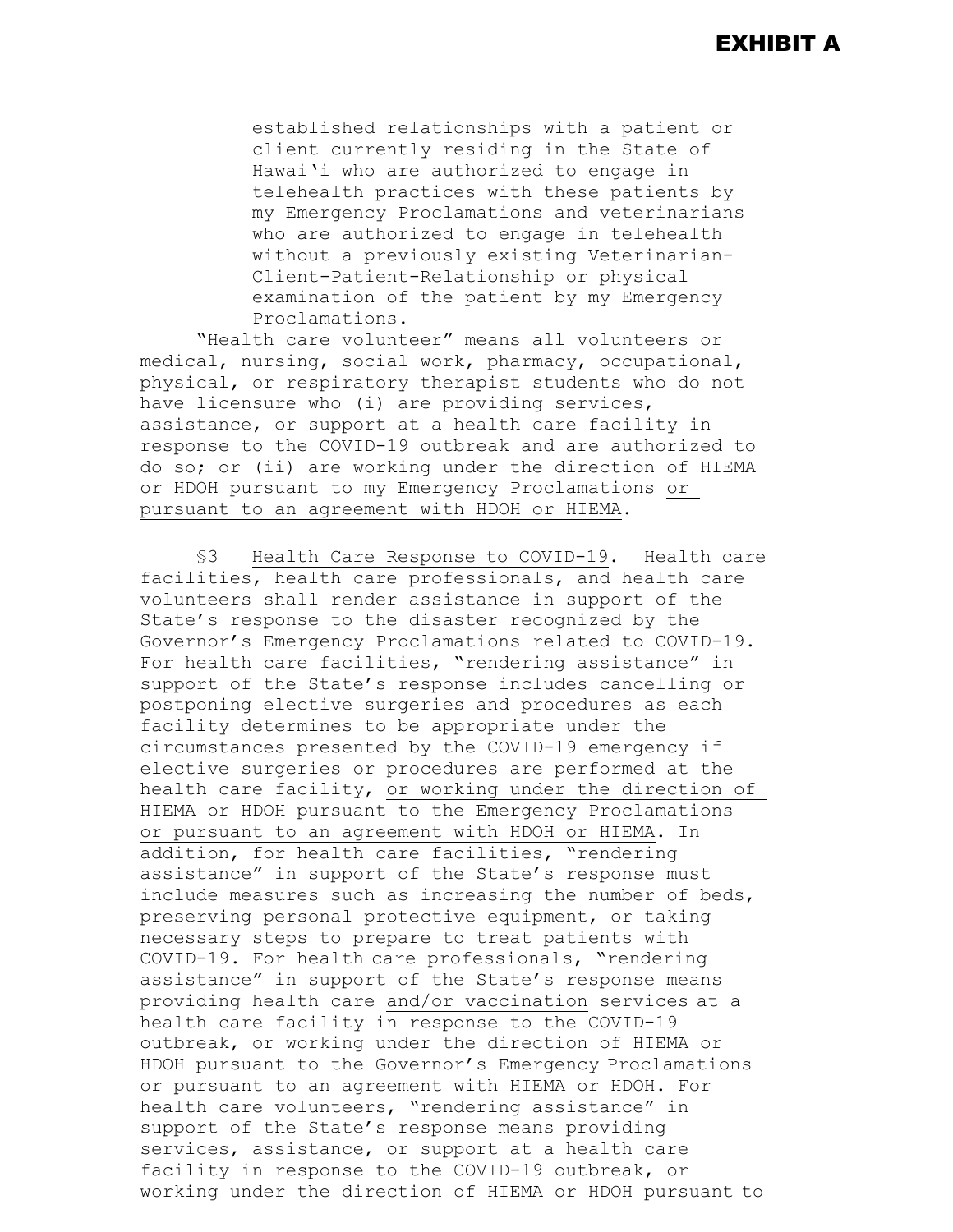established relationships with a patient or client currently residing in the State of Hawai'i who are authorized to engage in telehealth practices with these patients by my Emergency Proclamations and veterinarians who are authorized to engage in telehealth without a previously existing Veterinarian-Client-Patient-Relationship or physical examination of the patient by my Emergency Proclamations.

"Health care volunteer" means all volunteers or medical, nursing, social work, pharmacy, occupational, physical, or respiratory therapist students who do not have licensure who (i) are providing services, assistance, or support at a health care facility in response to the COVID-19 outbreak and are authorized to do so; or (ii) are working under the direction of HIEMA or HDOH pursuant to my Emergency Proclamations or pursuant to an agreement with HDOH or HIEMA.

§3 Health Care Response to COVID-19. Health care facilities, health care professionals, and health care volunteers shall render assistance in support of the State's response to the disaster recognized by the Governor's Emergency Proclamations related to COVID-19. For health care facilities, "rendering assistance" in support of the State's response includes cancelling or postponing elective surgeries and procedures as each facility determines to be appropriate under the circumstances presented by the COVID-19 emergency if elective surgeries or procedures are performed at the health care facility, or working under the direction of HIEMA or HDOH pursuant to the Emergency Proclamations or pursuant to an agreement with HDOH or HIEMA. In addition, for health care facilities, "rendering assistance" in support of the State's response must include measures such as increasing the number of beds, preserving personal protective equipment, or taking necessary steps to prepare to treat patients with COVID-19. For health care professionals, "rendering assistance" in support of the State's response means providing health care and/or vaccination services at a health care facility in response to the COVID-19 outbreak, or working under the direction of HIEMA or HDOH pursuant to the Governor's Emergency Proclamations or pursuant to an agreement with HIEMA or HDOH. For health care volunteers, "rendering assistance" in support of the State's response means providing services, assistance, or support at a health care facility in response to the COVID-19 outbreak, or working under the direction of HIEMA or HDOH pursuant to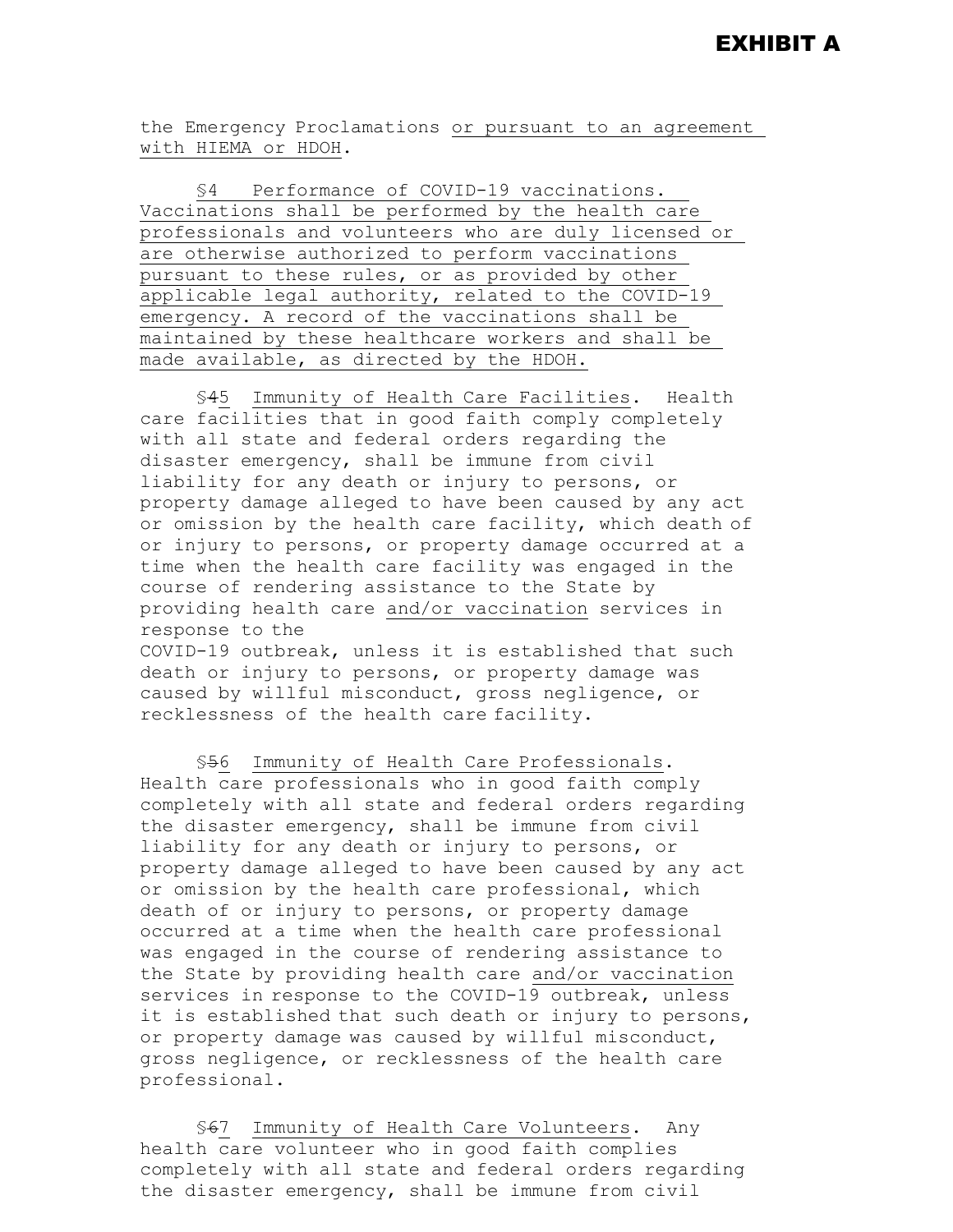the Emergency Proclamations or pursuant to an agreement with HIEMA or HDOH.

§4 Performance of COVID-19 vaccinations. Vaccinations shall be performed by the health care professionals and volunteers who are duly licensed or are otherwise authorized to perform vaccinations pursuant to these rules, or as provided by other applicable legal authority, related to the COVID-19 emergency. A record of the vaccinations shall be maintained by these healthcare workers and shall be made available, as directed by the HDOH.

§45 Immunity of Health Care Facilities. Health care facilities that in good faith comply completely with all state and federal orders regarding the disaster emergency, shall be immune from civil liability for any death or injury to persons, or property damage alleged to have been caused by any act or omission by the health care facility, which death of or injury to persons, or property damage occurred at a time when the health care facility was engaged in the course of rendering assistance to the State by providing health care and/or vaccination services in response to the COVID-19 outbreak, unless it is established that such death or injury to persons, or property damage was caused by willful misconduct, gross negligence, or recklessness of the health care facility.

§56 Immunity of Health Care Professionals. Health care professionals who in good faith comply completely with all state and federal orders regarding the disaster emergency, shall be immune from civil liability for any death or injury to persons, or property damage alleged to have been caused by any act or omission by the health care professional, which death of or injury to persons, or property damage occurred at a time when the health care professional was engaged in the course of rendering assistance to the State by providing health care and/or vaccination services in response to the COVID-19 outbreak, unless it is established that such death or injury to persons, or property damage was caused by willful misconduct, gross negligence, or recklessness of the health care professional.

§67 Immunity of Health Care Volunteers. Any health care volunteer who in good faith complies completely with all state and federal orders regarding the disaster emergency, shall be immune from civil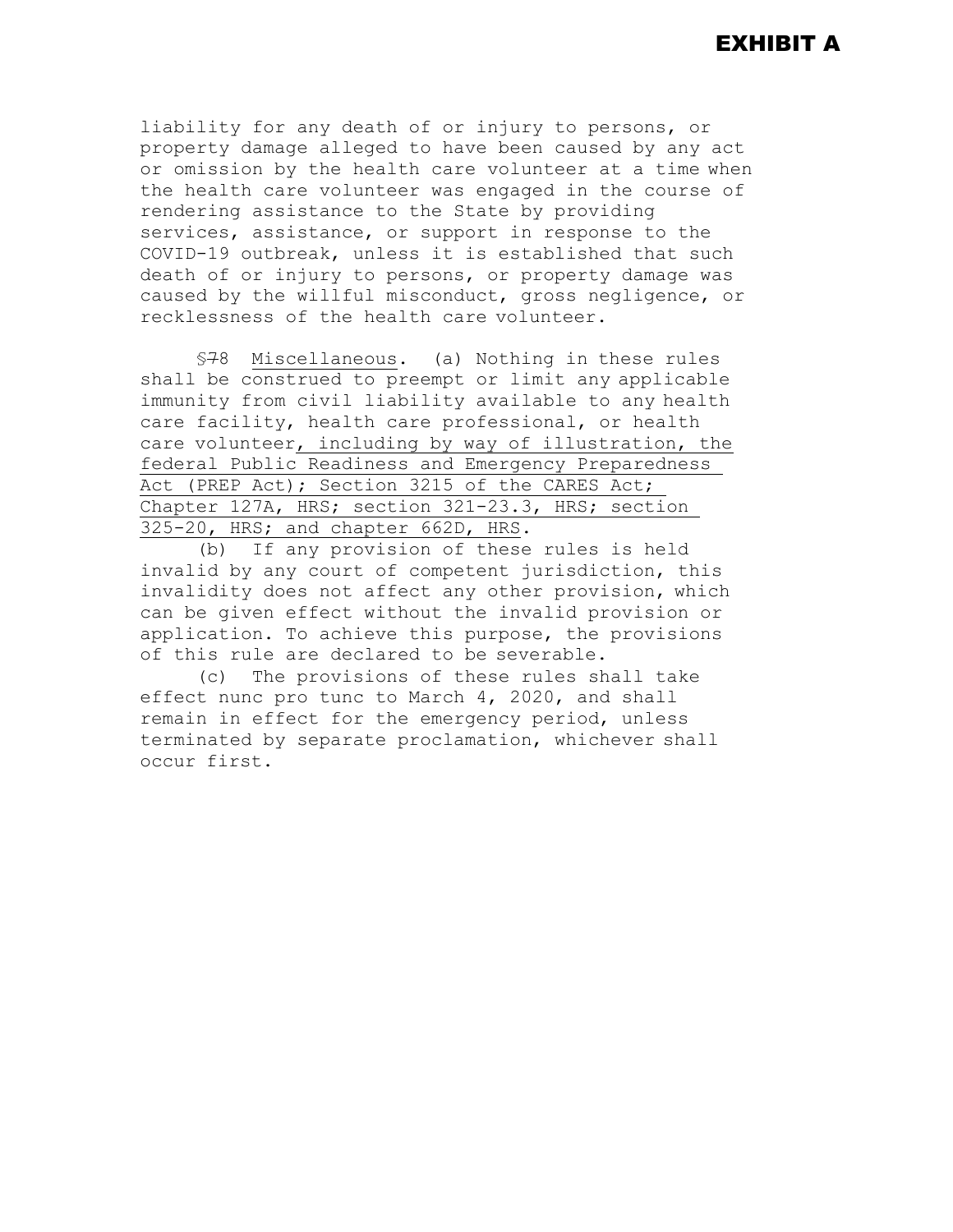liability for any death of or injury to persons, or property damage alleged to have been caused by any act or omission by the health care volunteer at a time when the health care volunteer was engaged in the course of rendering assistance to the State by providing services, assistance, or support in response to the COVID-19 outbreak, unless it is established that such death of or injury to persons, or property damage was caused by the willful misconduct, gross negligence, or recklessness of the health care volunteer.

§78 Miscellaneous. (a) Nothing in these rules shall be construed to preempt or limit any applicable immunity from civil liability available to any health care facility, health care professional, or health care volunteer, including by way of illustration, the federal Public Readiness and Emergency Preparedness Act (PREP Act); Section 3215 of the CARES Act; Chapter 127A, HRS; section 321-23.3, HRS; section 325-20, HRS; and chapter 662D, HRS.

(b) If any provision of these rules is held invalid by any court of competent jurisdiction, this invalidity does not affect any other provision, which can be given effect without the invalid provision or application. To achieve this purpose, the provisions of this rule are declared to be severable.

(c) The provisions of these rules shall take effect nunc pro tunc to March 4, 2020, and shall remain in effect for the emergency period, unless terminated by separate proclamation, whichever shall occur first.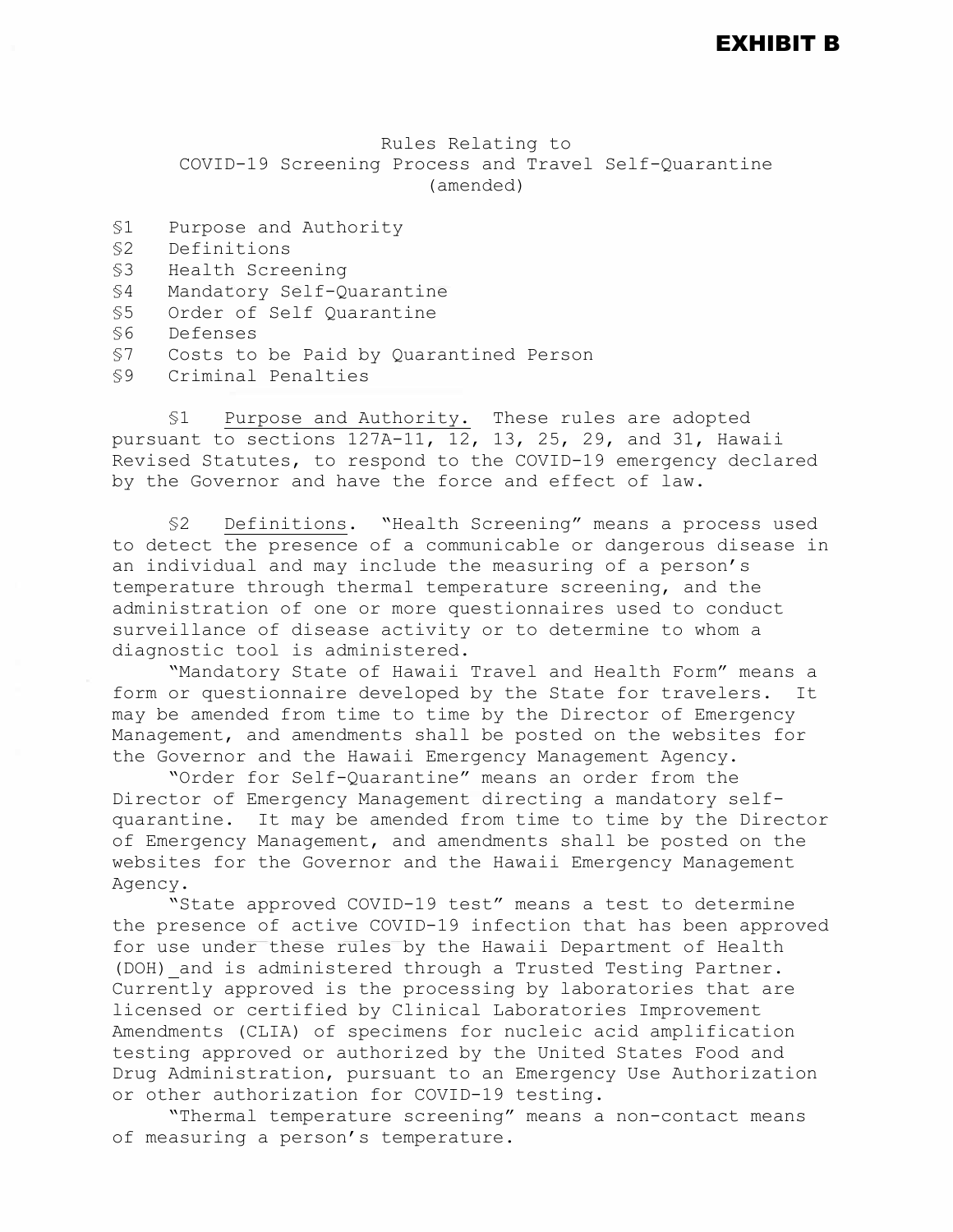EXHIBIT B

Rules Relating to COVID-19 Screening Process and Travel Self-Quarantine (amended)

| S1  | Purpose and Authority                  |
|-----|----------------------------------------|
| \$2 | Definitions                            |
| \$3 | Health Screening                       |
| \$4 | Mandatory Self-Quarantine              |
| \$5 | Order of Self Quarantine               |
| \$6 | Defenses                               |
| \$7 | Costs to be Paid by Quarantined Person |
| \$9 | Criminal Penalties                     |
|     |                                        |

§1 Purpose and Authority. These rules are adopted pursuant to sections 127A-11, 12, 13, 25, 29, and 31, Hawaii Revised Statutes, to respond to the COVID-19 emergency declared by the Governor and have the force and effect of law.

§2 Definitions. "Health Screening" means a process used to detect the presence of a communicable or dangerous disease in an individual and may include the measuring of a person's temperature through thermal temperature screening, and the administration of one or more questionnaires used to conduct surveillance of disease activity or to determine to whom a diagnostic tool is administered.

"Mandatory State of Hawaii Travel and Health Form" means a form or questionnaire developed by the State for travelers. It may be amended from time to time by the Director of Emergency Management, and amendments shall be posted on the websites for the Governor and the Hawaii Emergency Management Agency.

"Order for Self-Quarantine" means an order from the Director of Emergency Management directing a mandatory selfquarantine. It may be amended from time to time by the Director of Emergency Management, and amendments shall be posted on the websites for the Governor and the Hawaii Emergency Management Agency.

"State approved COVID-19 test" means a test to determine the presence of active COVID-19 infection that has been approved for use under these rules by the Hawaii Department of Health (DOH) and is administered through a Trusted Testing Partner. Currently approved is the processing by laboratories that are licensed or certified by Clinical Laboratories Improvement Amendments (CLIA) of specimens for nucleic acid amplification testing approved or authorized by the United States Food and Drug Administration, pursuant to an Emergency Use Authorization or other authorization for COVID-19 testing.

"Thermal temperature screening" means a non-contact means of measuring a person's temperature.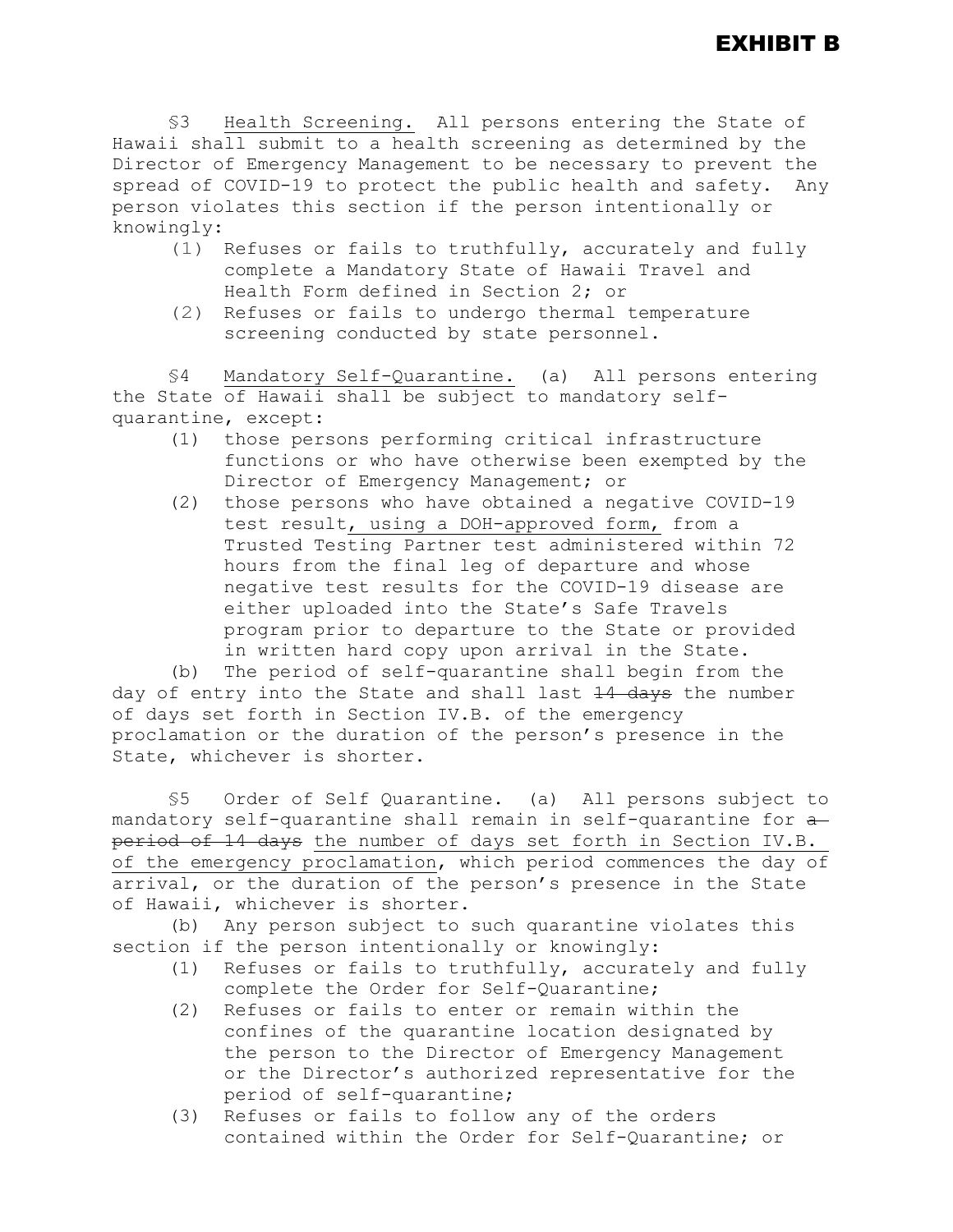§3 Health Screening. All persons entering the State of Hawaii shall submit to a health screening as determined by the Director of Emergency Management to be necessary to prevent the spread of COVID-19 to protect the public health and safety. Any person violates this section if the person intentionally or knowingly:

- (1) Refuses or fails to truthfully, accurately and fully complete a Mandatory State of Hawaii Travel and Health Form defined in Section 2; or
- (2) Refuses or fails to undergo thermal temperature screening conducted by state personnel.

§4 Mandatory Self-Quarantine. (a) All persons entering the State of Hawaii shall be subject to mandatory selfquarantine, except:

- (1) those persons performing critical infrastructure functions or who have otherwise been exempted by the Director of Emergency Management; or
- (2) those persons who have obtained a negative COVID-19 test result, using a DOH-approved form, from a Trusted Testing Partner test administered within 72 hours from the final leg of departure and whose negative test results for the COVID-19 disease are either uploaded into the State's Safe Travels program prior to departure to the State or provided in written hard copy upon arrival in the State.

(b) The period of self-quarantine shall begin from the day of entry into the State and shall last 14 days the number of days set forth in Section IV.B. of the emergency proclamation or the duration of the person's presence in the State, whichever is shorter.

§5 Order of Self Quarantine. (a) All persons subject to mandatory self-quarantine shall remain in self-quarantine for a period of 14 days the number of days set forth in Section IV.B. of the emergency proclamation, which period commences the day of arrival, or the duration of the person's presence in the State of Hawaii, whichever is shorter.

(b) Any person subject to such quarantine violates this section if the person intentionally or knowingly:

- (1) Refuses or fails to truthfully, accurately and fully complete the Order for Self-Quarantine;
- (2) Refuses or fails to enter or remain within the confines of the quarantine location designated by the person to the Director of Emergency Management or the Director's authorized representative for the period of self-quarantine;
- (3) Refuses or fails to follow any of the orders contained within the Order for Self-Quarantine; or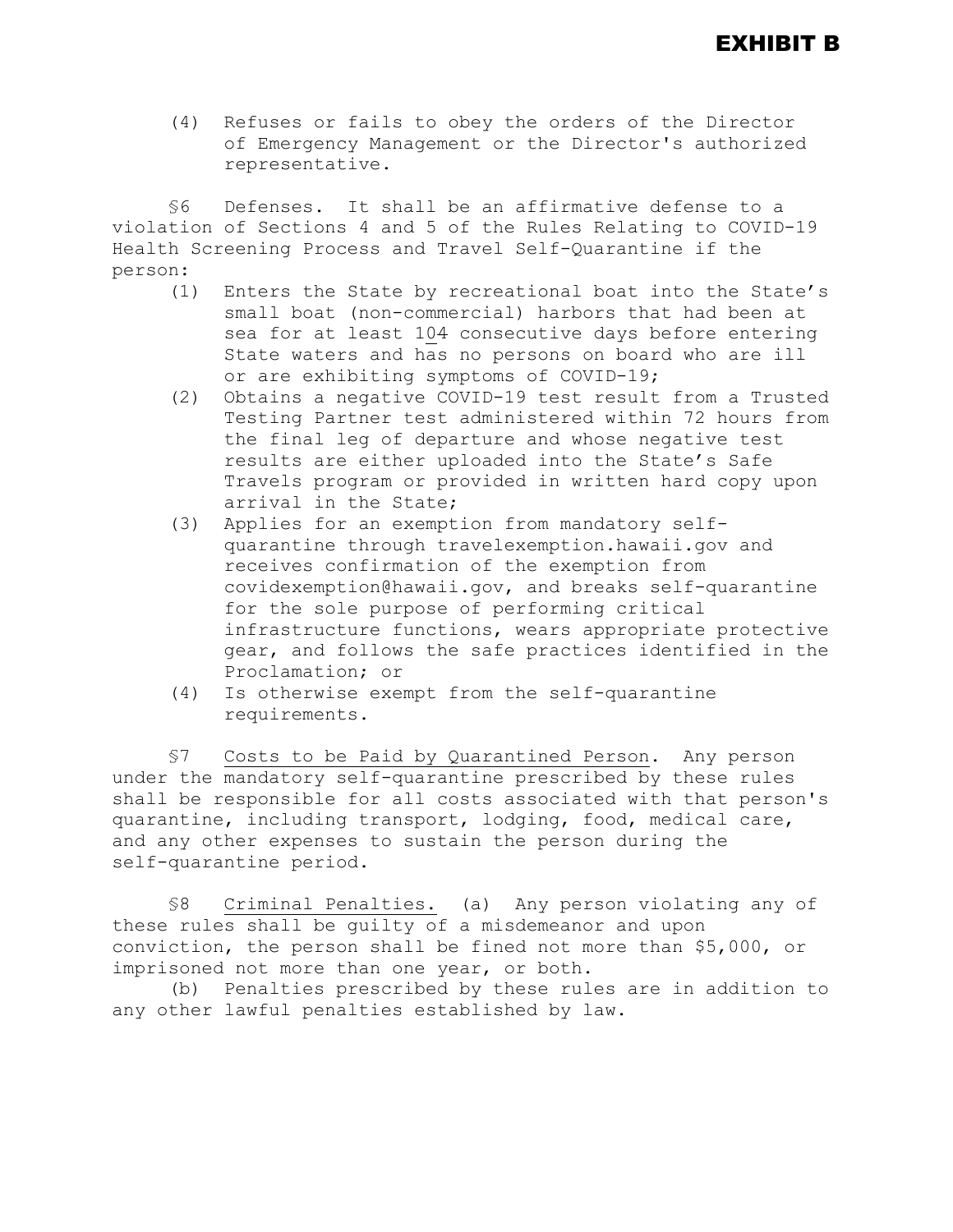(4) Refuses or fails to obey the orders of the Director of Emergency Management or the Director's authorized representative.

§6 Defenses. It shall be an affirmative defense to a violation of Sections 4 and 5 of the Rules Relating to COVID-19 Health Screening Process and Travel Self-Quarantine if the person:<br>(1)

- Enters the State by recreational boat into the State's small boat (non-commercial) harbors that had been at sea for at least 104 consecutive days before entering State waters and has no persons on board who are ill or are exhibiting symptoms of COVID-19;
- (2) Obtains a negative COVID-19 test result from a Trusted Testing Partner test administered within 72 hours from the final leg of departure and whose negative test results are either uploaded into the State's Safe Travels program or provided in written hard copy upon arrival in the State;
- (3) Applies for an exemption from mandatory selfquarantine through travelexemption.hawaii.gov and receives confirmation of the exemption from covidexemption@hawaii.gov, and breaks self-quarantine for the sole purpose of performing critical infrastructure functions, wears appropriate protective gear, and follows the safe practices identified in the Proclamation; or
- (4) Is otherwise exempt from the self-quarantine requirements.

§7 Costs to be Paid by Quarantined Person. Any person under the mandatory self-quarantine prescribed by these rules shall be responsible for all costs associated with that person's quarantine, including transport, lodging, food, medical care, and any other expenses to sustain the person during the self-quarantine period.

§8 Criminal Penalties. (a) Any person violating any of these rules shall be guilty of a misdemeanor and upon conviction, the person shall be fined not more than \$5,000, or imprisoned not more than one year, or both.

(b) Penalties prescribed by these rules are in addition to any other lawful penalties established by law.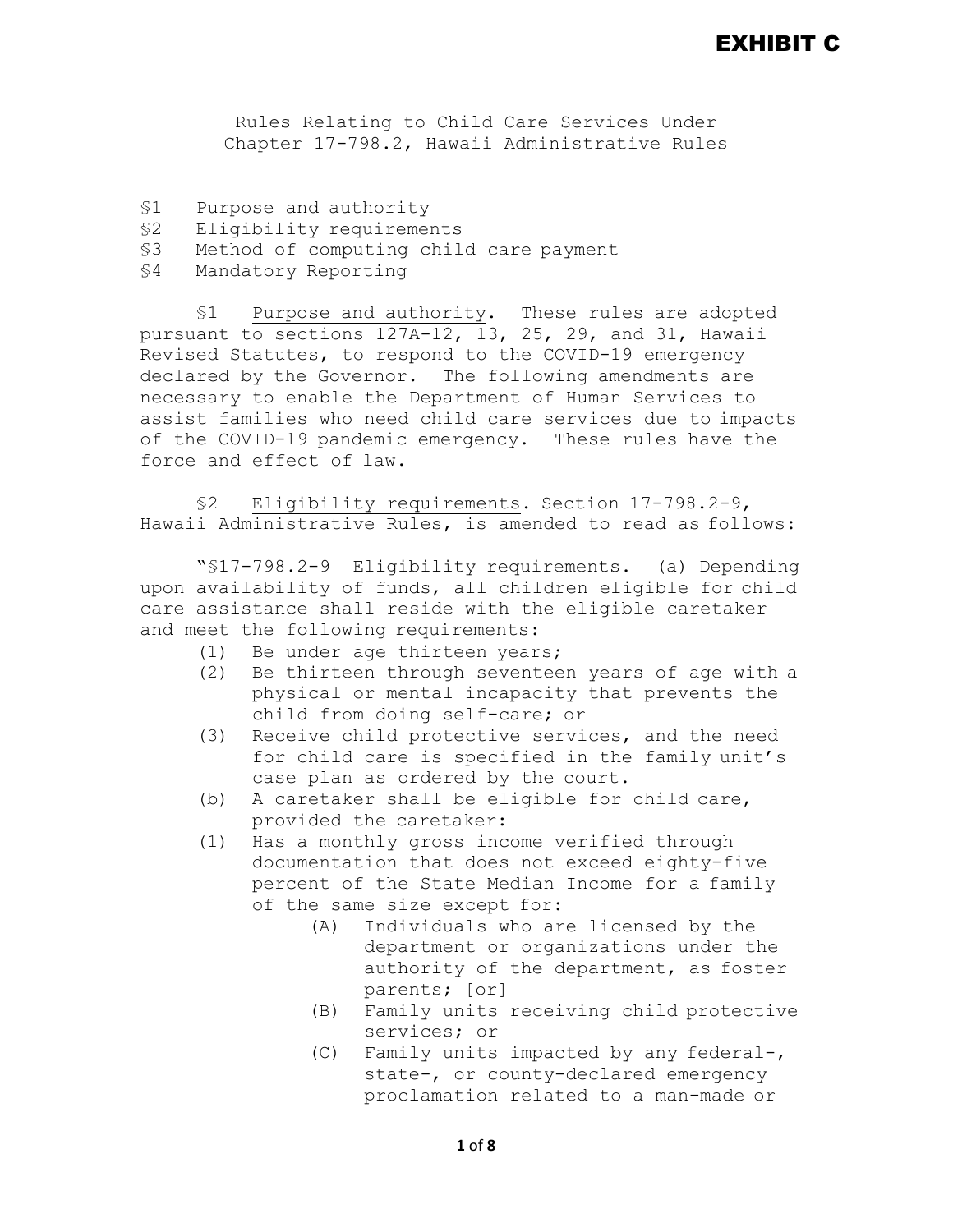# EXHIBIT C

Rules Relating to Child Care Services Under Chapter 17-798.2, Hawaii Administrative Rules

- §1 Purpose and authority
- §2 Eligibility requirements
- Method of computing child care payment
- §4 Mandatory Reporting

§1 Purpose and authority. These rules are adopted pursuant to sections 127A-12, 13, 25, 29, and 31, Hawaii Revised Statutes, to respond to the COVID-19 emergency declared by the Governor. The following amendments are necessary to enable the Department of Human Services to assist families who need child care services due to impacts of the COVID-19 pandemic emergency. These rules have the force and effect of law.

§2 Eligibility requirements. Section 17-798.2-9, Hawaii Administrative Rules, is amended to read as follows:

"§17-798.2-9 Eligibility requirements. (a) Depending upon availability of funds, all children eligible for child care assistance shall reside with the eligible caretaker and meet the following requirements:

- (1) Be under age thirteen years;<br>(2) Be thirteen through seventee
- Be thirteen through seventeen years of age with a physical or mental incapacity that prevents the child from doing self-care; or
- (3) Receive child protective services, and the need for child care is specified in the family unit's case plan as ordered by the court.
- (b) A caretaker shall be eligible for child care, provided the caretaker:
- (1) Has a monthly gross income verified through documentation that does not exceed eighty-five percent of the State Median Income for a family of the same size except for:<br>(A) Individuals who are
	- Individuals who are licensed by the department or organizations under the authority of the department, as foster parents; [or]
	- (B) Family units receiving child protective services; or
	- (C) Family units impacted by any federal-, state-, or county-declared emergency proclamation related to a man-made or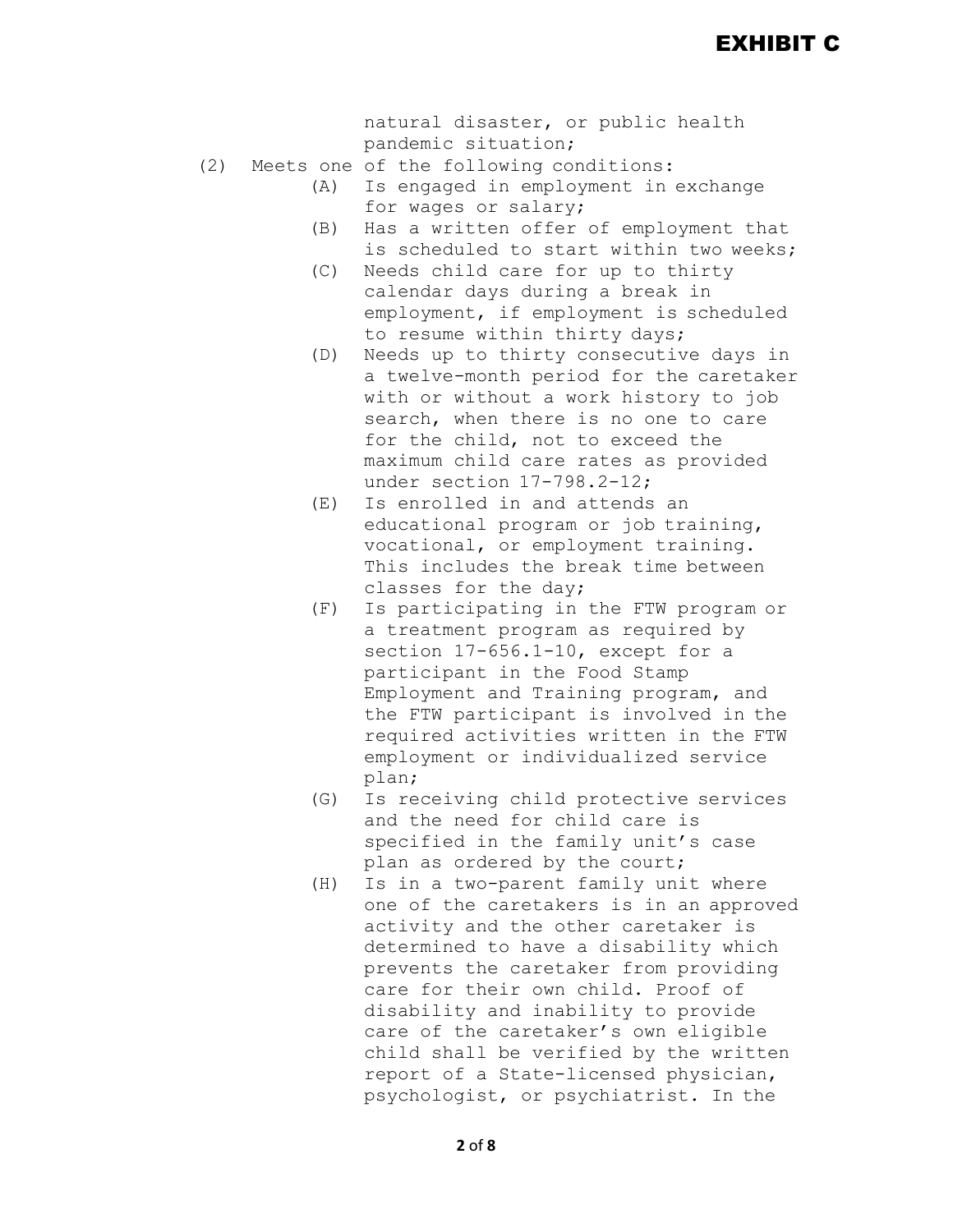natural disaster, or public health pandemic situation;

- (2) Meets one of the following conditions:<br>(A) Is engaged in employment in
	- Is engaged in employment in exchange for wages or salary;
	- (B) Has a written offer of employment that is scheduled to start within two weeks;
	- (C) Needs child care for up to thirty calendar days during a break in employment, if employment is scheduled to resume within thirty days;
	- (D) Needs up to thirty consecutive days in a twelve-month period for the caretaker with or without a work history to job search, when there is no one to care for the child, not to exceed the maximum child care rates as provided under section 17-798.2-12;
	- (E) Is enrolled in and attends an educational program or job training, vocational, or employment training. This includes the break time between classes for the day;
	- (F) Is participating in the FTW program or a treatment program as required by section 17-656.1-10, except for a participant in the Food Stamp Employment and Training program, and the FTW participant is involved in the required activities written in the FTW employment or individualized service plan;
	- (G) Is receiving child protective services and the need for child care is specified in the family unit's case plan as ordered by the court;
	- (H) Is in a two-parent family unit where one of the caretakers is in an approved activity and the other caretaker is determined to have a disability which prevents the caretaker from providing care for their own child. Proof of disability and inability to provide care of the caretaker's own eligible child shall be verified by the written report of a State-licensed physician, psychologist, or psychiatrist. In the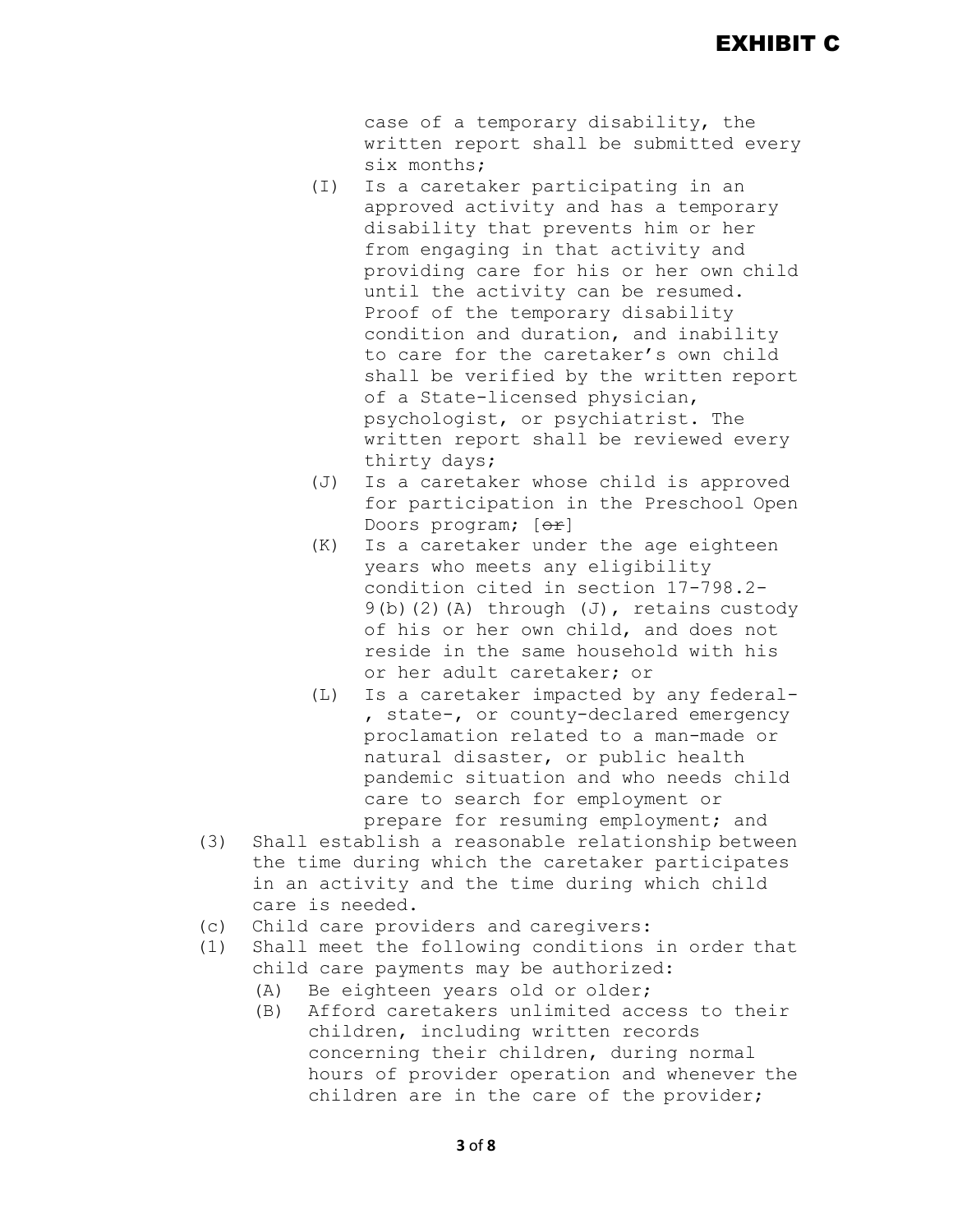case of a temporary disability, the written report shall be submitted every six months;

- (I) Is a caretaker participating in an approved activity and has a temporary disability that prevents him or her from engaging in that activity and providing care for his or her own child until the activity can be resumed. Proof of the temporary disability condition and duration, and inability to care for the caretaker's own child shall be verified by the written report of a State-licensed physician, psychologist, or psychiatrist. The written report shall be reviewed every thirty days;
- (J) Is a caretaker whose child is approved for participation in the Preschool Open Doors program; [or]
- (K) Is a caretaker under the age eighteen years who meets any eligibility condition cited in section 17-798.2-  $9(b)(2)(A)$  through  $(J)$ , retains custody of his or her own child, and does not reside in the same household with his or her adult caretaker; or
- (L) Is a caretaker impacted by any federal- , state-, or county-declared emergency proclamation related to a man-made or natural disaster, or public health pandemic situation and who needs child care to search for employment or prepare for resuming employment; and
- (3) Shall establish a reasonable relationship between the time during which the caretaker participates in an activity and the time during which child care is needed.
- (c) Child care providers and caregivers:
- (1) Shall meet the following conditions in order that child care payments may be authorized:
	- (A) Be eighteen years old or older;
	- (B) Afford caretakers unlimited access to their children, including written records concerning their children, during normal hours of provider operation and whenever the children are in the care of the provider;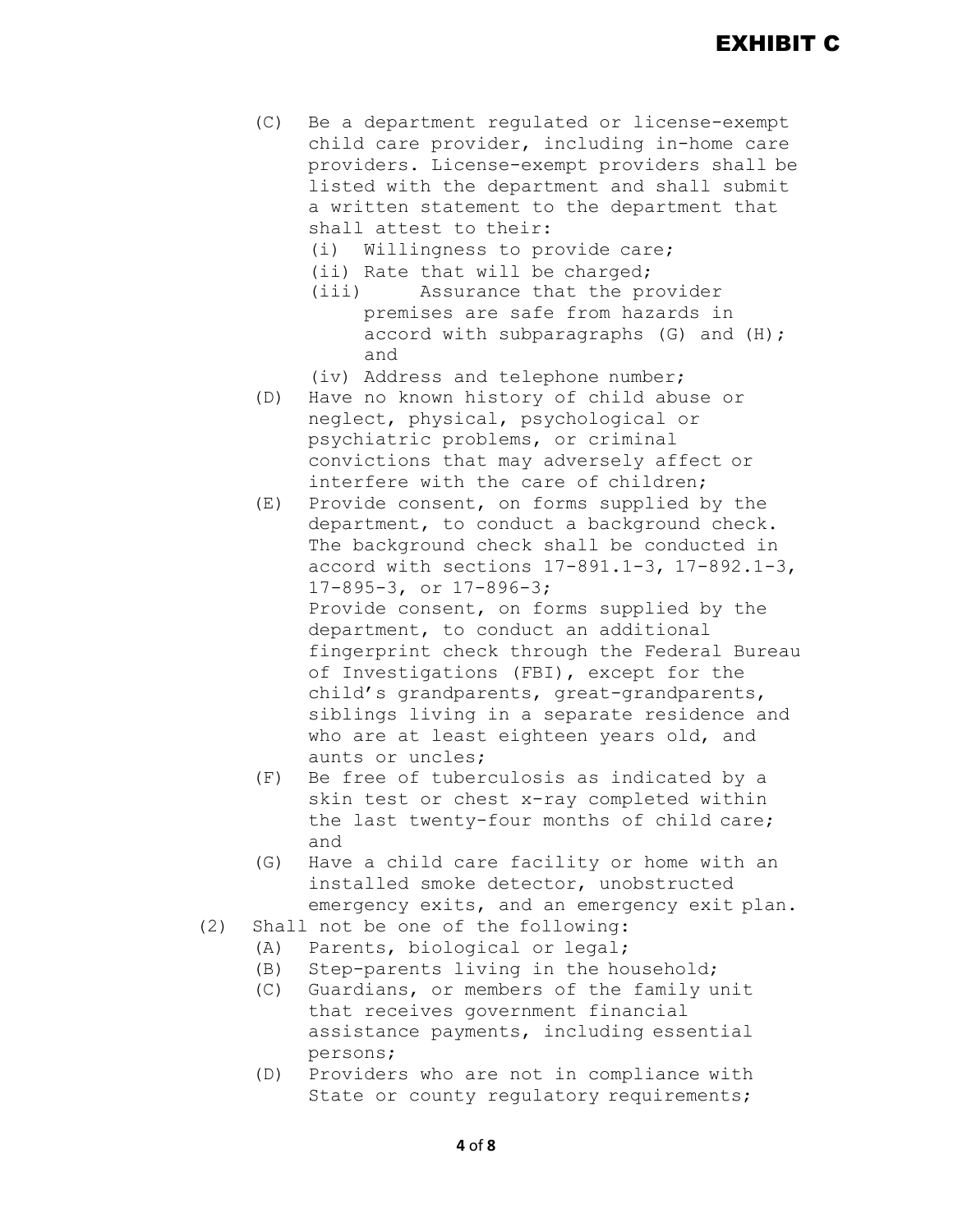- (C) Be a department regulated or license-exempt child care provider, including in-home care providers. License-exempt providers shall be listed with the department and shall submit a written statement to the department that shall attest to their:
	- (i) Willingness to provide care;
	- (ii) Rate that will be charged;<br>(iii) Assurance that the pr
	- Assurance that the provider premises are safe from hazards in accord with subparagraphs (G) and (H); and
	- (iv) Address and telephone number;
- (D) Have no known history of child abuse or neglect, physical, psychological or psychiatric problems, or criminal convictions that may adversely affect or interfere with the care of children;
- (E) Provide consent, on forms supplied by the department, to conduct a background check. The background check shall be conducted in accord with sections 17-891.1-3, 17-892.1-3, 17-895-3, or 17-896-3; Provide consent, on forms supplied by the department, to conduct an additional fingerprint check through the Federal Bureau of Investigations (FBI), except for the child's grandparents, great-grandparents, siblings living in a separate residence and who are at least eighteen years old, and aunts or uncles;
- (F) Be free of tuberculosis as indicated by a skin test or chest x-ray completed within the last twenty-four months of child care; and
- (G) Have a child care facility or home with an installed smoke detector, unobstructed emergency exits, and an emergency exit plan.
- (2) Shall not be one of the following:
	-
	- (A) Parents, biological or legal;<br>(B) Step-parents living in the ho Step-parents living in the household;
	- (C) Guardians, or members of the family unit that receives government financial assistance payments, including essential persons;
	- (D) Providers who are not in compliance with State or county requlatory requirements;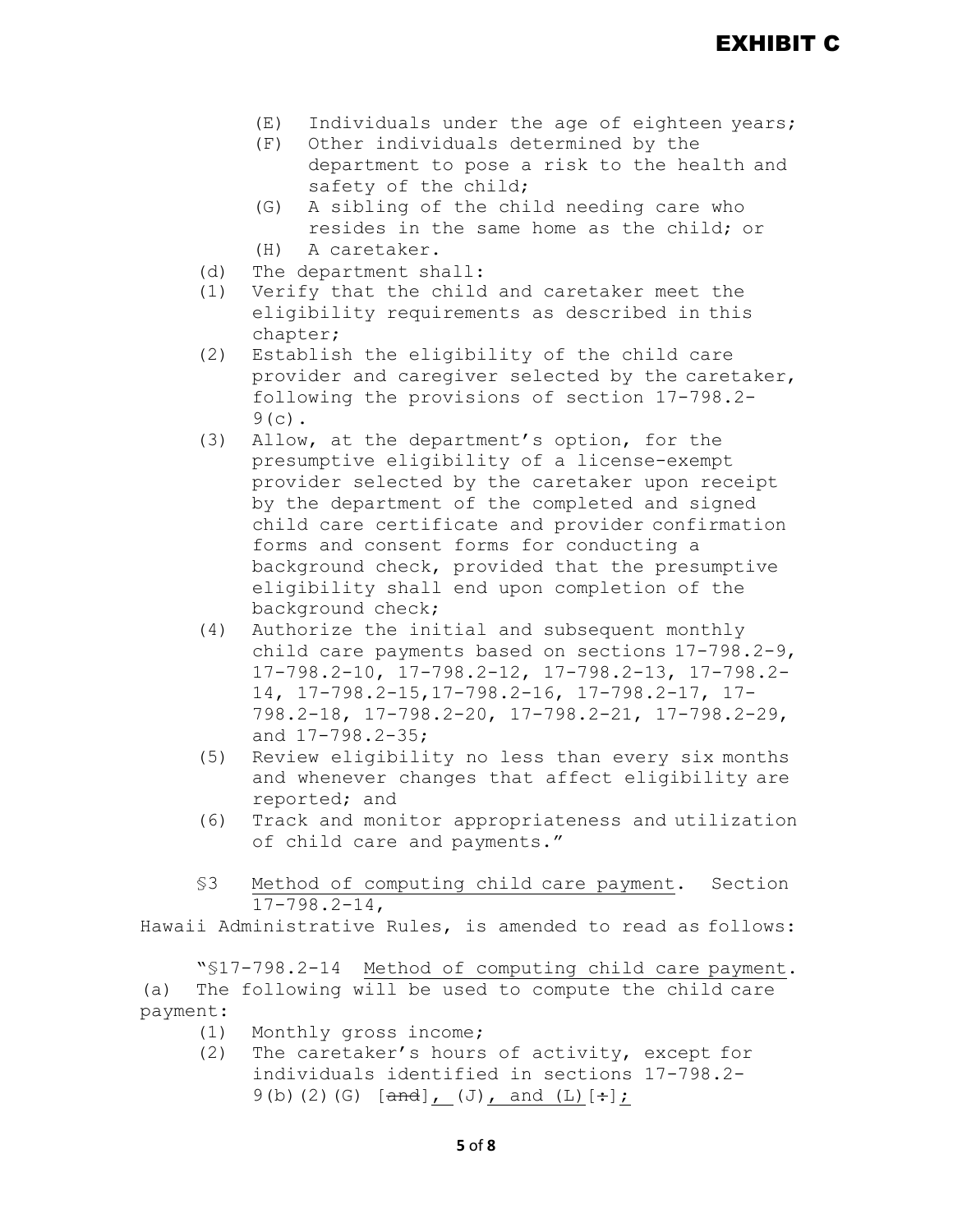- $(E)$  Individuals under the age of eighteen years;<br>(F) Other individuals determined by the
- Other individuals determined by the department to pose a risk to the health and safety of the child;
- (G) A sibling of the child needing care who resides in the same home as the child; or
- (H) A caretaker.
- (d) The department shall:<br>(1) Verify that the child
- Verify that the child and caretaker meet the eligibility requirements as described in this chapter;
- (2) Establish the eligibility of the child care provider and caregiver selected by the caretaker, following the provisions of section 17-798.2-  $9(c)$ .
- (3) Allow, at the department's option, for the presumptive eligibility of a license-exempt provider selected by the caretaker upon receipt by the department of the completed and signed child care certificate and provider confirmation forms and consent forms for conducting a background check, provided that the presumptive eligibility shall end upon completion of the background check;
- (4) Authorize the initial and subsequent monthly child care payments based on sections 17-798.2-9, 17-798.2-10, 17-798.2-12, 17-798.2-13, 17-798.2- 14, 17-798.2-15,17-798.2-16, 17-798.2-17, 17- 798.2-18, 17-798.2-20, 17-798.2-21, 17-798.2-29, and 17-798.2-35;
- (5) Review eligibility no less than every six months and whenever changes that affect eligibility are reported; and
- (6) Track and monitor appropriateness and utilization of child care and payments."
- §3 Method of computing child care payment. Section 17-798.2-14,

Hawaii Administrative Rules, is amended to read as follows:

"§17-798.2-14 Method of computing child care payment. (a) The following will be used to compute the child care payment:

- (1) Monthly gross income;<br>(2) The caretaker's hours
- The caretaker's hours of activity, except for individuals identified in sections 17-798.2-  $9(b)(2)(G)$  [and], (J), and (L)[ $\div$ ];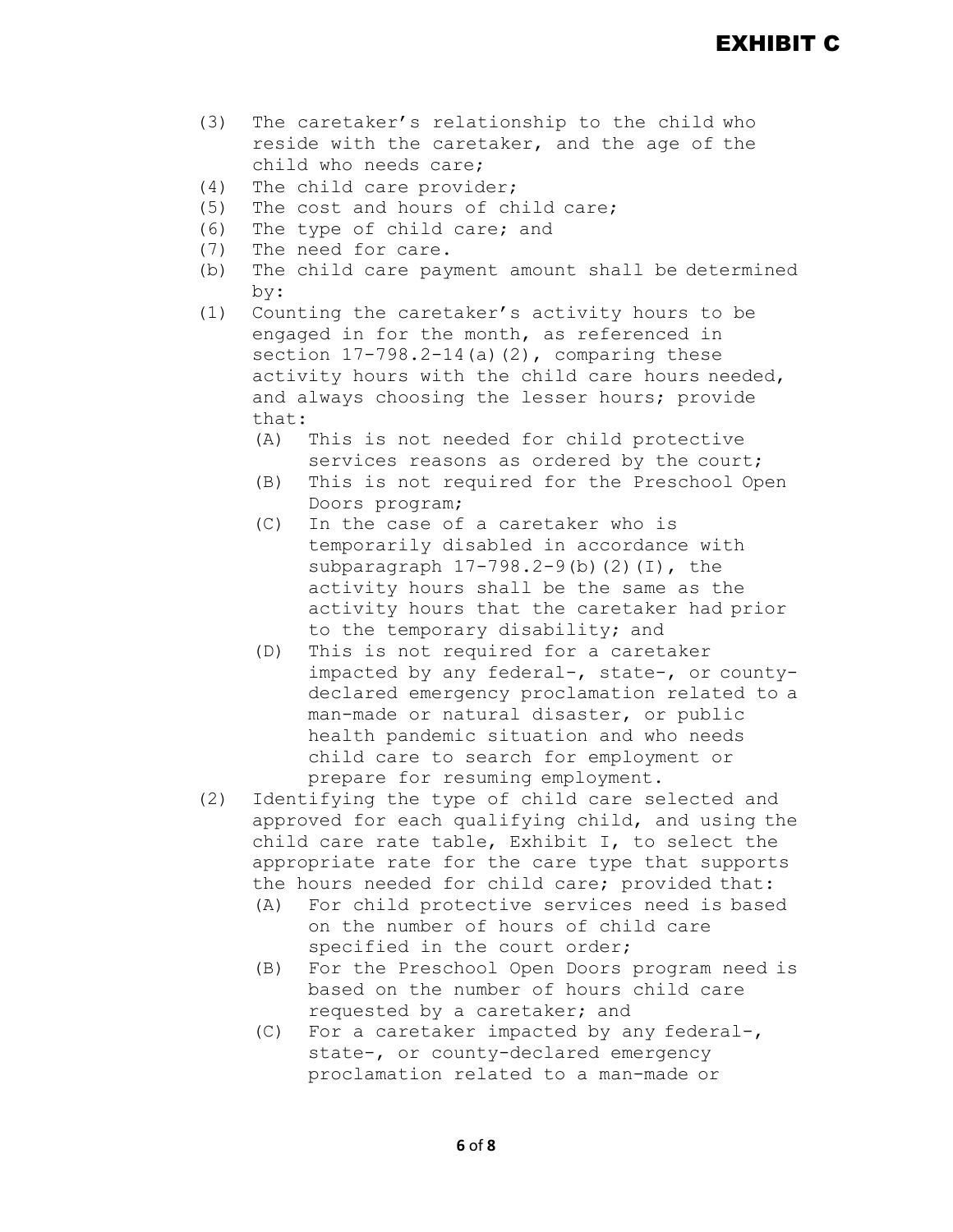# EXHIBIT C

- (3) The caretaker's relationship to the child who reside with the caretaker, and the age of the child who needs care;
- (4) The child care provider;<br>(5) The cost and hours of ch
- (5) The cost and hours of child care;<br>(6) The type of child care; and
- (6) The type of child care; and<br>(7) The need for care.
- The need for care.
- (b) The child care payment amount shall be determined by:
- (1) Counting the caretaker's activity hours to be engaged in for the month, as referenced in section  $17-798.2-14$  (a)(2), comparing these activity hours with the child care hours needed, and always choosing the lesser hours; provide that:
	- (A) This is not needed for child protective services reasons as ordered by the court;
	- (B) This is not required for the Preschool Open Doors program;
	- (C) In the case of a caretaker who is temporarily disabled in accordance with subparagraph  $17-798.2-9$  (b)  $(2)$  (I), the activity hours shall be the same as the activity hours that the caretaker had prior to the temporary disability; and
	- (D) This is not required for a caretaker impacted by any federal-, state-, or countydeclared emergency proclamation related to a man-made or natural disaster, or public health pandemic situation and who needs child care to search for employment or prepare for resuming employment.
- (2) Identifying the type of child care selected and approved for each qualifying child, and using the child care rate table, Exhibit I, to select the appropriate rate for the care type that supports the hours needed for child care; provided that:
	- (A) For child protective services need is based on the number of hours of child care specified in the court order;
	- (B) For the Preschool Open Doors program need is based on the number of hours child care requested by a caretaker; and
	- (C) For a caretaker impacted by any federal-, state-, or county-declared emergency proclamation related to a man-made or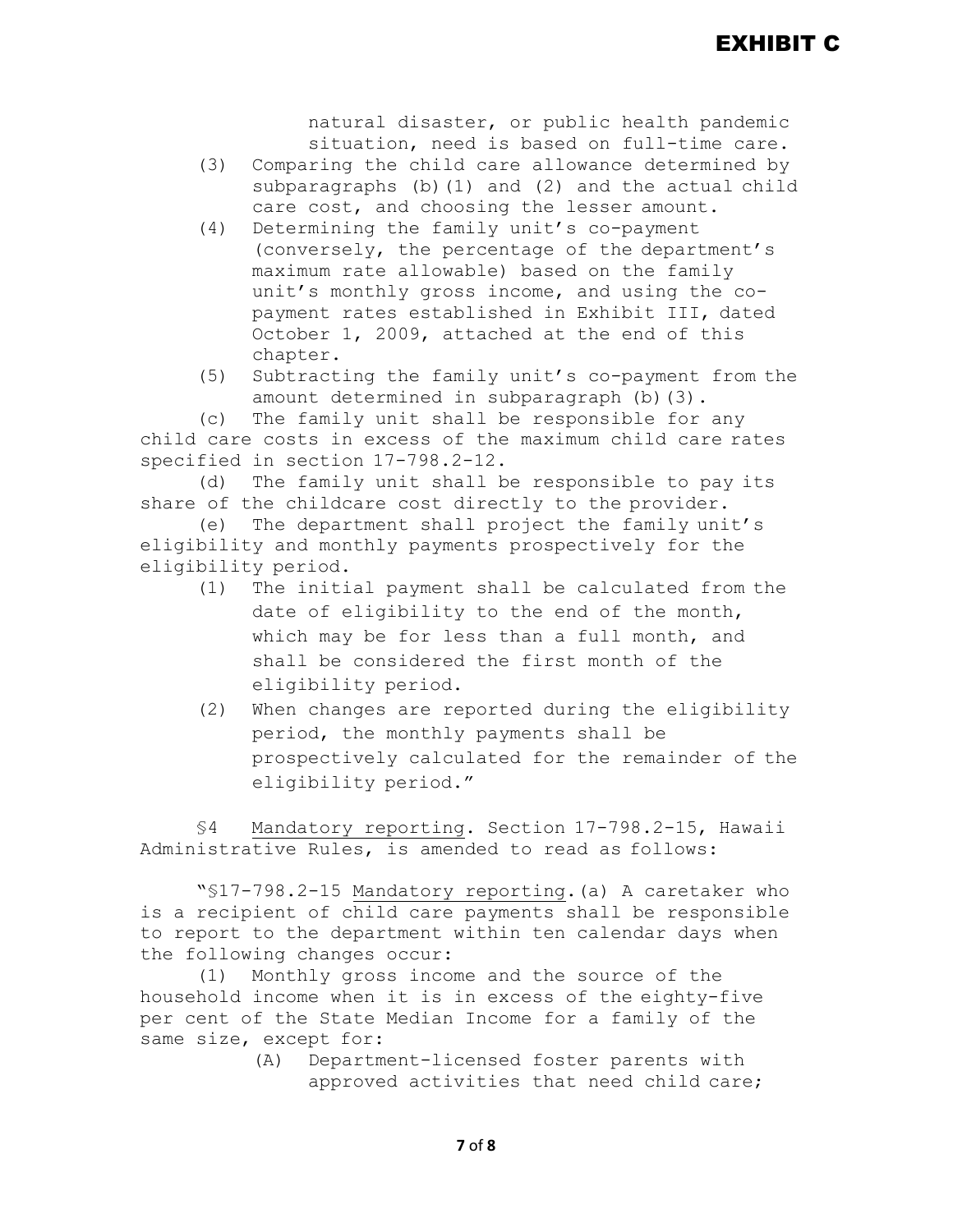natural disaster, or public health pandemic situation, need is based on full-time care.

- (3) Comparing the child care allowance determined by subparagraphs (b)(1) and (2) and the actual child care cost, and choosing the lesser amount.
- (4) Determining the family unit's co-payment (conversely, the percentage of the department's maximum rate allowable) based on the family unit's monthly gross income, and using the copayment rates established in Exhibit III, dated October 1, 2009, attached at the end of this chapter.
- (5) Subtracting the family unit's co-payment from the amount determined in subparagraph (b)(3).

(c) The family unit shall be responsible for any child care costs in excess of the maximum child care rates specified in section 17-798.2-12.

(d) The family unit shall be responsible to pay its share of the childcare cost directly to the provider.

(e) The department shall project the family unit's eligibility and monthly payments prospectively for the eligibility period.

- (1) The initial payment shall be calculated from the date of eligibility to the end of the month, which may be for less than a full month, and shall be considered the first month of the eligibility period.
- (2) When changes are reported during the eligibility period, the monthly payments shall be prospectively calculated for the remainder of the eligibility period."

§4 Mandatory reporting. Section 17-798.2-15, Hawaii Administrative Rules, is amended to read as follows:

"§17-798.2-15 Mandatory reporting.(a) A caretaker who is a recipient of child care payments shall be responsible to report to the department within ten calendar days when the following changes occur:

(1) Monthly gross income and the source of the household income when it is in excess of the eighty-five per cent of the State Median Income for a family of the same size, except for:<br>(A) Departmo

Department-licensed foster parents with approved activities that need child care;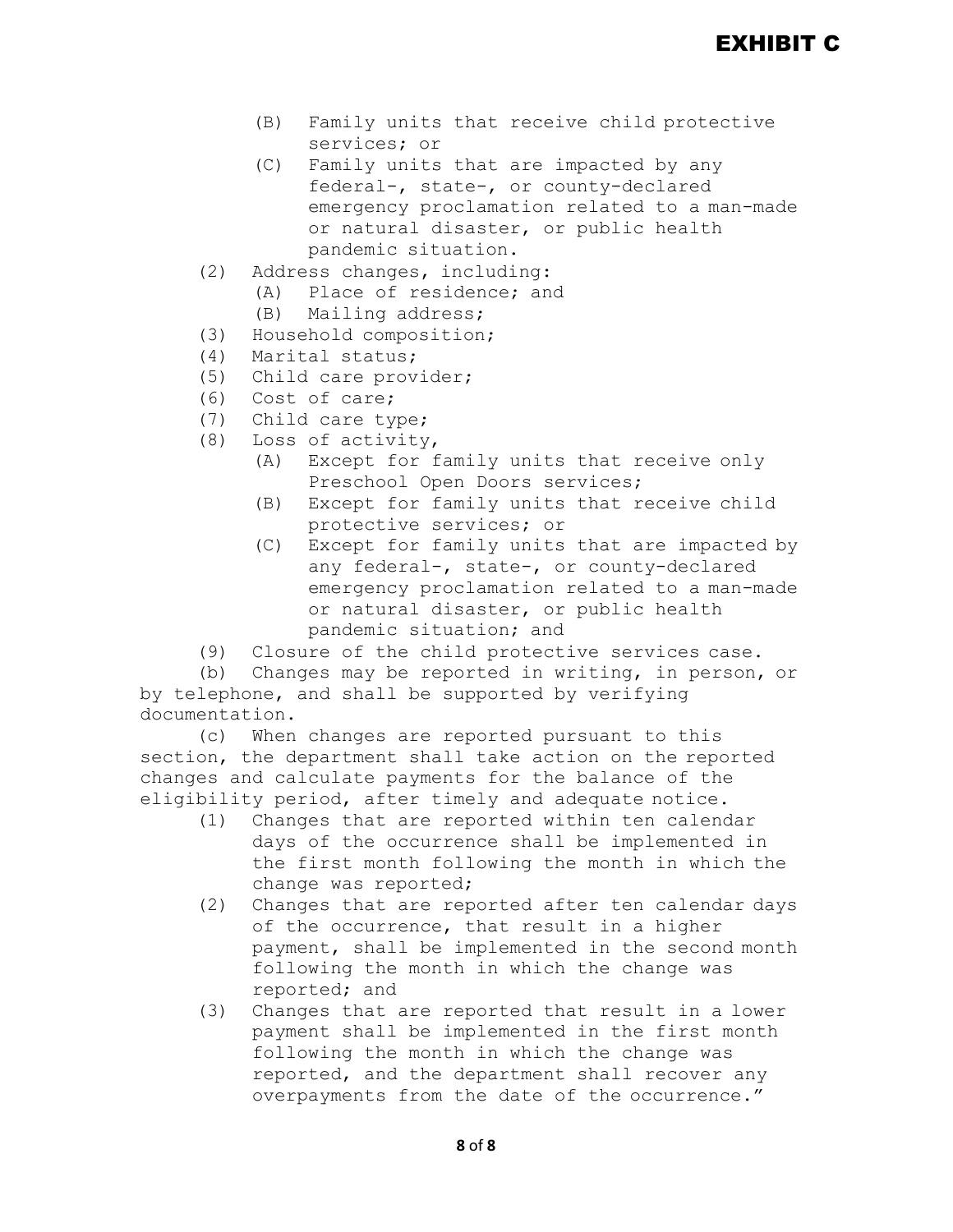- (B) Family units that receive child protective services; or
- (C) Family units that are impacted by any federal-, state-, or county-declared emergency proclamation related to a man-made or natural disaster, or public health pandemic situation.
- (2) Address changes, including:
	- (A) Place of residence; and
	- (B) Mailing address;
- (3) Household composition;
- (4) Marital status;
- (5) Child care provider;
- (6) Cost of care;<br>(7) Child care typ
- (7) Child care type;<br>(8) Loss of activity
- Loss of activity,
	- (A) Except for family units that receive only Preschool Open Doors services;
	- (B) Except for family units that receive child protective services; or
	- (C) Except for family units that are impacted by any federal-, state-, or county-declared emergency proclamation related to a man-made or natural disaster, or public health pandemic situation; and
- (9) Closure of the child protective services case.

(b) Changes may be reported in writing, in person, or by telephone, and shall be supported by verifying documentation.

(c) When changes are reported pursuant to this section, the department shall take action on the reported changes and calculate payments for the balance of the eligibility period, after timely and adequate notice.

- (1) Changes that are reported within ten calendar days of the occurrence shall be implemented in the first month following the month in which the change was reported;
- (2) Changes that are reported after ten calendar days of the occurrence, that result in a higher payment, shall be implemented in the second month following the month in which the change was reported; and
- (3) Changes that are reported that result in a lower payment shall be implemented in the first month following the month in which the change was reported, and the department shall recover any overpayments from the date of the occurrence."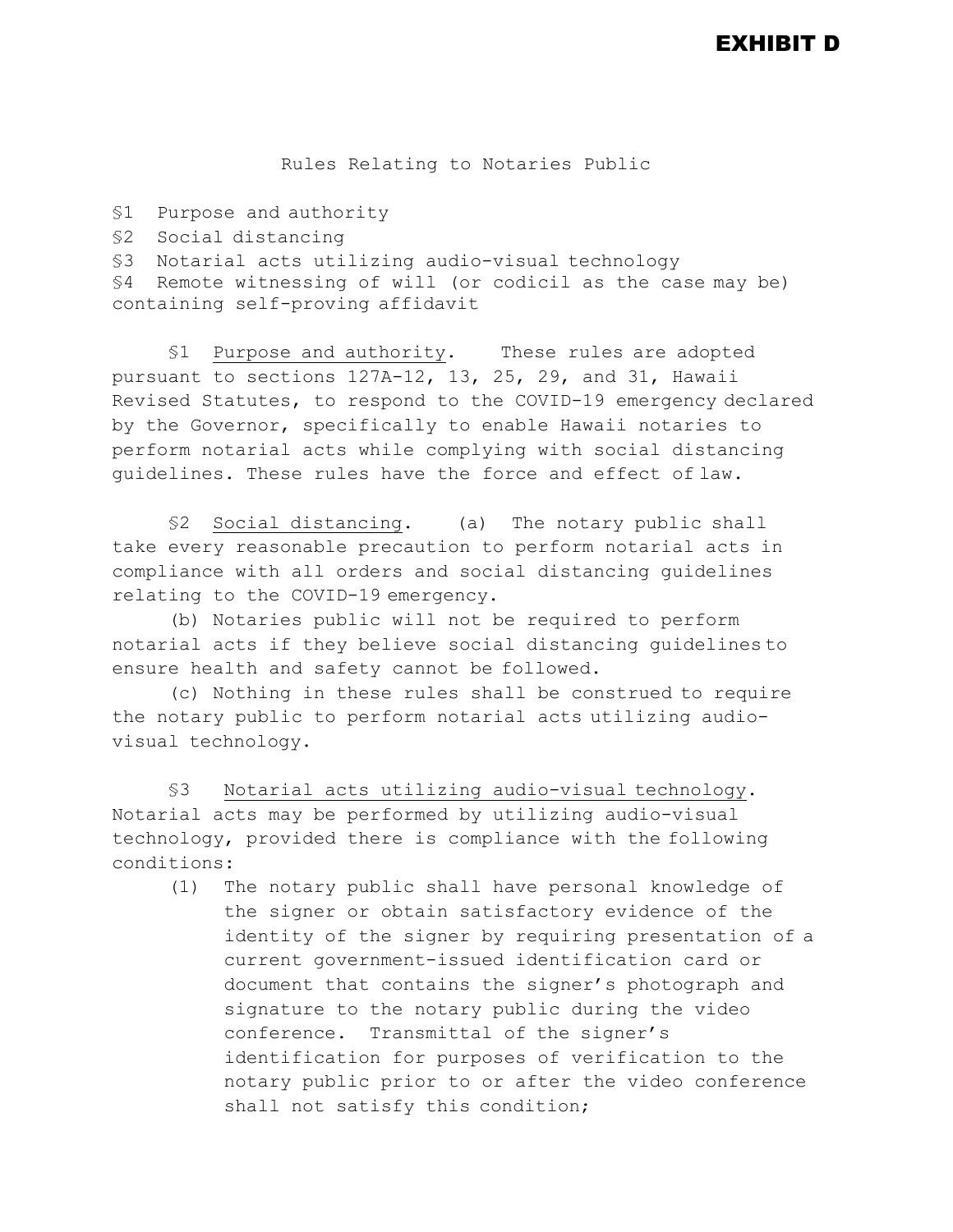Rules Relating to Notaries Public

```
§1 Purpose and authority
```
§2 Social distancing

§3 Notarial acts utilizing audio-visual technology

§4 Remote witnessing of will (or codicil as the case may be) containing self-proving affidavit

§1 Purpose and authority. These rules are adopted pursuant to sections 127A-12, 13, 25, 29, and 31, Hawaii Revised Statutes, to respond to the COVID-19 emergency declared by the Governor, specifically to enable Hawaii notaries to perform notarial acts while complying with social distancing guidelines. These rules have the force and effect of law.

§2 Social distancing. (a) The notary public shall take every reasonable precaution to perform notarial acts in compliance with all orders and social distancing guidelines relating to the COVID-19 emergency.

(b) Notaries public will not be required to perform notarial acts if they believe social distancing guidelines to ensure health and safety cannot be followed.

(c) Nothing in these rules shall be construed to require the notary public to perform notarial acts utilizing audiovisual technology.

§3 Notarial acts utilizing audio-visual technology. Notarial acts may be performed by utilizing audio-visual technology, provided there is compliance with the following conditions:

(1) The notary public shall have personal knowledge of the signer or obtain satisfactory evidence of the identity of the signer by requiring presentation of a current government-issued identification card or document that contains the signer's photograph and signature to the notary public during the video conference. Transmittal of the signer's identification for purposes of verification to the notary public prior to or after the video conference shall not satisfy this condition;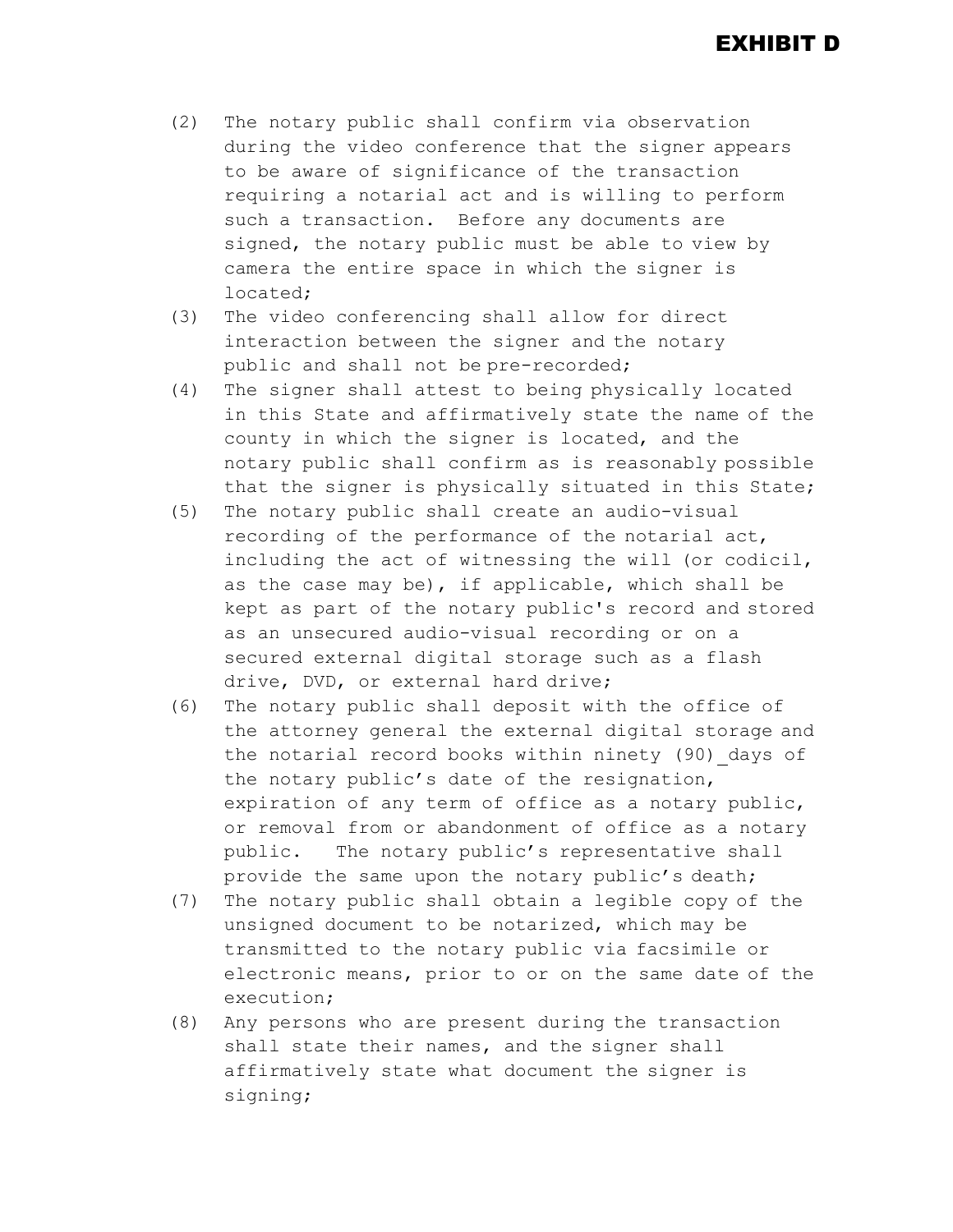- (2) The notary public shall confirm via observation during the video conference that the signer appears to be aware of significance of the transaction requiring a notarial act and is willing to perform such a transaction. Before any documents are signed, the notary public must be able to view by camera the entire space in which the signer is located;
- (3) The video conferencing shall allow for direct interaction between the signer and the notary public and shall not be pre-recorded;
- (4) The signer shall attest to being physically located in this State and affirmatively state the name of the county in which the signer is located, and the notary public shall confirm as is reasonably possible that the signer is physically situated in this State;
- (5) The notary public shall create an audio-visual recording of the performance of the notarial act, including the act of witnessing the will (or codicil, as the case may be), if applicable, which shall be kept as part of the notary public's record and stored as an unsecured audio-visual recording or on a secured external digital storage such as a flash drive, DVD, or external hard drive;
- (6) The notary public shall deposit with the office of the attorney general the external digital storage and the notarial record books within ninety (90) days of the notary public's date of the resignation, expiration of any term of office as a notary public, or removal from or abandonment of office as a notary public. The notary public's representative shall provide the same upon the notary public's death;
- (7) The notary public shall obtain a legible copy of the unsigned document to be notarized, which may be transmitted to the notary public via facsimile or electronic means, prior to or on the same date of the execution;
- (8) Any persons who are present during the transaction shall state their names, and the signer shall affirmatively state what document the signer is signing;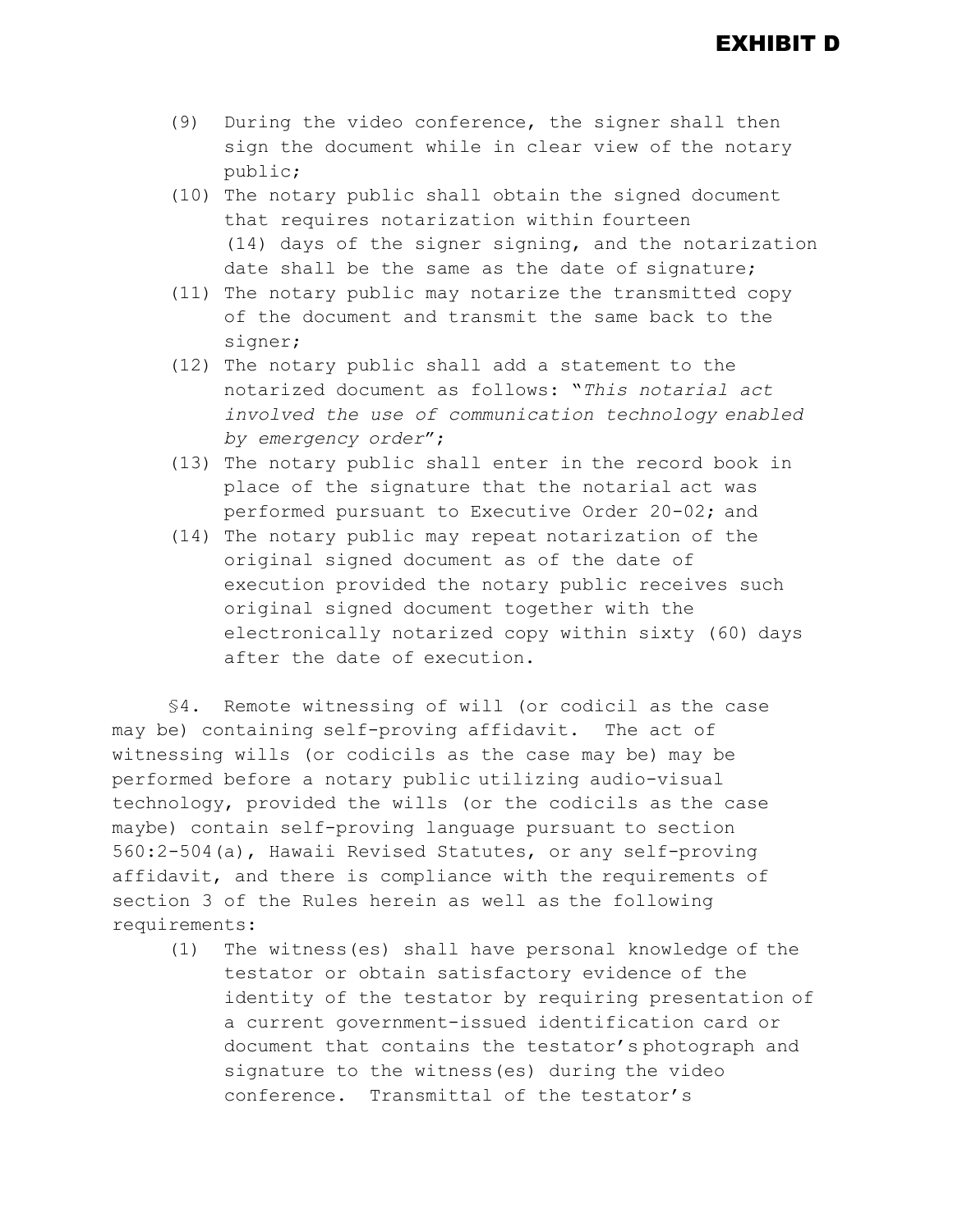- (9) During the video conference, the signer shall then sign the document while in clear view of the notary public;
- (10) The notary public shall obtain the signed document that requires notarization within fourteen (14) days of the signer signing, and the notarization date shall be the same as the date of signature;
- (11) The notary public may notarize the transmitted copy of the document and transmit the same back to the signer;
- (12) The notary public shall add a statement to the notarized document as follows: "*This notarial act involved the use of communication technology enabled by emergency order*";
- (13) The notary public shall enter in the record book in place of the signature that the notarial act was performed pursuant to Executive Order 20-02; and
- (14) The notary public may repeat notarization of the original signed document as of the date of execution provided the notary public receives such original signed document together with the electronically notarized copy within sixty (60) days after the date of execution.

§4. Remote witnessing of will (or codicil as the case may be) containing self-proving affidavit. The act of witnessing wills (or codicils as the case may be) may be performed before a notary public utilizing audio-visual technology, provided the wills (or the codicils as the case maybe) contain self-proving language pursuant to section 560:2-504(a), Hawaii Revised Statutes, or any self-proving affidavit, and there is compliance with the requirements of section 3 of the Rules herein as well as the following requirements:

(1) The witness(es) shall have personal knowledge of the testator or obtain satisfactory evidence of the identity of the testator by requiring presentation of a current government-issued identification card or document that contains the testator's photograph and signature to the witness(es) during the video conference. Transmittal of the testator's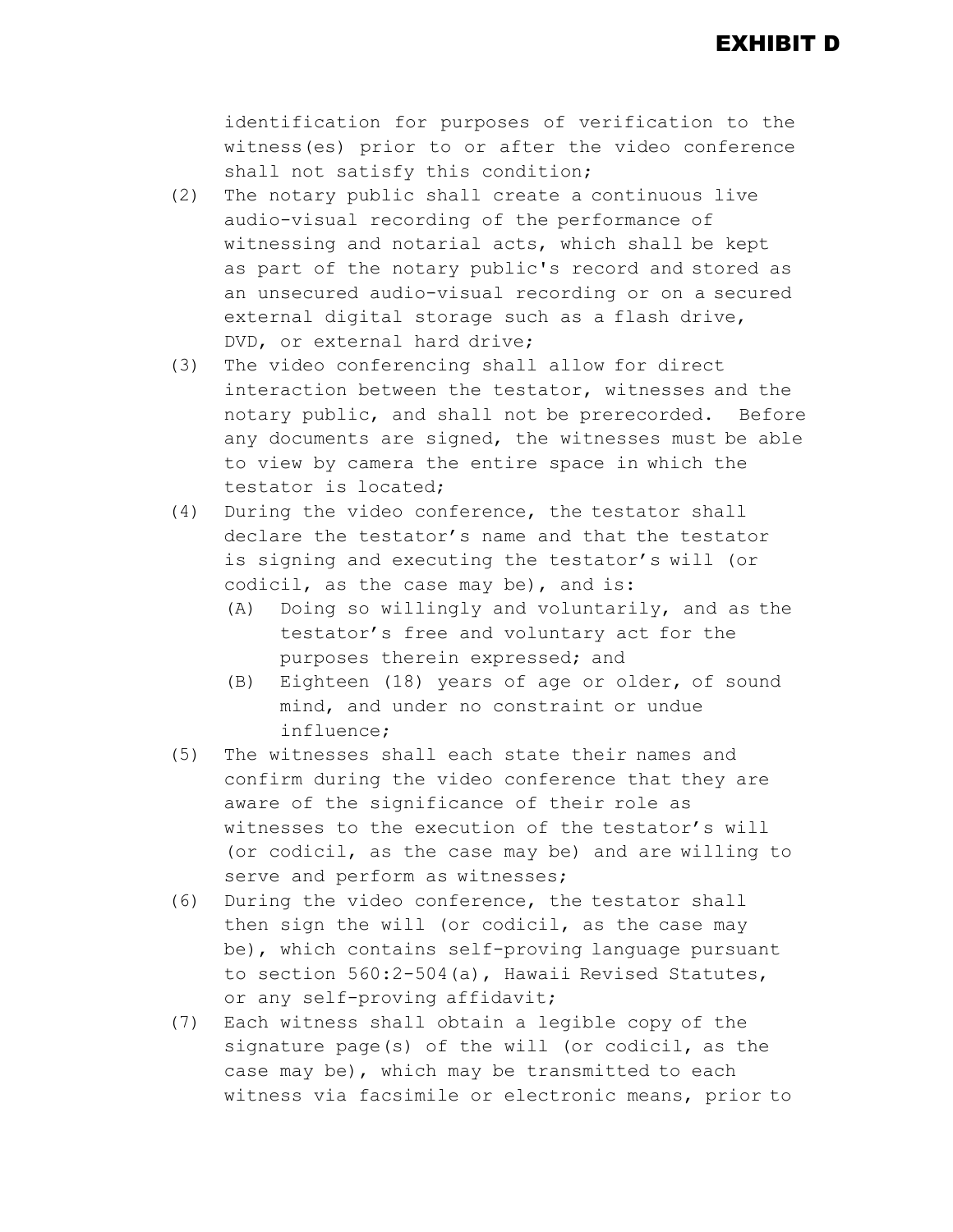EXHIBIT D

identification for purposes of verification to the witness(es) prior to or after the video conference shall not satisfy this condition;

- (2) The notary public shall create a continuous live audio-visual recording of the performance of witnessing and notarial acts, which shall be kept as part of the notary public's record and stored as an unsecured audio-visual recording or on a secured external digital storage such as a flash drive, DVD, or external hard drive;
- (3) The video conferencing shall allow for direct interaction between the testator, witnesses and the notary public, and shall not be prerecorded. Before any documents are signed, the witnesses must be able to view by camera the entire space in which the testator is located;
- (4) During the video conference, the testator shall declare the testator's name and that the testator is signing and executing the testator's will (or codicil, as the case may be), and is:
	- (A) Doing so willingly and voluntarily, and as the testator's free and voluntary act for the purposes therein expressed; and
	- (B) Eighteen (18) years of age or older, of sound mind, and under no constraint or undue influence;
- (5) The witnesses shall each state their names and confirm during the video conference that they are aware of the significance of their role as witnesses to the execution of the testator's will (or codicil, as the case may be) and are willing to serve and perform as witnesses;
- (6) During the video conference, the testator shall then sign the will (or codicil, as the case may be), which contains self-proving language pursuant to section 560:2-504(a), Hawaii Revised Statutes, or any self-proving affidavit;
- (7) Each witness shall obtain a legible copy of the signature page(s) of the will (or codicil, as the case may be), which may be transmitted to each witness via facsimile or electronic means, prior to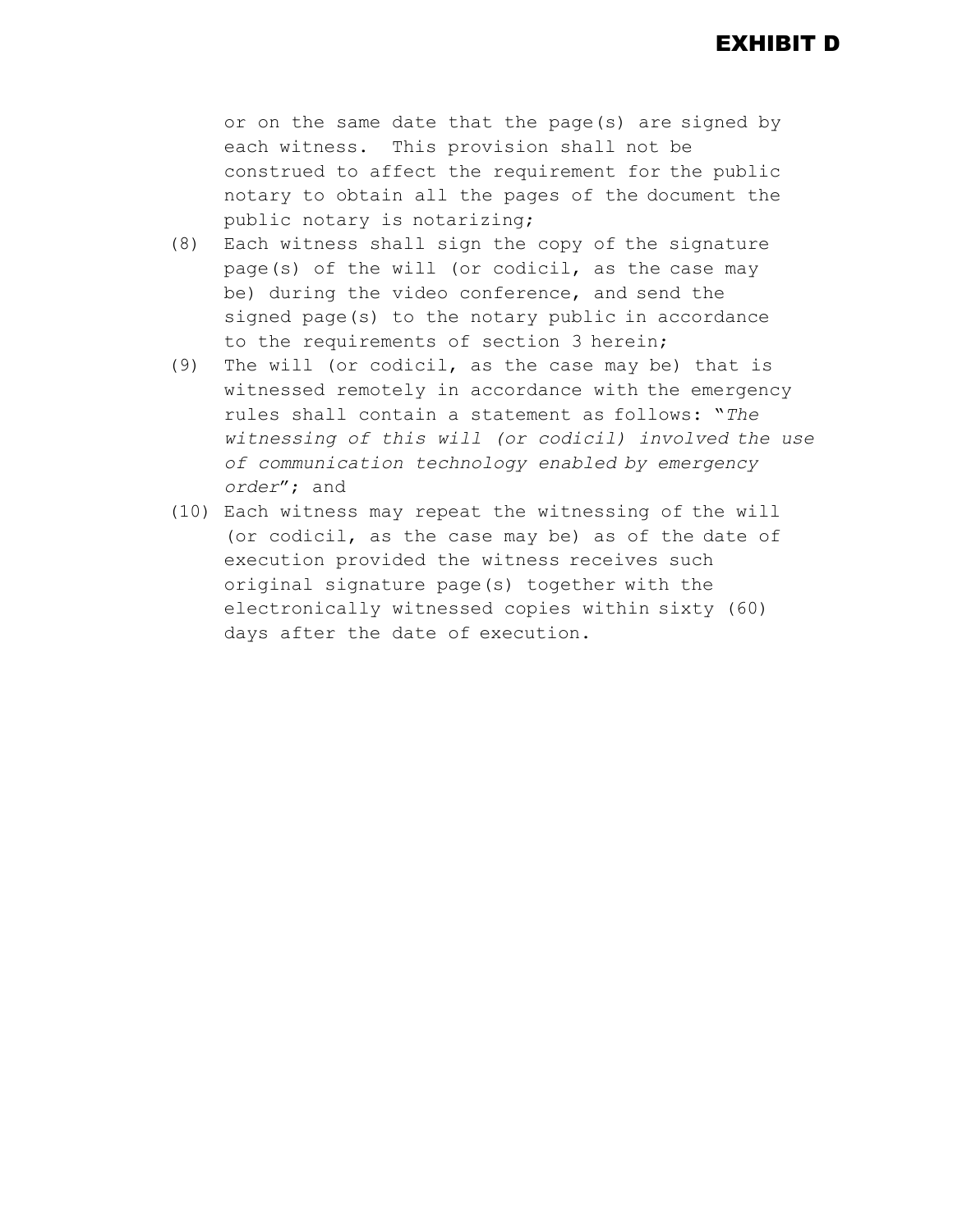or on the same date that the page(s) are signed by each witness. This provision shall not be construed to affect the requirement for the public notary to obtain all the pages of the document the public notary is notarizing;

- (8) Each witness shall sign the copy of the signature page(s) of the will (or codicil, as the case may be) during the video conference, and send the signed page(s) to the notary public in accordance to the requirements of section 3 herein;
- (9) The will (or codicil, as the case may be) that is witnessed remotely in accordance with the emergency rules shall contain a statement as follows: "*The witnessing of this will (or codicil) involved the use of communication technology enabled by emergency order*"; and
- (10) Each witness may repeat the witnessing of the will (or codicil, as the case may be) as of the date of execution provided the witness receives such original signature page(s) together with the electronically witnessed copies within sixty (60) days after the date of execution.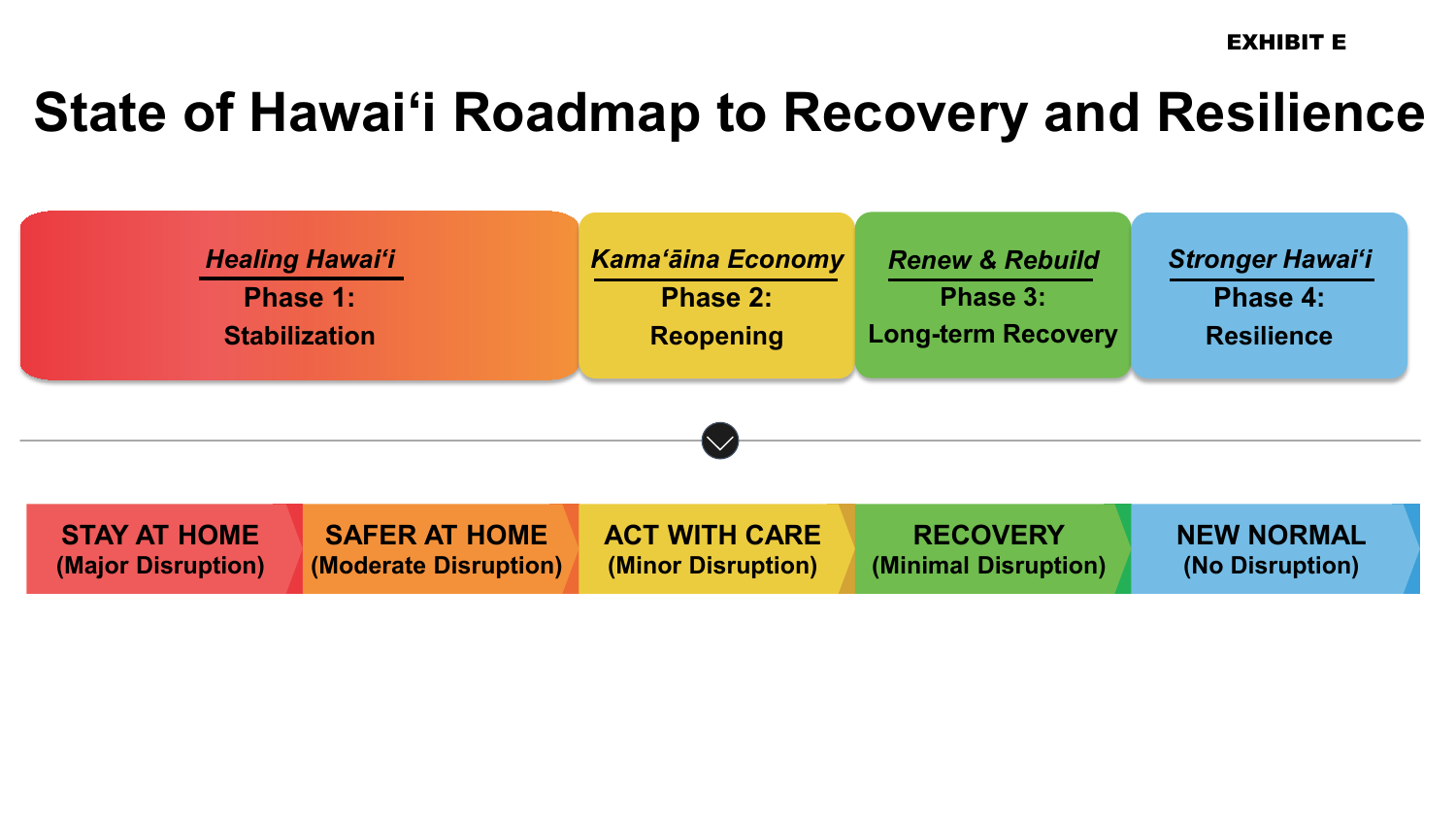EXHIBIT E

# **State of Hawaiʻi Roadmap to Recovery and Resilience**

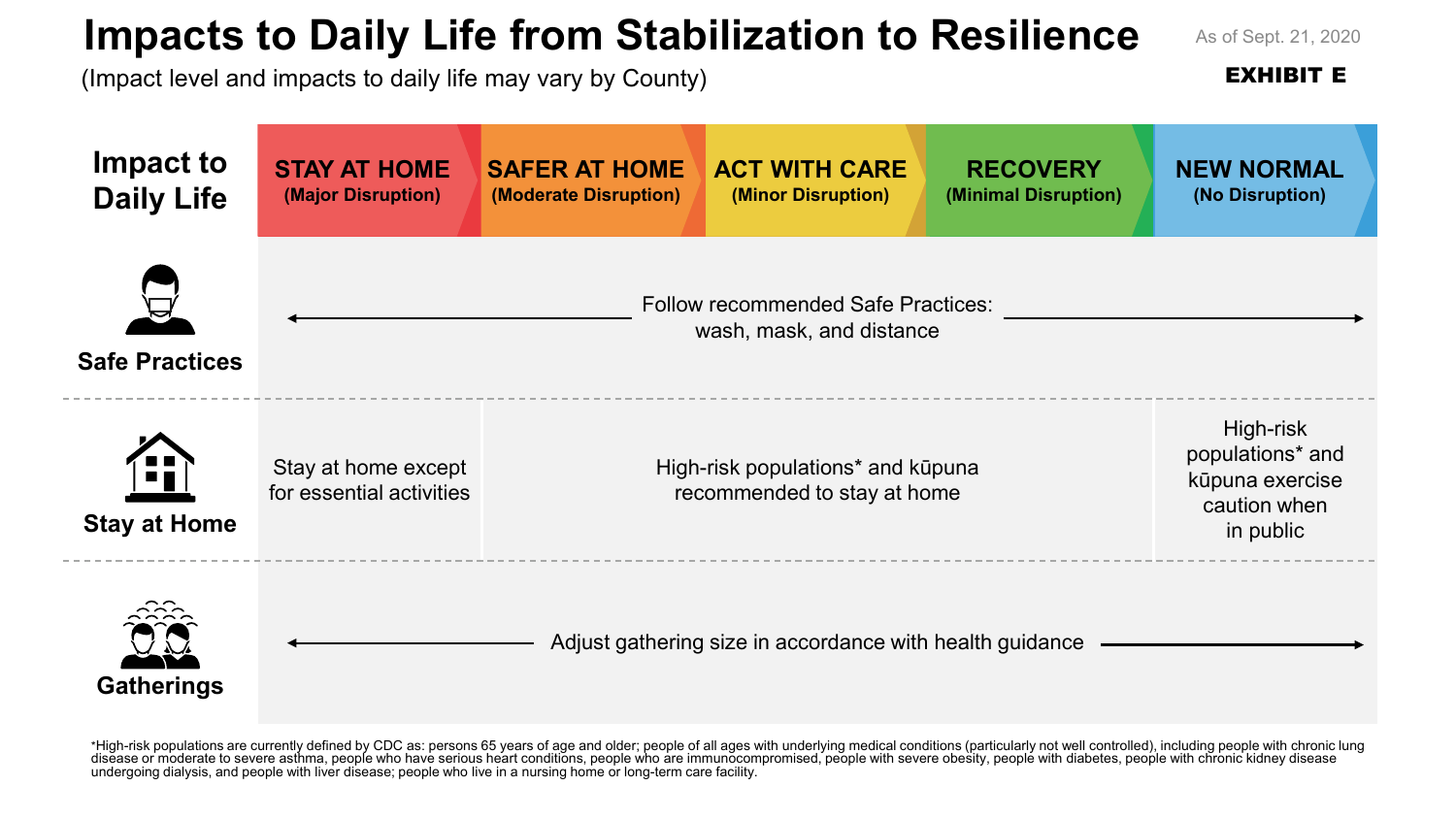# **Impacts to Daily Life from Stabilization to Resilience**

As of Sept. 21, 2020

EXHIBIT E

(Impact level and impacts to daily life may vary by County)



\*High-risk populations are currently defined by CDC as: persons 65 years of age and older; people of all ages with underlying medical conditions (particularly not well controlled), including people with chronic lung disease or moderate to severe asthma, people who have serious heart conditions, people who are immunocompromised, people with severe obesity, people with diabetes, people with chronic kidney disease undergoing dialysis, and people with liver disease; people who live in a nursing home or long-term care facility.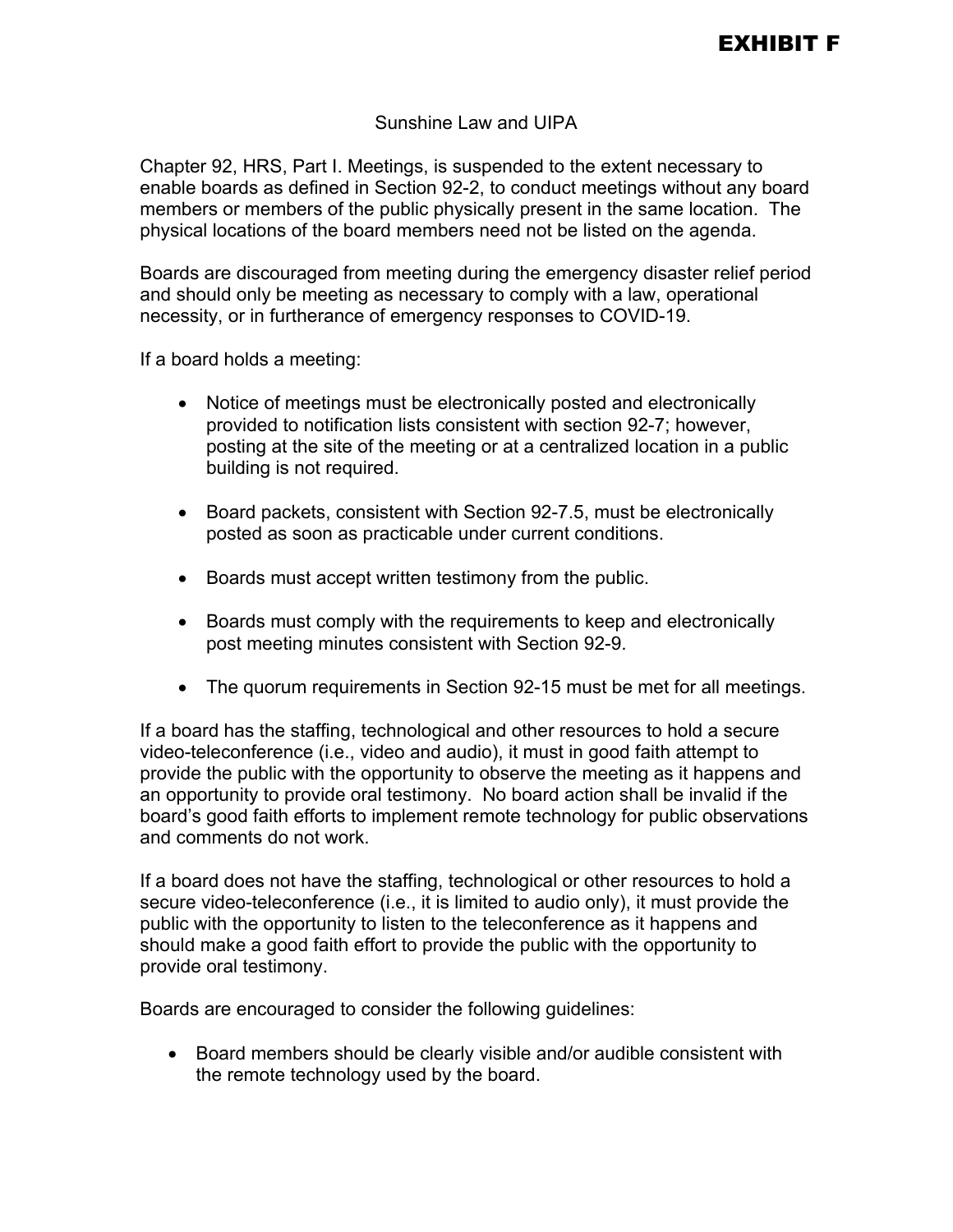#### Sunshine Law and UIPA

Chapter 92, HRS, Part I. Meetings, is suspended to the extent necessary to enable boards as defined in Section 92-2, to conduct meetings without any board members or members of the public physically present in the same location. The physical locations of the board members need not be listed on the agenda.

Boards are discouraged from meeting during the emergency disaster relief period and should only be meeting as necessary to comply with a law, operational necessity, or in furtherance of emergency responses to COVID-19.

If a board holds a meeting:

- Notice of meetings must be electronically posted and electronically provided to notification lists consistent with section 92-7; however, posting at the site of the meeting or at a centralized location in a public building is not required.
- Board packets, consistent with Section 92-7.5, must be electronically posted as soon as practicable under current conditions.
- Boards must accept written testimony from the public.
- Boards must comply with the requirements to keep and electronically post meeting minutes consistent with Section 92-9.
- The quorum requirements in Section 92-15 must be met for all meetings.

If a board has the staffing, technological and other resources to hold a secure video-teleconference (i.e., video and audio), it must in good faith attempt to provide the public with the opportunity to observe the meeting as it happens and an opportunity to provide oral testimony. No board action shall be invalid if the board's good faith efforts to implement remote technology for public observations and comments do not work.

If a board does not have the staffing, technological or other resources to hold a secure video-teleconference (i.e., it is limited to audio only), it must provide the public with the opportunity to listen to the teleconference as it happens and should make a good faith effort to provide the public with the opportunity to provide oral testimony.

Boards are encouraged to consider the following guidelines:

 Board members should be clearly visible and/or audible consistent with the remote technology used by the board.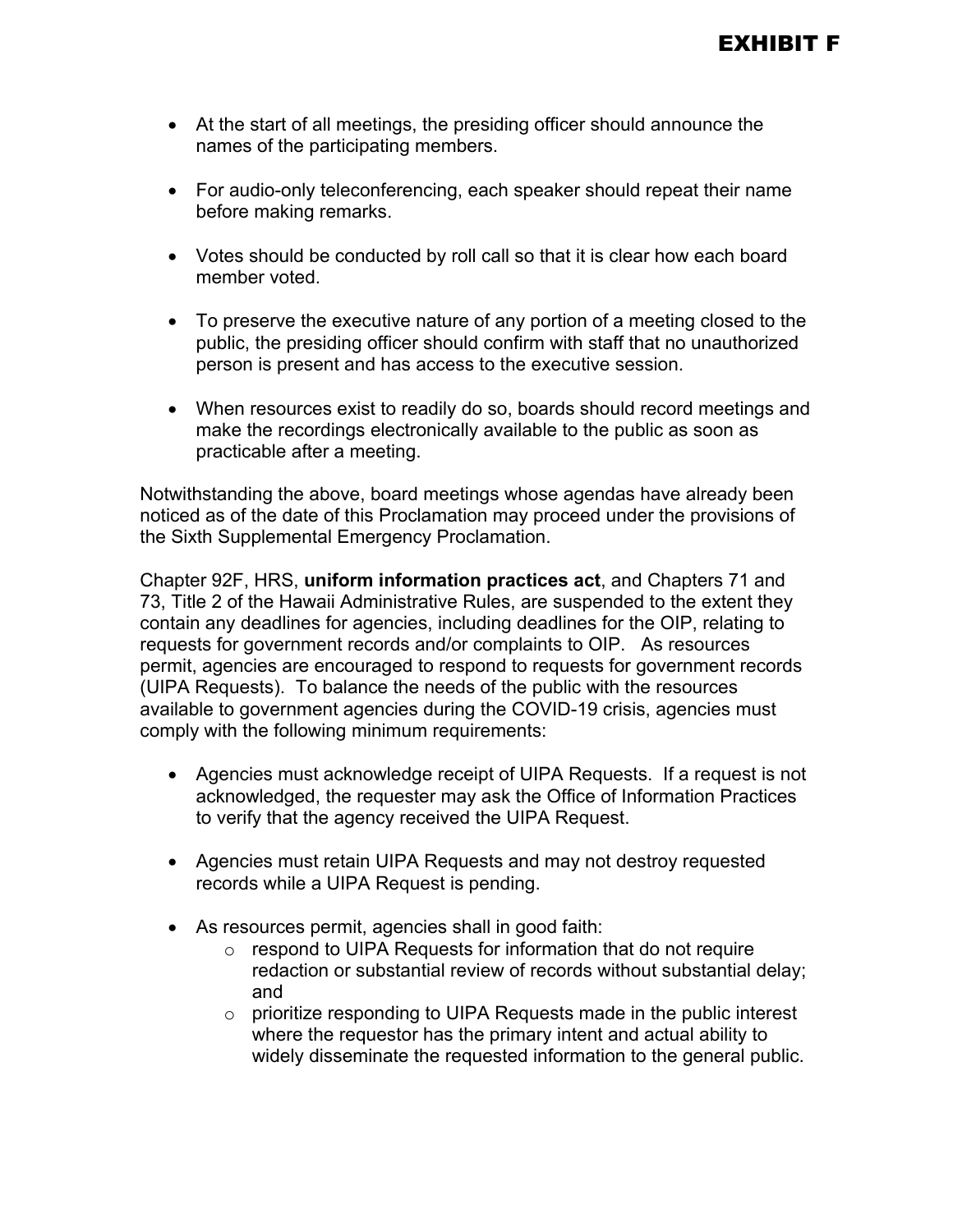- At the start of all meetings, the presiding officer should announce the names of the participating members.
- For audio-only teleconferencing, each speaker should repeat their name before making remarks.
- Votes should be conducted by roll call so that it is clear how each board member voted.
- To preserve the executive nature of any portion of a meeting closed to the public, the presiding officer should confirm with staff that no unauthorized person is present and has access to the executive session.
- When resources exist to readily do so, boards should record meetings and make the recordings electronically available to the public as soon as practicable after a meeting.

Notwithstanding the above, board meetings whose agendas have already been noticed as of the date of this Proclamation may proceed under the provisions of the Sixth Supplemental Emergency Proclamation.

Chapter 92F, HRS, **uniform information practices act**, and Chapters 71 and 73, Title 2 of the Hawaii Administrative Rules, are suspended to the extent they contain any deadlines for agencies, including deadlines for the OIP, relating to requests for government records and/or complaints to OIP. As resources permit, agencies are encouraged to respond to requests for government records (UIPA Requests). To balance the needs of the public with the resources available to government agencies during the COVID-19 crisis, agencies must comply with the following minimum requirements:

- Agencies must acknowledge receipt of UIPA Requests. If a request is not acknowledged, the requester may ask the Office of Information Practices to verify that the agency received the UIPA Request.
- Agencies must retain UIPA Requests and may not destroy requested records while a UIPA Request is pending.
- As resources permit, agencies shall in good faith:
	- $\circ$  respond to UIPA Requests for information that do not require redaction or substantial review of records without substantial delay; and
	- o prioritize responding to UIPA Requests made in the public interest where the requestor has the primary intent and actual ability to widely disseminate the requested information to the general public.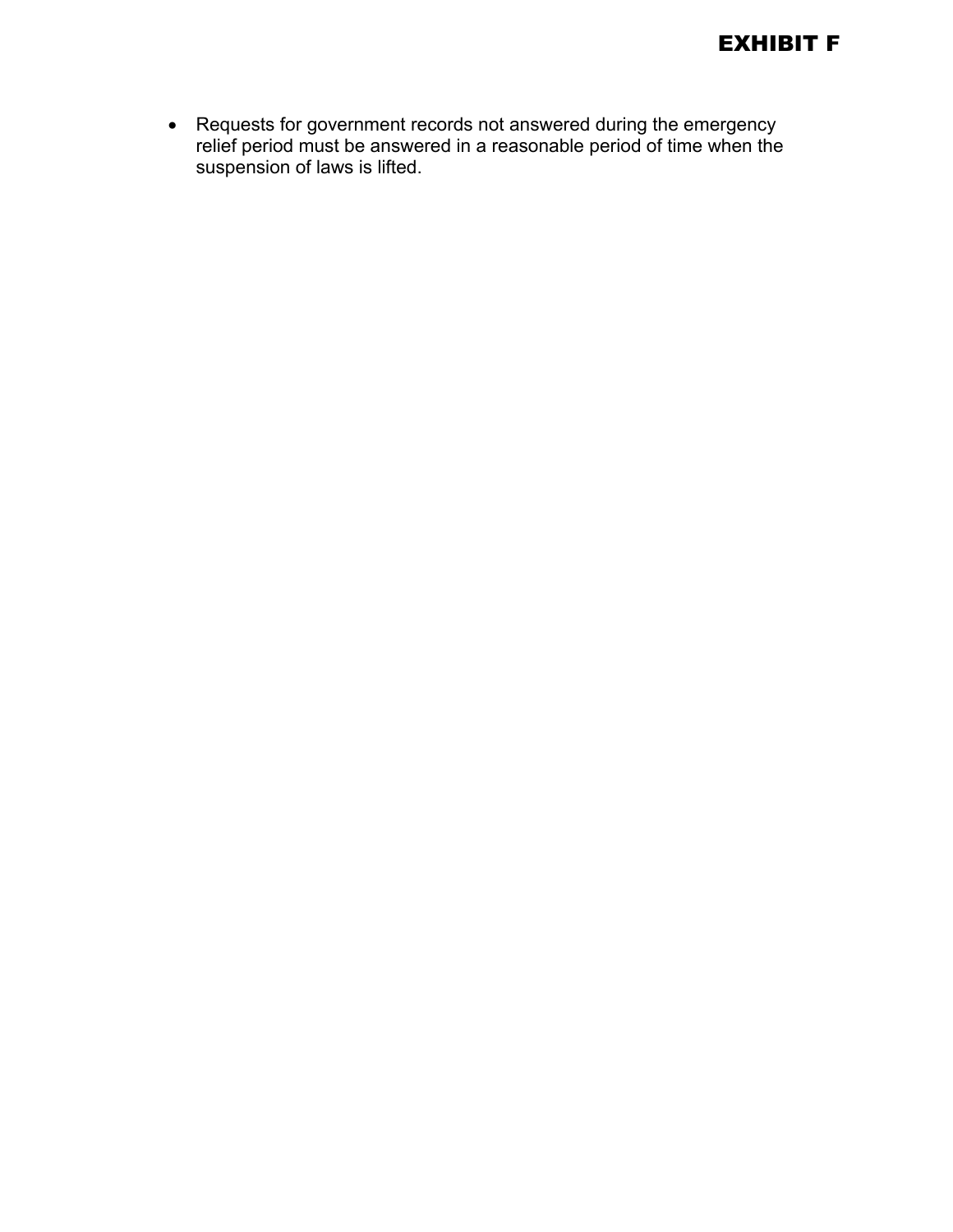

 Requests for government records not answered during the emergency relief period must be answered in a reasonable period of time when the suspension of laws is lifted.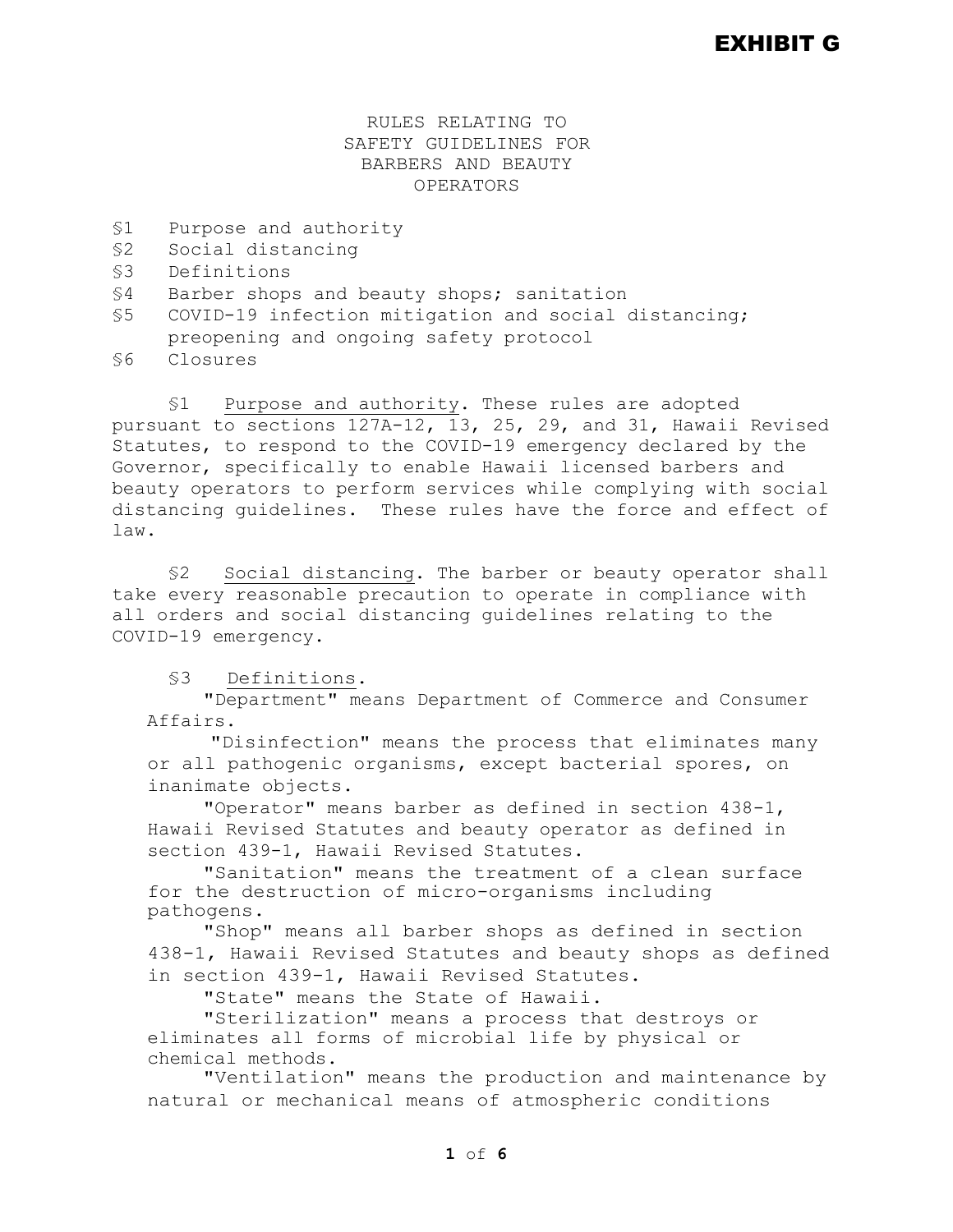### EXHIBIT G

#### RULES RELATING TO SAFETY GUIDELINES FOR BARBERS AND BEAUTY OPERATORS

- \$1 Purpose and authority<br>\$2 Social distancing
- Social distancing
- §3 Definitions
- §4 Barber shops and beauty shops; sanitation
- §5 COVID-19 infection mitigation and social distancing; preopening and ongoing safety protocol<br>\$6 Closures
- §6 Closures

§1 Purpose and authority. These rules are adopted pursuant to sections 127A-12, 13, 25, 29, and 31, Hawaii Revised Statutes, to respond to the COVID-19 emergency declared by the Governor, specifically to enable Hawaii licensed barbers and beauty operators to perform services while complying with social distancing guidelines. These rules have the force and effect of law.

§2 Social distancing. The barber or beauty operator shall take every reasonable precaution to operate in compliance with all orders and social distancing guidelines relating to the COVID-19 emergency.

§3 Definitions.

"Department" means Department of Commerce and Consumer Affairs.

"Disinfection" means the process that eliminates many or all pathogenic organisms, except bacterial spores, on inanimate objects.

"Operator" means barber as defined in section 438-1, Hawaii Revised Statutes and beauty operator as defined in section 439-1, Hawaii Revised Statutes.

"Sanitation" means the treatment of a clean surface for the destruction of micro-organisms including pathogens.

"Shop" means all barber shops as defined in section 438-1, Hawaii Revised Statutes and beauty shops as defined in section 439-1, Hawaii Revised Statutes.

"State" means the State of Hawaii.

"Sterilization" means a process that destroys or eliminates all forms of microbial life by physical or chemical methods.

"Ventilation" means the production and maintenance by natural or mechanical means of atmospheric conditions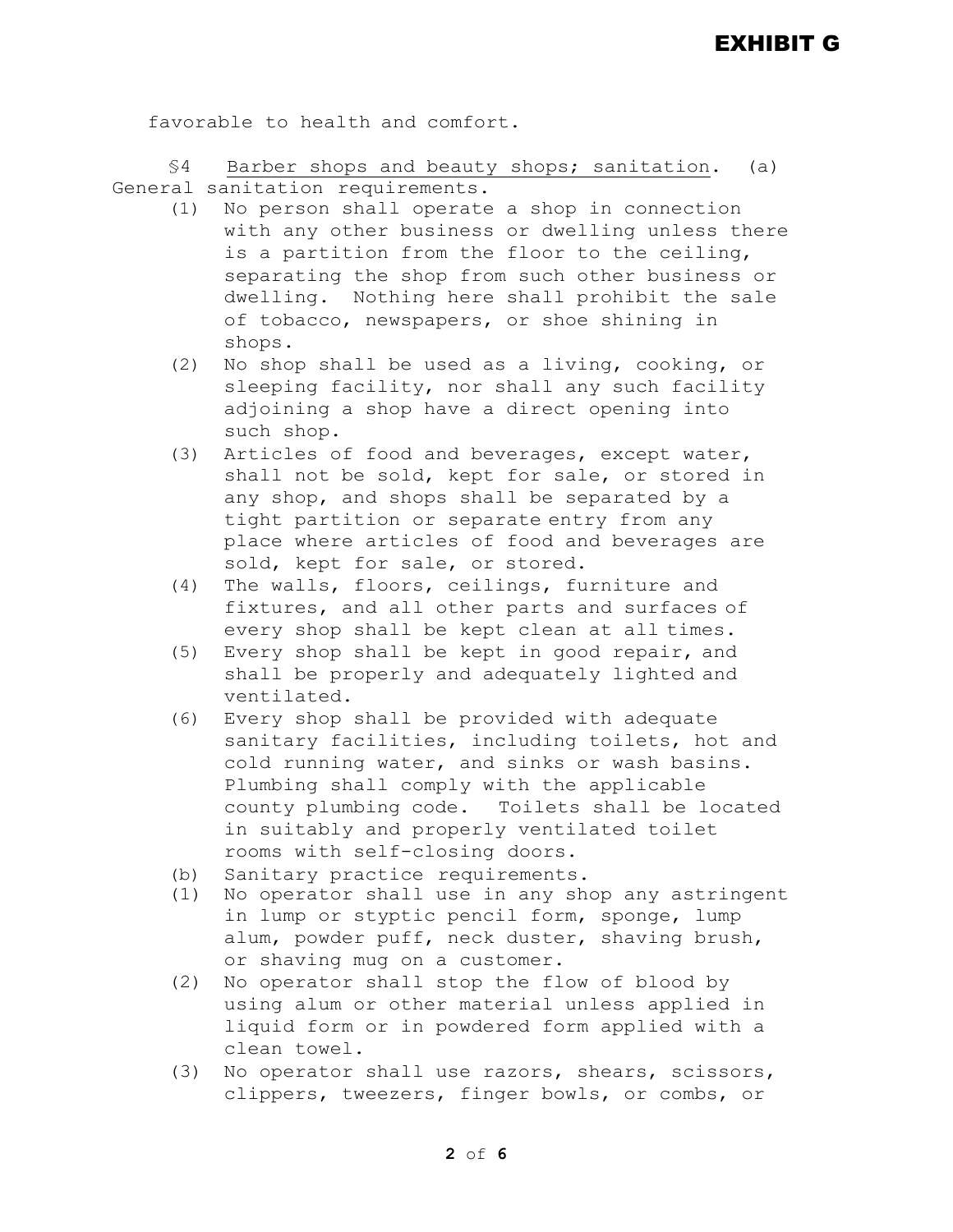favorable to health and comfort.

§4 Barber shops and beauty shops; sanitation. (a) General sanitation requirements.

- (1) No person shall operate a shop in connection with any other business or dwelling unless there is a partition from the floor to the ceiling, separating the shop from such other business or dwelling. Nothing here shall prohibit the sale of tobacco, newspapers, or shoe shining in shops.
- (2) No shop shall be used as a living, cooking, or sleeping facility, nor shall any such facility adjoining a shop have a direct opening into such shop.
- (3) Articles of food and beverages, except water, shall not be sold, kept for sale, or stored in any shop, and shops shall be separated by a tight partition or separate entry from any place where articles of food and beverages are sold, kept for sale, or stored.
- (4) The walls, floors, ceilings, furniture and fixtures, and all other parts and surfaces of every shop shall be kept clean at all times.
- (5) Every shop shall be kept in good repair, and shall be properly and adequately lighted and ventilated.
- (6) Every shop shall be provided with adequate sanitary facilities, including toilets, hot and cold running water, and sinks or wash basins. Plumbing shall comply with the applicable county plumbing code. Toilets shall be located in suitably and properly ventilated toilet rooms with self-closing doors.
- (b) Sanitary practice requirements.<br>(1) No operator shall use in any she
- No operator shall use in any shop any astringent in lump or styptic pencil form, sponge, lump alum, powder puff, neck duster, shaving brush, or shaving mug on a customer.
- (2) No operator shall stop the flow of blood by using alum or other material unless applied in liquid form or in powdered form applied with a clean towel.
- (3) No operator shall use razors, shears, scissors, clippers, tweezers, finger bowls, or combs, or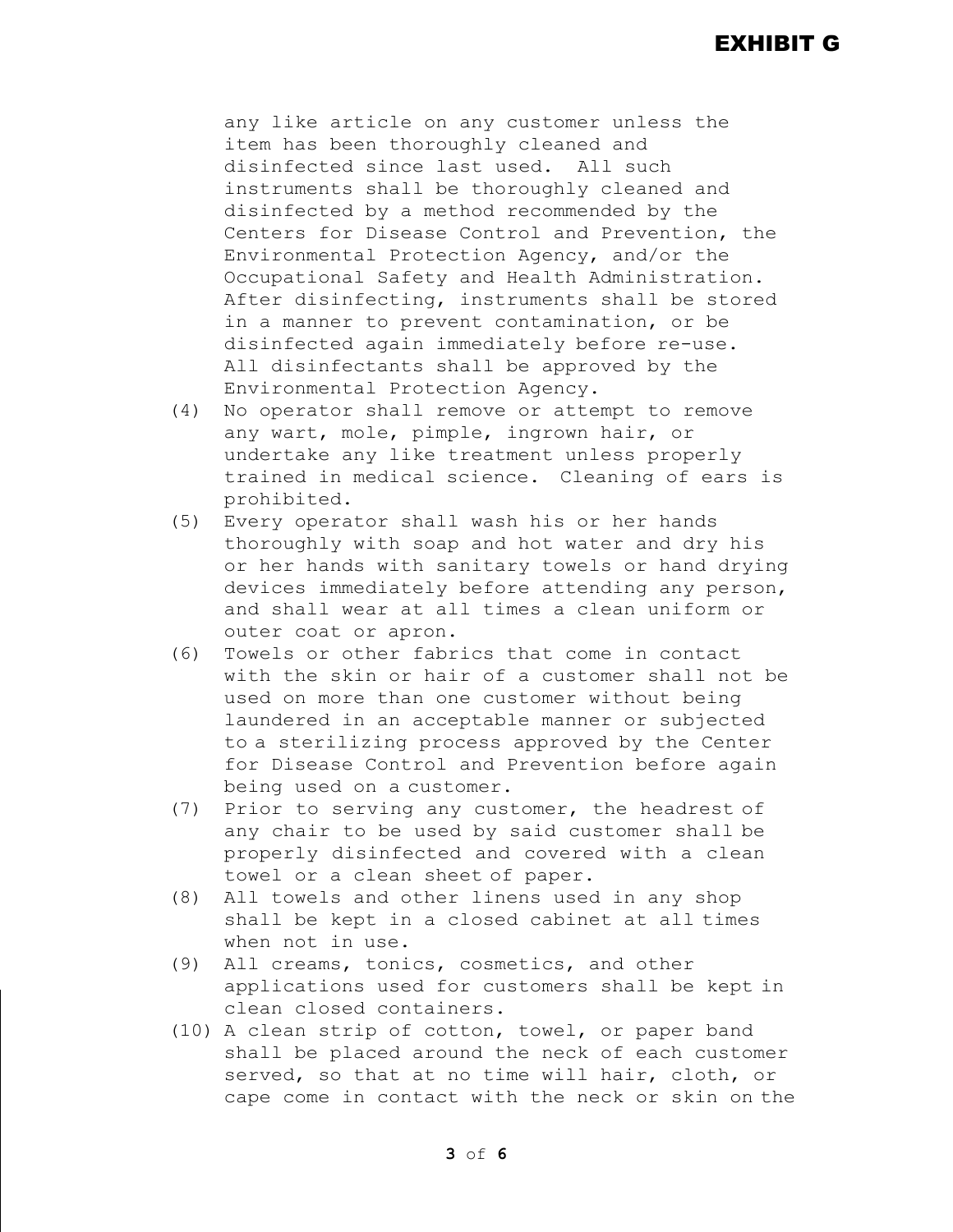any like article on any customer unless the item has been thoroughly cleaned and disinfected since last used. All such instruments shall be thoroughly cleaned and disinfected by a method recommended by the Centers for Disease Control and Prevention, the Environmental Protection Agency, and/or the Occupational Safety and Health Administration. After disinfecting, instruments shall be stored in a manner to prevent contamination, or be disinfected again immediately before re-use. All disinfectants shall be approved by the Environmental Protection Agency.

- (4) No operator shall remove or attempt to remove any wart, mole, pimple, ingrown hair, or undertake any like treatment unless properly trained in medical science. Cleaning of ears is prohibited.
- (5) Every operator shall wash his or her hands thoroughly with soap and hot water and dry his or her hands with sanitary towels or hand drying devices immediately before attending any person, and shall wear at all times a clean uniform or outer coat or apron.
- (6) Towels or other fabrics that come in contact with the skin or hair of a customer shall not be used on more than one customer without being laundered in an acceptable manner or subjected to a sterilizing process approved by the Center for Disease Control and Prevention before again being used on a customer.
- (7) Prior to serving any customer, the headrest of any chair to be used by said customer shall be properly disinfected and covered with a clean towel or a clean sheet of paper.
- (8) All towels and other linens used in any shop shall be kept in a closed cabinet at all times when not in use.
- (9) All creams, tonics, cosmetics, and other applications used for customers shall be kept in clean closed containers.
- (10) A clean strip of cotton, towel, or paper band shall be placed around the neck of each customer served, so that at no time will hair, cloth, or cape come in contact with the neck or skin on the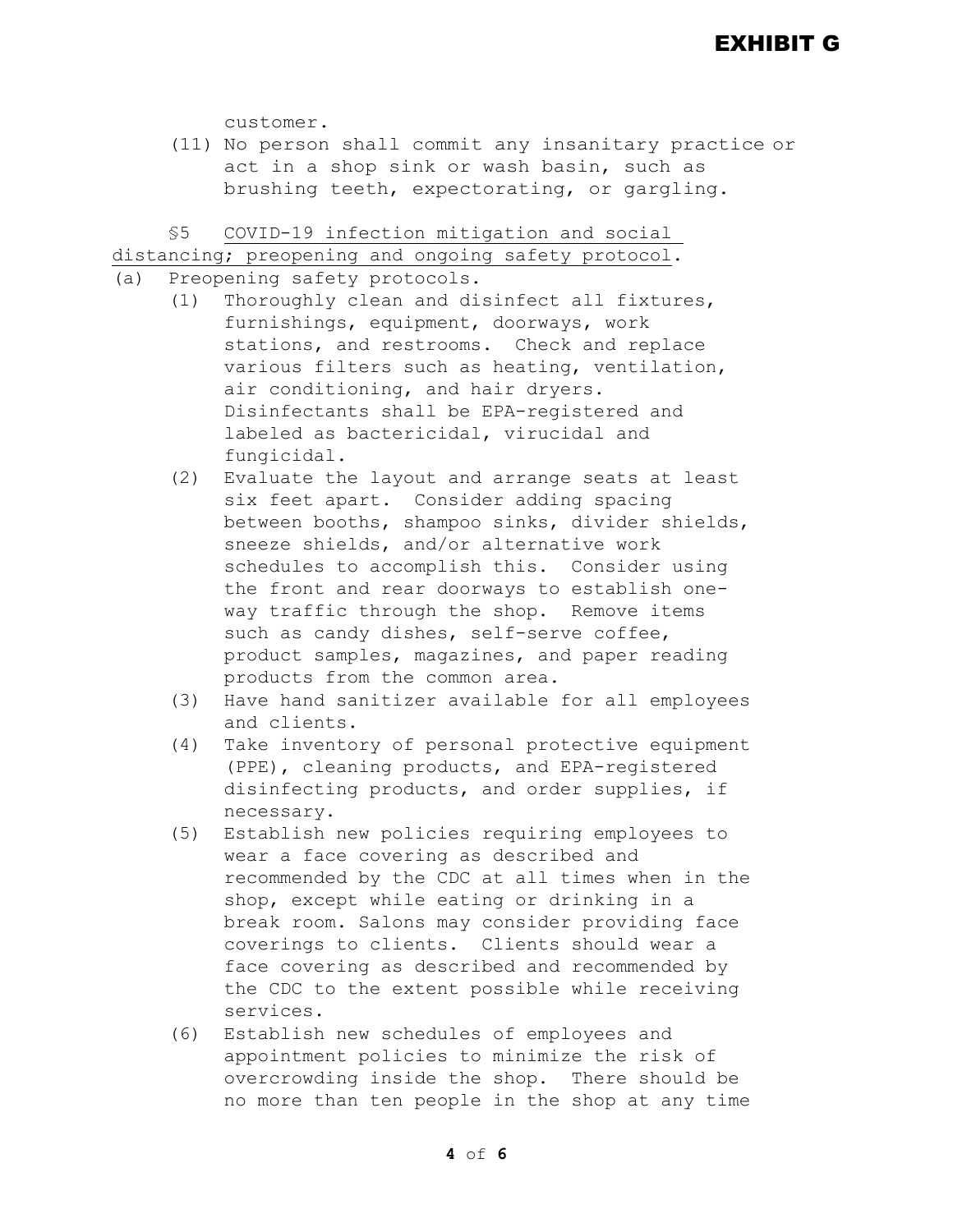customer.

(11) No person shall commit any insanitary practice or act in a shop sink or wash basin, such as brushing teeth, expectorating, or gargling.

§5 COVID-19 infection mitigation and social

distancing; preopening and ongoing safety protocol.

- (a) Preopening safety protocols.
	- (1) Thoroughly clean and disinfect all fixtures, furnishings, equipment, doorways, work stations, and restrooms. Check and replace various filters such as heating, ventilation, air conditioning, and hair dryers. Disinfectants shall be EPA-registered and labeled as bactericidal, virucidal and fungicidal.
	- (2) Evaluate the layout and arrange seats at least six feet apart. Consider adding spacing between booths, shampoo sinks, divider shields, sneeze shields, and/or alternative work schedules to accomplish this. Consider using the front and rear doorways to establish oneway traffic through the shop. Remove items such as candy dishes, self-serve coffee, product samples, magazines, and paper reading products from the common area.
	- (3) Have hand sanitizer available for all employees and clients.
	- (4) Take inventory of personal protective equipment (PPE), cleaning products, and EPA-registered disinfecting products, and order supplies, if necessary.
	- (5) Establish new policies requiring employees to wear a face covering as described and recommended by the CDC at all times when in the shop, except while eating or drinking in a break room. Salons may consider providing face coverings to clients. Clients should wear a face covering as described and recommended by the CDC to the extent possible while receiving services.
	- (6) Establish new schedules of employees and appointment policies to minimize the risk of overcrowding inside the shop. There should be no more than ten people in the shop at any time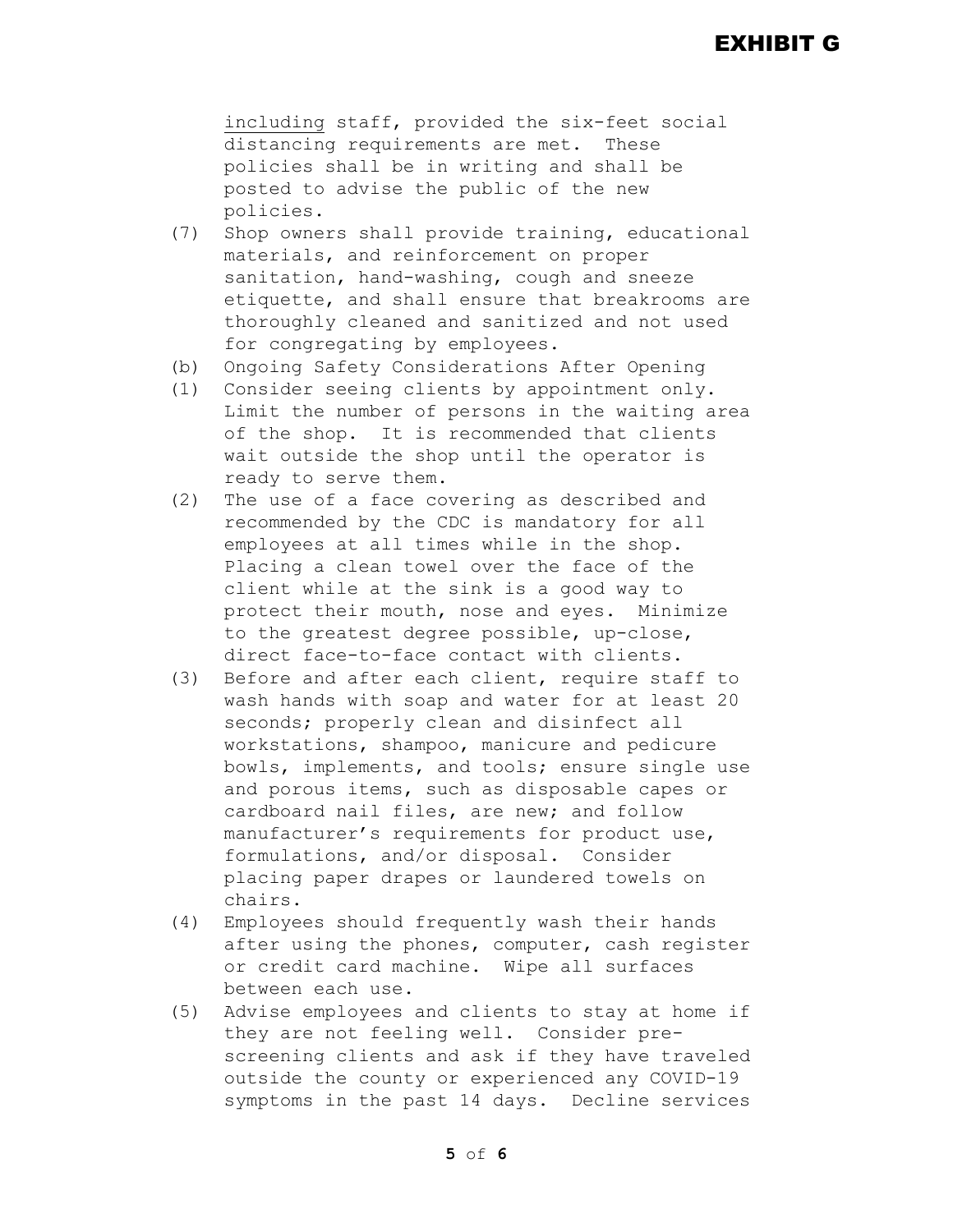## EXHIBIT G

including staff, provided the six-feet social distancing requirements are met. These policies shall be in writing and shall be posted to advise the public of the new policies.

- (7) Shop owners shall provide training, educational materials, and reinforcement on proper sanitation, hand-washing, cough and sneeze etiquette, and shall ensure that breakrooms are thoroughly cleaned and sanitized and not used for congregating by employees.
- (b) Ongoing Safety Considerations After Opening
- (1) Consider seeing clients by appointment only. Limit the number of persons in the waiting area of the shop. It is recommended that clients wait outside the shop until the operator is ready to serve them.
- (2) The use of a face covering as described and recommended by the CDC is mandatory for all employees at all times while in the shop. Placing a clean towel over the face of the client while at the sink is a good way to protect their mouth, nose and eyes. Minimize to the greatest degree possible, up-close, direct face-to-face contact with clients.
- (3) Before and after each client, require staff to wash hands with soap and water for at least 20 seconds; properly clean and disinfect all workstations, shampoo, manicure and pedicure bowls, implements, and tools; ensure single use and porous items, such as disposable capes or cardboard nail files, are new; and follow manufacturer's requirements for product use, formulations, and/or disposal. Consider placing paper drapes or laundered towels on chairs.
- (4) Employees should frequently wash their hands after using the phones, computer, cash register or credit card machine. Wipe all surfaces between each use.
- (5) Advise employees and clients to stay at home if they are not feeling well. Consider prescreening clients and ask if they have traveled outside the county or experienced any COVID-19 symptoms in the past 14 days. Decline services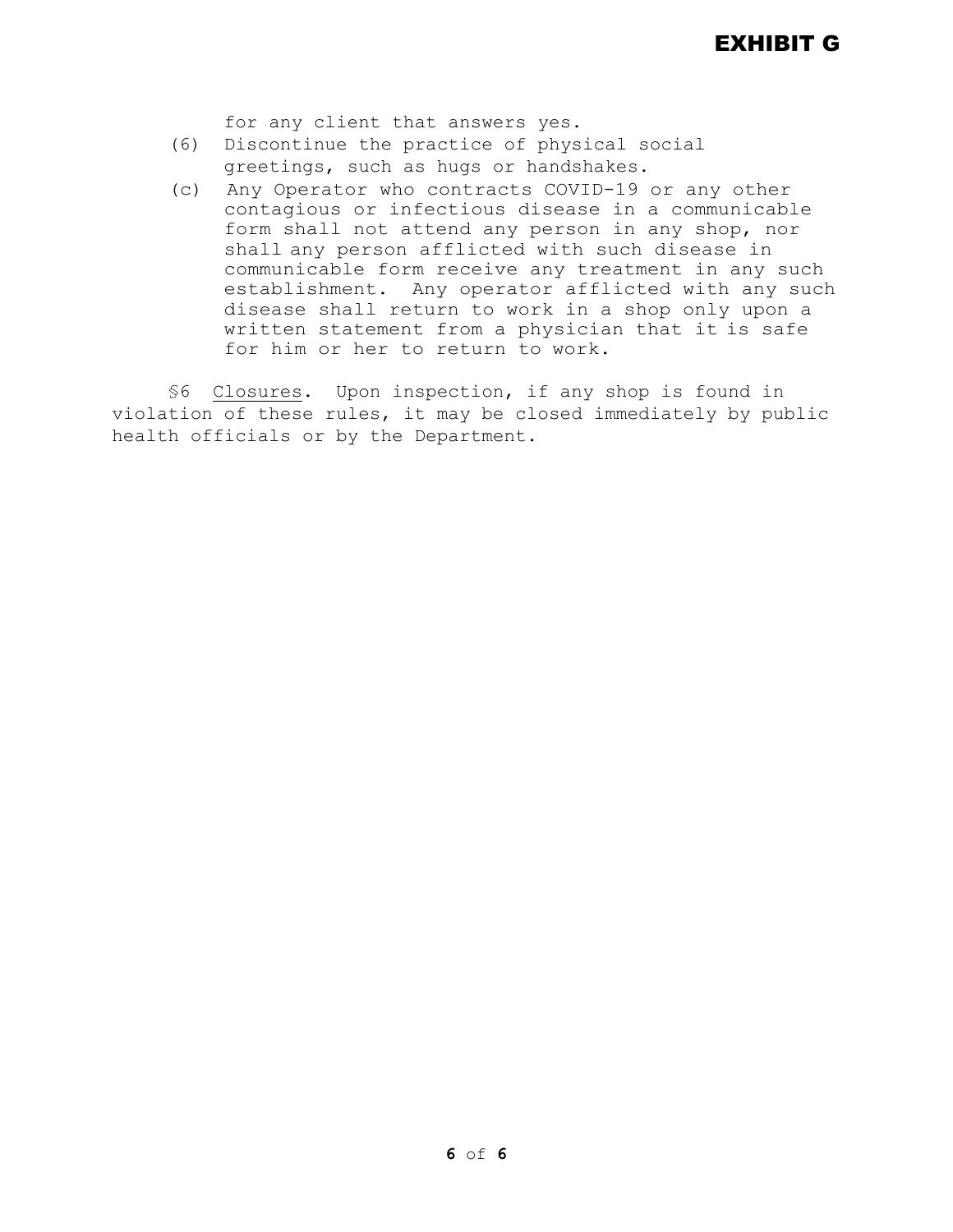for any client that answers yes.

- (6) Discontinue the practice of physical social greetings, such as hugs or handshakes.
- (c) Any Operator who contracts COVID-19 or any other contagious or infectious disease in a communicable form shall not attend any person in any shop, nor shall any person afflicted with such disease in communicable form receive any treatment in any such establishment. Any operator afflicted with any such disease shall return to work in a shop only upon a written statement from a physician that it is safe for him or her to return to work.

§6 Closures. Upon inspection, if any shop is found in violation of these rules, it may be closed immediately by public health officials or by the Department.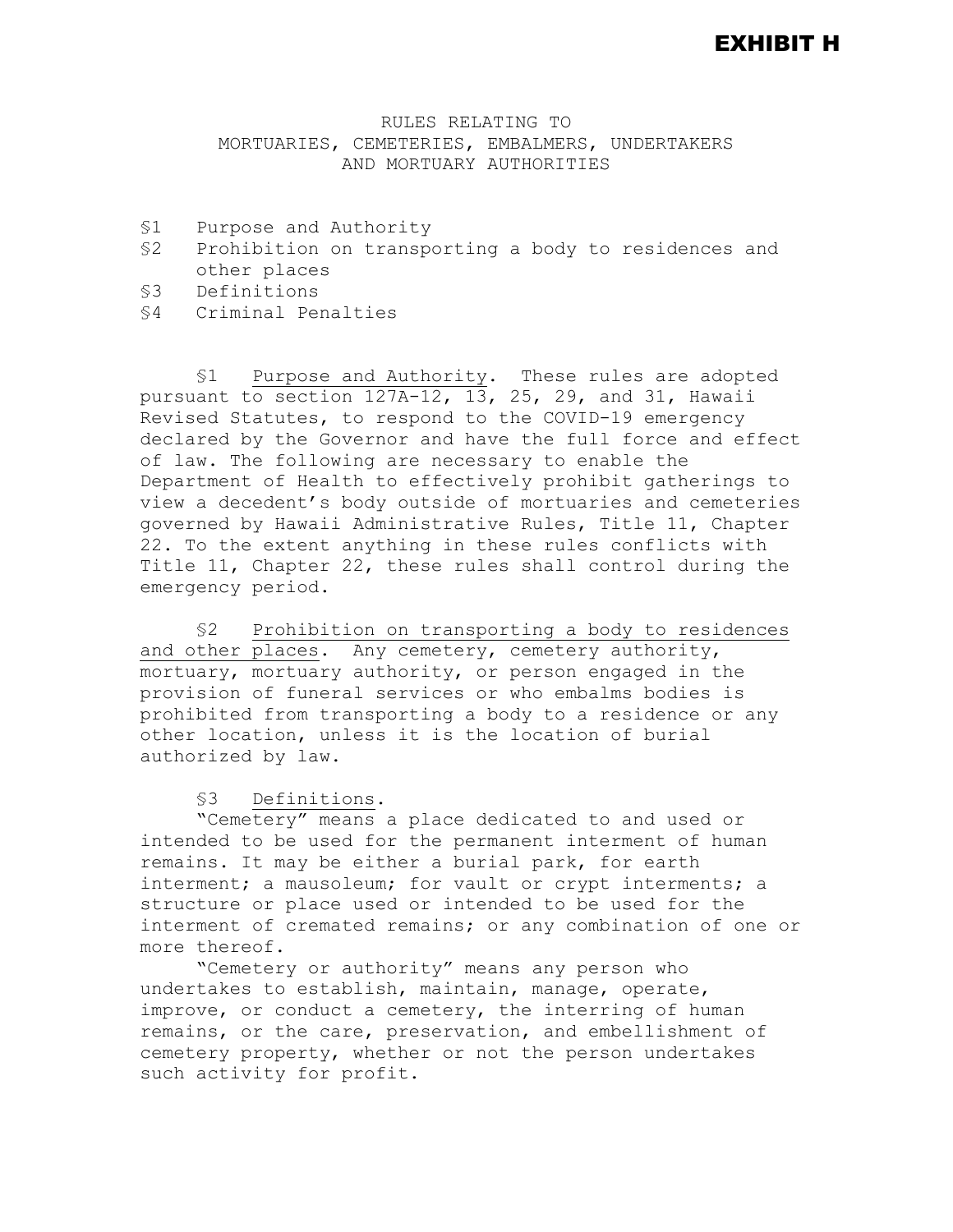#### EXHIBIT H

#### RULES RELATING TO MORTUARIES, CEMETERIES, EMBALMERS, UNDERTAKERS AND MORTUARY AUTHORITIES

- §1 Purpose and Authority<br>§2 Prohibition on transpo
- Prohibition on transporting a body to residences and other places
- §3 Definitions
- §4 Criminal Penalties

§1 Purpose and Authority. These rules are adopted pursuant to section  $127A-12$ ,  $13$ ,  $25$ ,  $29$ , and  $31$ , Hawaii Revised Statutes, to respond to the COVID-19 emergency declared by the Governor and have the full force and effect of law. The following are necessary to enable the Department of Health to effectively prohibit gatherings to view a decedent's body outside of mortuaries and cemeteries governed by Hawaii Administrative Rules, Title 11, Chapter 22. To the extent anything in these rules conflicts with Title 11, Chapter 22, these rules shall control during the emergency period.

§2 Prohibition on transporting a body to residences and other places. Any cemetery, cemetery authority, mortuary, mortuary authority, or person engaged in the provision of funeral services or who embalms bodies is prohibited from transporting a body to a residence or any other location, unless it is the location of burial authorized by law.

#### §3 Definitions.

"Cemetery" means a place dedicated to and used or intended to be used for the permanent interment of human remains. It may be either a burial park, for earth interment; a mausoleum; for vault or crypt interments; a structure or place used or intended to be used for the interment of cremated remains; or any combination of one or more thereof.

"Cemetery or authority" means any person who undertakes to establish, maintain, manage, operate, improve, or conduct a cemetery, the interring of human remains, or the care, preservation, and embellishment of cemetery property, whether or not the person undertakes such activity for profit.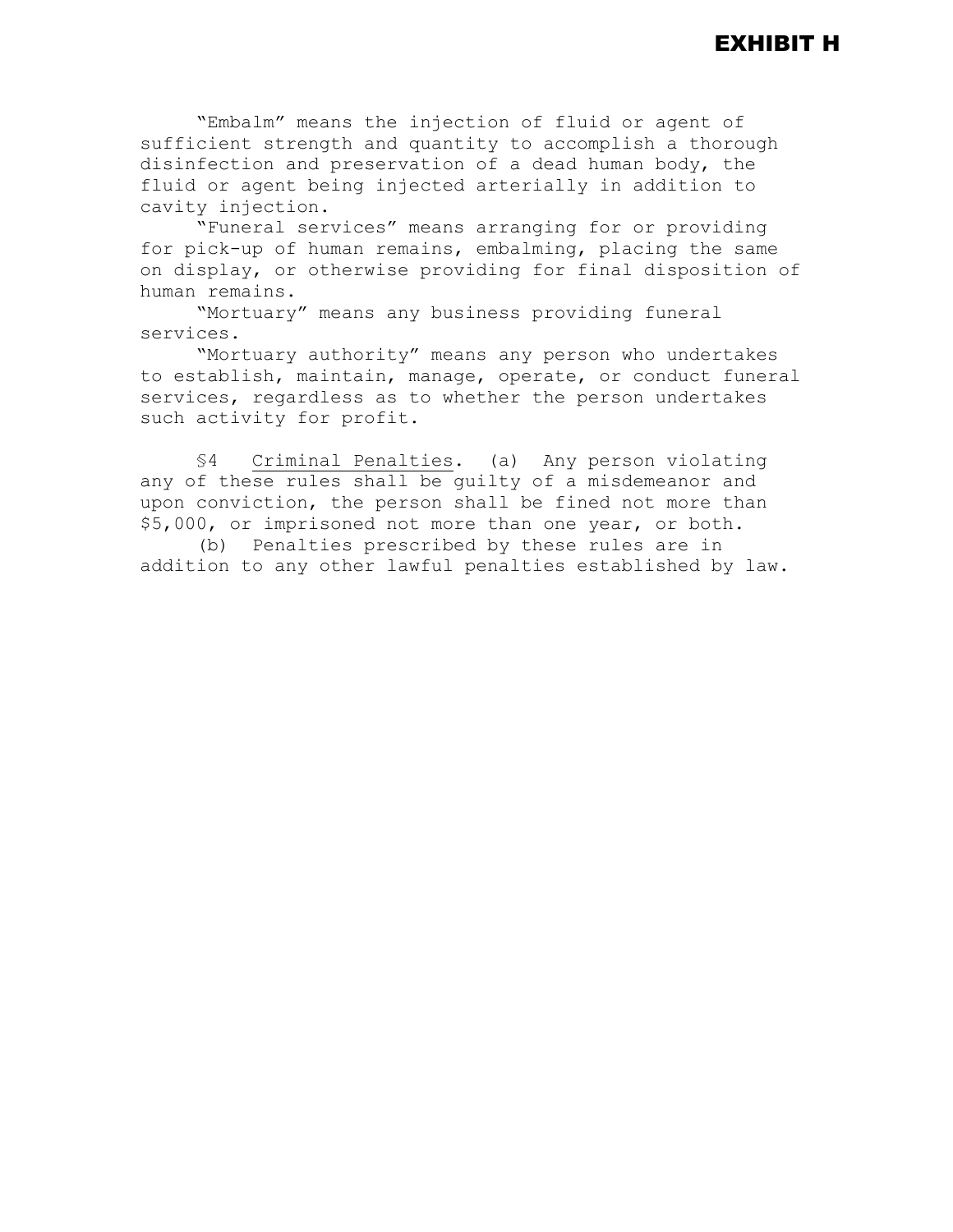"Embalm" means the injection of fluid or agent of sufficient strength and quantity to accomplish a thorough disinfection and preservation of a dead human body, the fluid or agent being injected arterially in addition to cavity injection.

"Funeral services" means arranging for or providing for pick-up of human remains, embalming, placing the same on display, or otherwise providing for final disposition of human remains.

"Mortuary" means any business providing funeral services.

"Mortuary authority" means any person who undertakes to establish, maintain, manage, operate, or conduct funeral services, regardless as to whether the person undertakes such activity for profit.

§4 Criminal Penalties. (a) Any person violating any of these rules shall be guilty of a misdemeanor and upon conviction, the person shall be fined not more than \$5,000, or imprisoned not more than one year, or both.

(b) Penalties prescribed by these rules are in addition to any other lawful penalties established by law.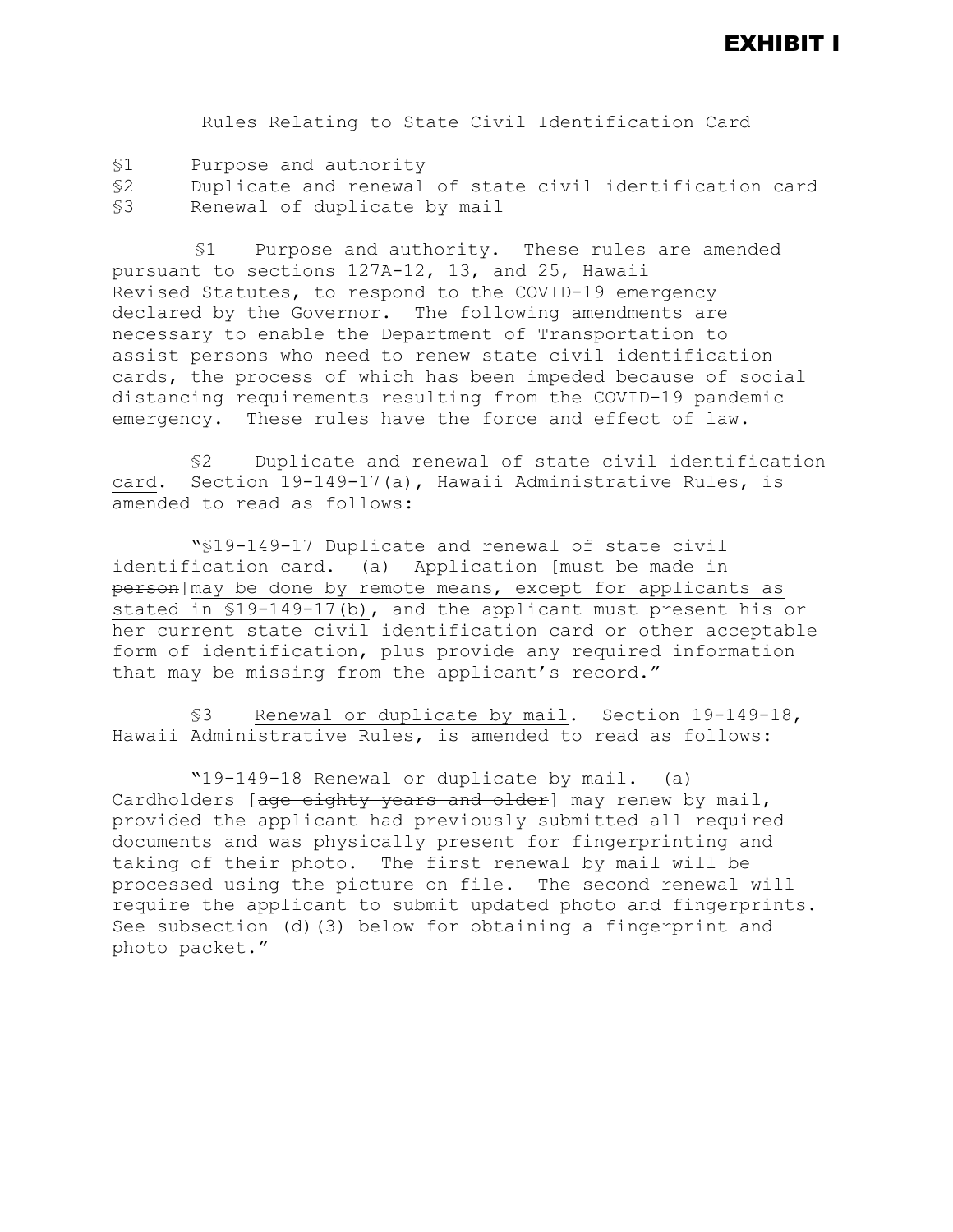#### EXHIBIT I

Rules Relating to State Civil Identification Card

- §1 Purpose and authority
- §2 Duplicate and renewal of state civil identification card Renewal of duplicate by mail

 §1 Purpose and authority. These rules are amended pursuant to sections 127A-12, 13, and 25, Hawaii Revised Statutes, to respond to the COVID-19 emergency declared by the Governor. The following amendments are necessary to enable the Department of Transportation to assist persons who need to renew state civil identification cards, the process of which has been impeded because of social distancing requirements resulting from the COVID-19 pandemic emergency. These rules have the force and effect of law.

§2 Duplicate and renewal of state civil identification card. Section 19-149-17(a), Hawaii Administrative Rules, is amended to read as follows:

"§19-149-17 Duplicate and renewal of state civil identification card. (a) Application [must be made in person]may be done by remote means, except for applicants as stated in §19-149-17(b), and the applicant must present his or her current state civil identification card or other acceptable form of identification, plus provide any required information that may be missing from the applicant's record."

§3 Renewal or duplicate by mail. Section 19-149-18, Hawaii Administrative Rules, is amended to read as follows:

"19-149-18 Renewal or duplicate by mail. (a) Cardholders [age eighty years and older] may renew by mail, provided the applicant had previously submitted all required documents and was physically present for fingerprinting and taking of their photo. The first renewal by mail will be processed using the picture on file. The second renewal will require the applicant to submit updated photo and fingerprints. See subsection (d)(3) below for obtaining a fingerprint and photo packet."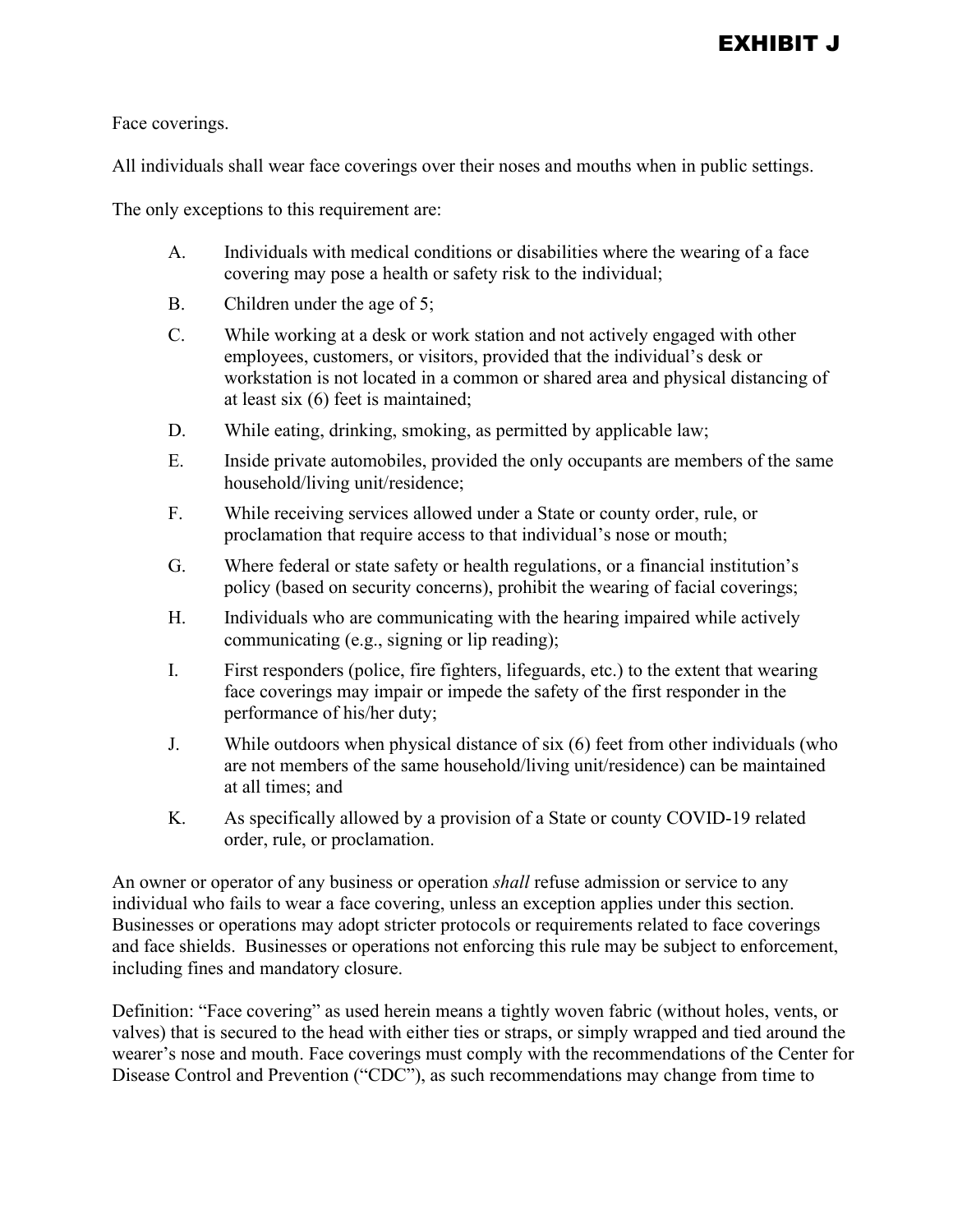Face coverings.

All individuals shall wear face coverings over their noses and mouths when in public settings.

The only exceptions to this requirement are:

- A. Individuals with medical conditions or disabilities where the wearing of a face covering may pose a health or safety risk to the individual;
- B. Children under the age of 5;
- C. While working at a desk or work station and not actively engaged with other employees, customers, or visitors, provided that the individual's desk or workstation is not located in a common or shared area and physical distancing of at least six (6) feet is maintained;
- D. While eating, drinking, smoking, as permitted by applicable law;
- E. Inside private automobiles, provided the only occupants are members of the same household/living unit/residence;
- F. While receiving services allowed under a State or county order, rule, or proclamation that require access to that individual's nose or mouth;
- G. Where federal or state safety or health regulations, or a financial institution's policy (based on security concerns), prohibit the wearing of facial coverings;
- H. Individuals who are communicating with the hearing impaired while actively communicating (e.g., signing or lip reading);
- I. First responders (police, fire fighters, lifeguards, etc.) to the extent that wearing face coverings may impair or impede the safety of the first responder in the performance of his/her duty;
- J. While outdoors when physical distance of six (6) feet from other individuals (who are not members of the same household/living unit/residence) can be maintained at all times; and
- K. As specifically allowed by a provision of a State or county COVID-19 related order, rule, or proclamation.

An owner or operator of any business or operation *shall* refuse admission or service to any individual who fails to wear a face covering, unless an exception applies under this section. Businesses or operations may adopt stricter protocols or requirements related to face coverings and face shields. Businesses or operations not enforcing this rule may be subject to enforcement, including fines and mandatory closure.

Definition: "Face covering" as used herein means a tightly woven fabric (without holes, vents, or valves) that is secured to the head with either ties or straps, or simply wrapped and tied around the wearer's nose and mouth. Face coverings must comply with the recommendations of the Center for Disease Control and Prevention ("CDC"), as such recommendations may change from time to